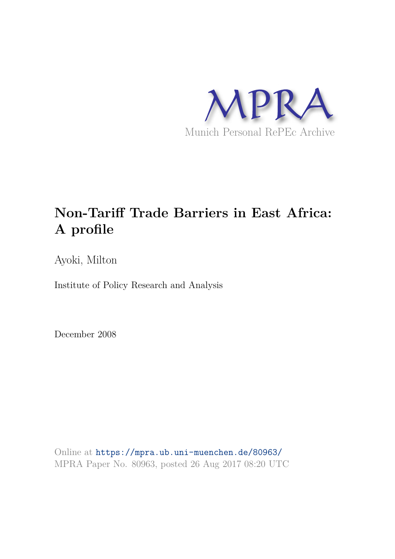

# **Non-Tariff Trade Barriers in East Africa: A profile**

Ayoki, Milton

Institute of Policy Research and Analysis

December 2008

Online at https://mpra.ub.uni-muenchen.de/80963/ MPRA Paper No. 80963, posted 26 Aug 2017 08:20 UTC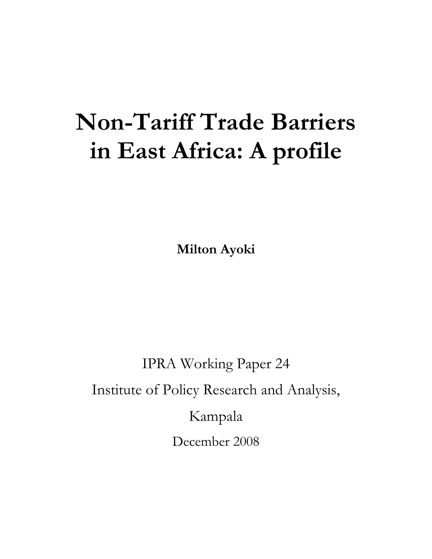# **Non-Tariff Trade Barriers in East Africa: A profile**

**Milton Ayoki**

IPRA Working Paper 24 Institute of Policy Research and Analysis, Kampala December 2008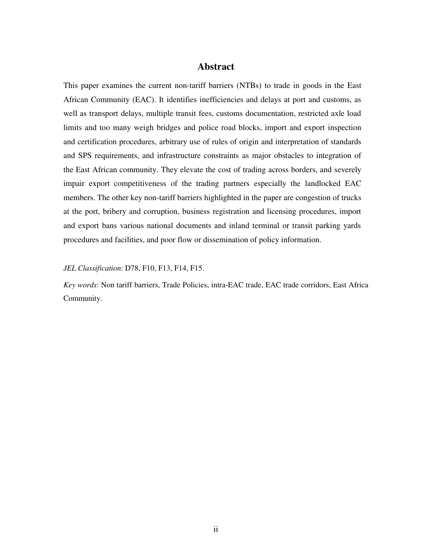# **Abstract**

This paper examines the current non-tariff barriers (NTBs) to trade in goods in the East African Community (EAC). It identifies inefficiencies and delays at port and customs, as well as transport delays, multiple transit fees, customs documentation, restricted axle load limits and too many weigh bridges and police road blocks, import and export inspection and certification procedures, arbitrary use of rules of origin and interpretation of standards and SPS requirements, and infrastructure constraints as major obstacles to integration of the East African community. They elevate the cost of trading across borders, and severely impair export competitiveness of the trading partners especially the landlocked EAC members. The other key non-tariff barriers highlighted in the paper are congestion of trucks at the port, bribery and corruption, business registration and licensing procedures, import and export bans various national documents and inland terminal or transit parking yards procedures and facilities, and poor flow or dissemination of policy information.

# *JEL Classification*: D78, F10, F13, F14, F15.

*Key words*: Non tariff barriers, Trade Policies, intra-EAC trade, EAC trade corridors, East Africa Community.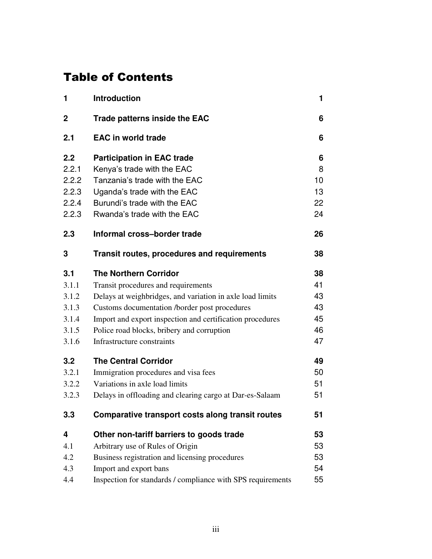# Table of Contents

| 1           | <b>Introduction</b>                                         | 1  |
|-------------|-------------------------------------------------------------|----|
| $\mathbf 2$ | <b>Trade patterns inside the EAC</b>                        | 6  |
| 2.1         | <b>EAC in world trade</b>                                   | 6  |
| 2.2         | <b>Participation in EAC trade</b>                           | 6  |
| 2.2.1       | Kenya's trade with the EAC                                  | 8  |
| 2.2.2       | Tanzania's trade with the EAC                               | 10 |
| 2.2.3       | Uganda's trade with the EAC                                 | 13 |
| 2.2.4       | Burundi's trade with the EAC                                | 22 |
| 2.2.3       | Rwanda's trade with the EAC                                 | 24 |
| 2.3         | Informal cross-border trade                                 | 26 |
| 3           | Transit routes, procedures and requirements                 | 38 |
| 3.1         | <b>The Northern Corridor</b>                                | 38 |
| 3.1.1       | Transit procedures and requirements                         | 41 |
| 3.1.2       | Delays at weighbridges, and variation in axle load limits   | 43 |
| 3.1.3       | Customs documentation /border post procedures               | 43 |
| 3.1.4       | Import and export inspection and certification procedures   | 45 |
| 3.1.5       | Police road blocks, bribery and corruption                  | 46 |
| 3.1.6       | Infrastructure constraints                                  | 47 |
| 3.2         | <b>The Central Corridor</b>                                 | 49 |
| 3.2.1       | Immigration procedures and visa fees                        | 50 |
| 3.2.2       | Variations in axle load limits                              | 51 |
| 3.2.3       | Delays in offloading and clearing cargo at Dar-es-Salaam    | 51 |
| 3.3         | Comparative transport costs along transit routes            | 51 |
| 4           | Other non-tariff barriers to goods trade                    | 53 |
| 4.1         | Arbitrary use of Rules of Origin                            | 53 |
| 4.2         | Business registration and licensing procedures              | 53 |
| 4.3         | Import and export bans                                      | 54 |
| 4.4         | Inspection for standards / compliance with SPS requirements | 55 |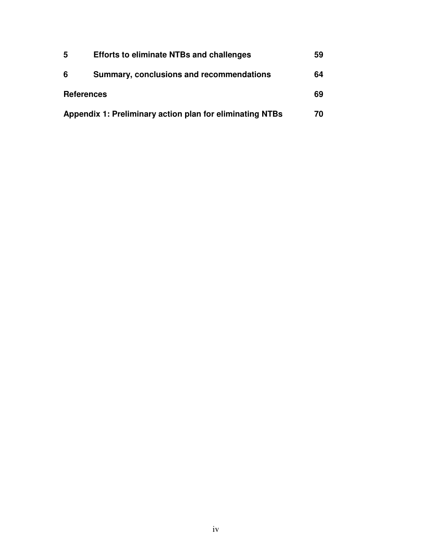| 5                 | <b>Efforts to eliminate NTBs and challenges</b>          | 59 |
|-------------------|----------------------------------------------------------|----|
| 6                 | Summary, conclusions and recommendations                 | 64 |
| <b>References</b> |                                                          | 69 |
|                   | Appendix 1: Preliminary action plan for eliminating NTBs | 70 |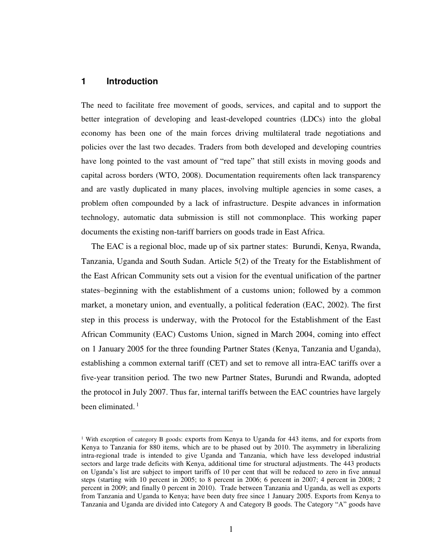# **1 Introduction**

 $\overline{a}$ 

The need to facilitate free movement of goods, services, and capital and to support the better integration of developing and least-developed countries (LDCs) into the global economy has been one of the main forces driving multilateral trade negotiations and policies over the last two decades. Traders from both developed and developing countries have long pointed to the vast amount of "red tape" that still exists in moving goods and capital across borders (WTO, 2008). Documentation requirements often lack transparency and are vastly duplicated in many places, involving multiple agencies in some cases, a problem often compounded by a lack of infrastructure. Despite advances in information technology, automatic data submission is still not commonplace. This working paper documents the existing non-tariff barriers on goods trade in East Africa.

The EAC is a regional bloc, made up of six partner states: Burundi, Kenya, Rwanda, Tanzania, Uganda and South Sudan. Article 5(2) of the Treaty for the Establishment of the East African Community sets out a vision for the eventual unification of the partner states–beginning with the establishment of a customs union; followed by a common market, a monetary union, and eventually, a political federation (EAC, 2002). The first step in this process is underway, with the Protocol for the Establishment of the East African Community (EAC) Customs Union, signed in March 2004, coming into effect on 1 January 2005 for the three founding Partner States (Kenya, Tanzania and Uganda), establishing a common external tariff (CET) and set to remove all intra-EAC tariffs over a five-year transition period. The two new Partner States, Burundi and Rwanda, adopted the protocol in July 2007. Thus far, internal tariffs between the EAC countries have largely been eliminated.<sup>1</sup>

<sup>&</sup>lt;sup>1</sup> With exception of category B goods: exports from Kenya to Uganda for 443 items, and for exports from Kenya to Tanzania for 880 items, which are to be phased out by 2010. The asymmetry in liberalizing intra-regional trade is intended to give Uganda and Tanzania, which have less developed industrial sectors and large trade deficits with Kenya, additional time for structural adjustments. The 443 products on Uganda's list are subject to import tariffs of 10 per cent that will be reduced to zero in five annual steps (starting with 10 percent in 2005; to 8 percent in 2006; 6 percent in 2007; 4 percent in 2008; 2 percent in 2009; and finally 0 percent in 2010). Trade between Tanzania and Uganda, as well as exports from Tanzania and Uganda to Kenya; have been duty free since 1 January 2005. Exports from Kenya to Tanzania and Uganda are divided into Category A and Category B goods. The Category "A" goods have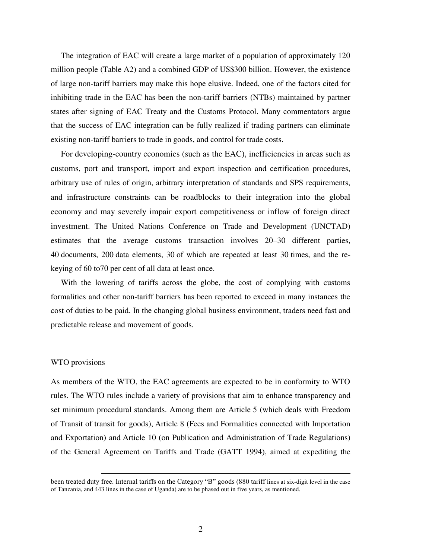The integration of EAC will create a large market of a population of approximately 120 million people (Table A2) and a combined GDP of US\$300 billion. However, the existence of large non-tariff barriers may make this hope elusive. Indeed, one of the factors cited for inhibiting trade in the EAC has been the non-tariff barriers (NTBs) maintained by partner states after signing of EAC Treaty and the Customs Protocol. Many commentators argue that the success of EAC integration can be fully realized if trading partners can eliminate existing non-tariff barriers to trade in goods, and control for trade costs.

For developing-country economies (such as the EAC), inefficiencies in areas such as customs, port and transport, import and export inspection and certification procedures, arbitrary use of rules of origin, arbitrary interpretation of standards and SPS requirements, and infrastructure constraints can be roadblocks to their integration into the global economy and may severely impair export competitiveness or inflow of foreign direct investment. The United Nations Conference on Trade and Development (UNCTAD) estimates that the average customs transaction involves 20–30 different parties, 40 documents, 200 data elements, 30 of which are repeated at least 30 times, and the rekeying of 60 to70 per cent of all data at least once.

With the lowering of tariffs across the globe, the cost of complying with customs formalities and other non-tariff barriers has been reported to exceed in many instances the cost of duties to be paid. In the changing global business environment, traders need fast and predictable release and movement of goods.

#### WTO provisions

 $\overline{a}$ 

As members of the WTO, the EAC agreements are expected to be in conformity to WTO rules. The WTO rules include a variety of provisions that aim to enhance transparency and set minimum procedural standards. Among them are Article 5 (which deals with Freedom of Transit of transit for goods), Article 8 (Fees and Formalities connected with Importation and Exportation) and Article 10 (on Publication and Administration of Trade Regulations) of the General Agreement on Tariffs and Trade (GATT 1994), aimed at expediting the

been treated duty free. Internal tariffs on the Category "B" goods (880 tariff lines at six-digit level in the case of Tanzania, and 443 lines in the case of Uganda) are to be phased out in five years, as mentioned.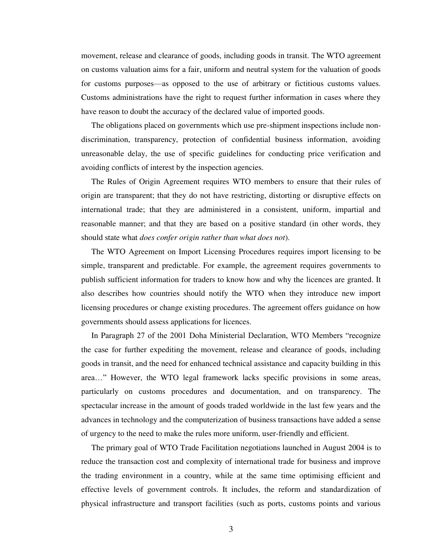movement, release and clearance of goods, including goods in transit. The WTO agreement on customs valuation aims for a fair, uniform and neutral system for the valuation of goods for customs purposes—as opposed to the use of arbitrary or fictitious customs values. Customs administrations have the right to request further information in cases where they have reason to doubt the accuracy of the declared value of imported goods.

The obligations placed on governments which use pre-shipment inspections include nondiscrimination, transparency, protection of confidential business information, avoiding unreasonable delay, the use of specific guidelines for conducting price verification and avoiding conflicts of interest by the inspection agencies.

The Rules of Origin Agreement requires WTO members to ensure that their rules of origin are transparent; that they do not have restricting, distorting or disruptive effects on international trade; that they are administered in a consistent, uniform, impartial and reasonable manner; and that they are based on a positive standard (in other words, they should state what *does confer origin rather than what does not*).

The WTO Agreement on Import Licensing Procedures requires import licensing to be simple, transparent and predictable. For example, the agreement requires governments to publish sufficient information for traders to know how and why the licences are granted. It also describes how countries should notify the WTO when they introduce new import licensing procedures or change existing procedures. The agreement offers guidance on how governments should assess applications for licences.

In Paragraph 27 of the 2001 Doha Ministerial Declaration, WTO Members "recognize the case for further expediting the movement, release and clearance of goods, including goods in transit, and the need for enhanced technical assistance and capacity building in this area…" However, the WTO legal framework lacks specific provisions in some areas, particularly on customs procedures and documentation, and on transparency. The spectacular increase in the amount of goods traded worldwide in the last few years and the advances in technology and the computerization of business transactions have added a sense of urgency to the need to make the rules more uniform, user-friendly and efficient.

The primary goal of WTO Trade Facilitation negotiations launched in August 2004 is to reduce the transaction cost and complexity of international trade for business and improve the trading environment in a country, while at the same time optimising efficient and effective levels of government controls. It includes, the reform and standardization of physical infrastructure and transport facilities (such as ports, customs points and various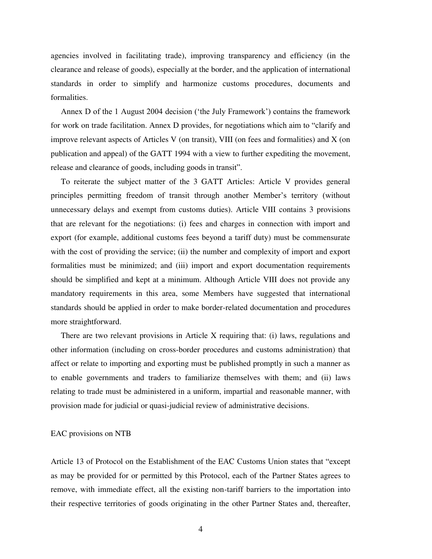agencies involved in facilitating trade), improving transparency and efficiency (in the clearance and release of goods), especially at the border, and the application of international standards in order to simplify and harmonize customs procedures, documents and formalities.

Annex D of the 1 August 2004 decision ('the July Framework') contains the framework for work on trade facilitation. Annex D provides, for negotiations which aim to "clarify and improve relevant aspects of Articles V (on transit), VIII (on fees and formalities) and X (on publication and appeal) of the GATT 1994 with a view to further expediting the movement, release and clearance of goods, including goods in transit".

To reiterate the subject matter of the 3 GATT Articles: Article V provides general principles permitting freedom of transit through another Member's territory (without unnecessary delays and exempt from customs duties). Article VIII contains 3 provisions that are relevant for the negotiations: (i) fees and charges in connection with import and export (for example, additional customs fees beyond a tariff duty) must be commensurate with the cost of providing the service; (ii) the number and complexity of import and export formalities must be minimized; and (iii) import and export documentation requirements should be simplified and kept at a minimum. Although Article VIII does not provide any mandatory requirements in this area, some Members have suggested that international standards should be applied in order to make border-related documentation and procedures more straightforward.

There are two relevant provisions in Article X requiring that: (i) laws, regulations and other information (including on cross-border procedures and customs administration) that affect or relate to importing and exporting must be published promptly in such a manner as to enable governments and traders to familiarize themselves with them; and (ii) laws relating to trade must be administered in a uniform, impartial and reasonable manner, with provision made for judicial or quasi-judicial review of administrative decisions.

#### EAC provisions on NTB

Article 13 of Protocol on the Establishment of the EAC Customs Union states that "except as may be provided for or permitted by this Protocol, each of the Partner States agrees to remove, with immediate effect, all the existing non-tariff barriers to the importation into their respective territories of goods originating in the other Partner States and, thereafter,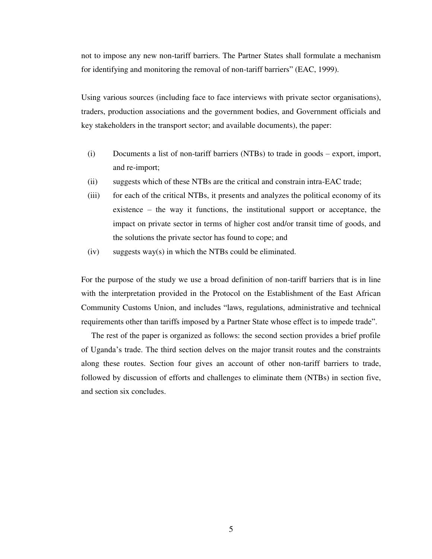not to impose any new non-tariff barriers. The Partner States shall formulate a mechanism for identifying and monitoring the removal of non-tariff barriers" (EAC, 1999).

Using various sources (including face to face interviews with private sector organisations), traders, production associations and the government bodies, and Government officials and key stakeholders in the transport sector; and available documents), the paper:

- (i) Documents a list of non-tariff barriers (NTBs) to trade in goods export, import, and re-import;
- (ii) suggests which of these NTBs are the critical and constrain intra-EAC trade;
- (iii) for each of the critical NTBs, it presents and analyzes the political economy of its existence – the way it functions, the institutional support or acceptance, the impact on private sector in terms of higher cost and/or transit time of goods, and the solutions the private sector has found to cope; and
- (iv) suggests way(s) in which the NTBs could be eliminated.

For the purpose of the study we use a broad definition of non-tariff barriers that is in line with the interpretation provided in the Protocol on the Establishment of the East African Community Customs Union, and includes "laws, regulations, administrative and technical requirements other than tariffs imposed by a Partner State whose effect is to impede trade".

The rest of the paper is organized as follows: the second section provides a brief profile of Uganda's trade. The third section delves on the major transit routes and the constraints along these routes. Section four gives an account of other non-tariff barriers to trade, followed by discussion of efforts and challenges to eliminate them (NTBs) in section five, and section six concludes.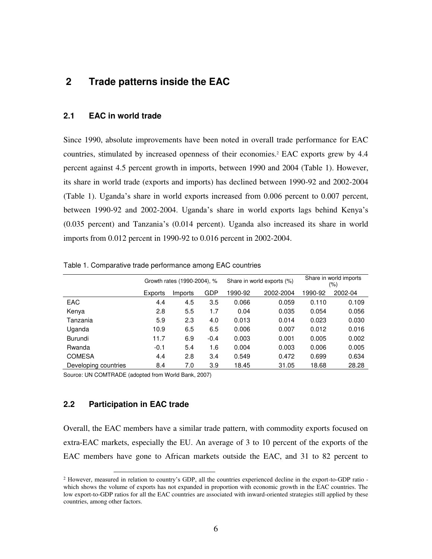# **2 Trade patterns inside the EAC**

# **2.1 EAC in world trade**

Since 1990, absolute improvements have been noted in overall trade performance for EAC countries, stimulated by increased openness of their economies.<sup>2</sup> EAC exports grew by 4.4 percent against 4.5 percent growth in imports, between 1990 and 2004 (Table 1). However, its share in world trade (exports and imports) has declined between 1990-92 and 2002-2004 (Table 1). Uganda's share in world exports increased from 0.006 percent to 0.007 percent, between 1990-92 and 2002-2004. Uganda's share in world exports lags behind Kenya's (0.035 percent) and Tanzania's (0.014 percent). Uganda also increased its share in world imports from 0.012 percent in 1990-92 to 0.016 percent in 2002-2004.

|                      | Growth rates (1990-2004), % |         |        |         | Share in world exports (%) | Share in world imports<br>(%) |         |
|----------------------|-----------------------------|---------|--------|---------|----------------------------|-------------------------------|---------|
|                      | Exports                     | Imports | GDP    | 1990-92 | 2002-2004                  | 1990-92                       | 2002-04 |
| EAC                  | 4.4                         | 4.5     | 3.5    | 0.066   | 0.059                      | 0.110                         | 0.109   |
| Kenya                | 2.8                         | 5.5     | 1.7    | 0.04    | 0.035                      | 0.054                         | 0.056   |
| Tanzania             | 5.9                         | 2.3     | 4.0    | 0.013   | 0.014                      | 0.023                         | 0.030   |
| Uganda               | 10.9                        | 6.5     | 6.5    | 0.006   | 0.007                      | 0.012                         | 0.016   |
| Burundi              | 11.7                        | 6.9     | $-0.4$ | 0.003   | 0.001                      | 0.005                         | 0.002   |
| Rwanda               | $-0.1$                      | 5.4     | 1.6    | 0.004   | 0.003                      | 0.006                         | 0.005   |
| <b>COMESA</b>        | 4.4                         | 2.8     | 3.4    | 0.549   | 0.472                      | 0.699                         | 0.634   |
| Developing countries | 8.4                         | 7.0     | 3.9    | 18.45   | 31.05                      | 18.68                         | 28.28   |

Table 1. Comparative trade performance among EAC countries

Source: UN COMTRADE (adopted from World Bank, 2007)

# **2.2 Participation in EAC trade**

 $\overline{a}$ 

Overall, the EAC members have a similar trade pattern, with commodity exports focused on extra-EAC markets, especially the EU. An average of 3 to 10 percent of the exports of the EAC members have gone to African markets outside the EAC, and 31 to 82 percent to

<sup>2</sup> However, measured in relation to country's GDP, all the countries experienced decline in the export-to-GDP ratio which shows the volume of exports has not expanded in proportion with economic growth in the EAC countries. The low export-to-GDP ratios for all the EAC countries are associated with inward-oriented strategies still applied by these countries, among other factors.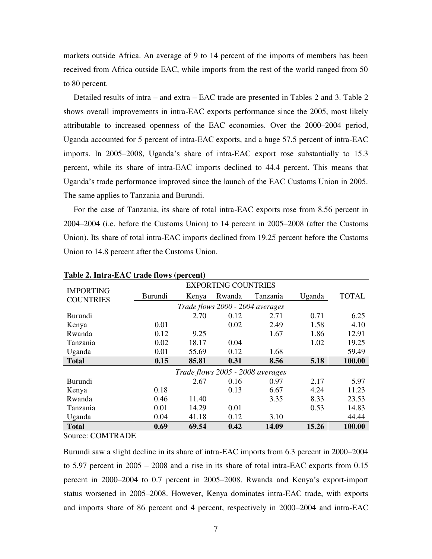markets outside Africa. An average of 9 to 14 percent of the imports of members has been received from Africa outside EAC, while imports from the rest of the world ranged from 50 to 80 percent.

Detailed results of intra – and extra – EAC trade are presented in Tables 2 and 3. Table 2 shows overall improvements in intra-EAC exports performance since the 2005, most likely attributable to increased openness of the EAC economies. Over the 2000–2004 period, Uganda accounted for 5 percent of intra-EAC exports, and a huge 57.5 percent of intra-EAC imports. In 2005–2008, Uganda's share of intra-EAC export rose substantially to 15.3 percent, while its share of intra-EAC imports declined to 44.4 percent. This means that Uganda's trade performance improved since the launch of the EAC Customs Union in 2005. The same applies to Tanzania and Burundi.

For the case of Tanzania, its share of total intra-EAC exports rose from 8.56 percent in 2004–2004 (i.e. before the Customs Union) to 14 percent in 2005–2008 (after the Customs Union). Its share of total intra-EAC imports declined from 19.25 percent before the Customs Union to 14.8 percent after the Customs Union.

|                                      |                |       | <b>EXPORTING COUNTRIES</b> |                                  |        |              |
|--------------------------------------|----------------|-------|----------------------------|----------------------------------|--------|--------------|
| <b>IMPORTING</b><br><b>COUNTRIES</b> | <b>Burundi</b> | Kenya | Rwanda                     | Tanzania                         | Uganda | <b>TOTAL</b> |
|                                      |                |       |                            | Trade flows 2000 - 2004 averages |        |              |
| <b>Burundi</b>                       |                | 2.70  | 0.12                       | 2.71                             | 0.71   | 6.25         |
| Kenya                                | 0.01           |       | 0.02                       | 2.49                             | 1.58   | 4.10         |
| Rwanda                               | 0.12           | 9.25  |                            | 1.67                             | 1.86   | 12.91        |
| Tanzania                             | 0.02           | 18.17 | 0.04                       |                                  | 1.02   | 19.25        |
| Uganda                               | 0.01           | 55.69 | 0.12                       | 1.68                             |        | 59.49        |
| <b>Total</b>                         | 0.15           | 85.81 | 0.31                       | 8.56                             | 5.18   | 100.00       |
|                                      |                |       |                            | Trade flows 2005 - 2008 averages |        |              |
| <b>Burundi</b>                       |                | 2.67  | 0.16                       | 0.97                             | 2.17   | 5.97         |
| Kenya                                | 0.18           |       | 0.13                       | 6.67                             | 4.24   | 11.23        |
| Rwanda                               | 0.46           | 11.40 |                            | 3.35                             | 8.33   | 23.53        |
| Tanzania                             | 0.01           | 14.29 | 0.01                       |                                  | 0.53   | 14.83        |
| Uganda                               | 0.04           | 41.18 | 0.12                       | 3.10                             |        | 44.44        |
| <b>Total</b>                         | 0.69           | 69.54 | 0.42                       | 14.09                            | 15.26  | 100.00       |

**Table 2. Intra-EAC trade flows (percent)** 

Source: COMTRADE

Burundi saw a slight decline in its share of intra-EAC imports from 6.3 percent in 2000–2004 to 5.97 percent in 2005 – 2008 and a rise in its share of total intra-EAC exports from 0.15 percent in 2000–2004 to 0.7 percent in 2005–2008. Rwanda and Kenya's export-import status worsened in 2005–2008. However, Kenya dominates intra-EAC trade, with exports and imports share of 86 percent and 4 percent, respectively in 2000–2004 and intra-EAC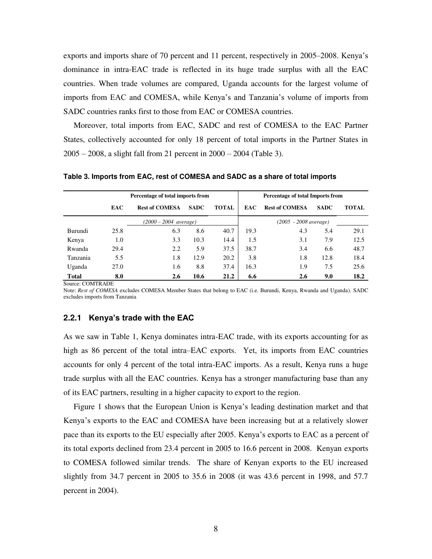exports and imports share of 70 percent and 11 percent, respectively in 2005–2008. Kenya's dominance in intra-EAC trade is reflected in its huge trade surplus with all the EAC countries. When trade volumes are compared, Uganda accounts for the largest volume of imports from EAC and COMESA, while Kenya's and Tanzania's volume of imports from SADC countries ranks first to those from EAC or COMESA countries.

Moreover, total imports from EAC, SADC and rest of COMESA to the EAC Partner States, collectively accounted for only 18 percent of total imports in the Partner States in 2005 – 2008, a slight fall from 21 percent in 2000 – 2004 (Table 3).

| Percentage of total imports from |            |                                 |             |              |                                 | <b>Percentage of total Imports from</b> |             |              |  |
|----------------------------------|------------|---------------------------------|-------------|--------------|---------------------------------|-----------------------------------------|-------------|--------------|--|
|                                  | <b>EAC</b> | <b>Rest of COMESA</b>           | <b>SADC</b> | <b>TOTAL</b> | <b>EAC</b>                      | <b>Rest of COMESA</b>                   | <b>SADC</b> | <b>TOTAL</b> |  |
|                                  |            | $(2000 - 2004 \text{ average})$ |             |              | $(2005 - 2008 \text{ average})$ |                                         |             |              |  |
| Burundi                          | 25.8       | 6.3                             | 8.6         | 40.7         | 19.3                            | 4.3                                     | 5.4         | 29.1         |  |
| Kenya                            | 1.0        | 3.3                             | 10.3        | 14.4         | 1.5                             | 3.1                                     | 7.9         | 12.5         |  |
| Rwanda                           | 29.4       | 2.2                             | 5.9         | 37.5         | 38.7                            | 3.4                                     | 6.6         | 48.7         |  |
| Tanzania                         | 5.5        | 1.8                             | 12.9        | 20.2         | 3.8                             | 1.8                                     | 12.8        | 18.4         |  |
| Uganda                           | 27.0       | 1.6                             | 8.8         | 37.4         | 16.3                            | 1.9                                     | 7.5         | 25.6         |  |
| Total                            | 8.0        | 2.6                             | 10.6        | 21.2         | 6.6                             | 2.6                                     | 9.0         | 18.2         |  |

**Table 3. Imports from EAC, rest of COMESA and SADC as a share of total imports** 

Source: COMTRADE

Note: *Rest of COMESA* excludes COMESA Member States that belong to EAC (i.e. Burundi, Kenya, Rwanda and Uganda). SADC excludes imports from Tanzania

## **2.2.1 Kenya's trade with the EAC**

As we saw in Table 1, Kenya dominates intra-EAC trade, with its exports accounting for as high as 86 percent of the total intra–EAC exports. Yet, its imports from EAC countries accounts for only 4 percent of the total intra-EAC imports. As a result, Kenya runs a huge trade surplus with all the EAC countries. Kenya has a stronger manufacturing base than any of its EAC partners, resulting in a higher capacity to export to the region.

Figure 1 shows that the European Union is Kenya's leading destination market and that Kenya's exports to the EAC and COMESA have been increasing but at a relatively slower pace than its exports to the EU especially after 2005. Kenya's exports to EAC as a percent of its total exports declined from 23.4 percent in 2005 to 16.6 percent in 2008. Kenyan exports to COMESA followed similar trends. The share of Kenyan exports to the EU increased slightly from 34.7 percent in 2005 to 35.6 in 2008 (it was 43.6 percent in 1998, and 57.7 percent in 2004).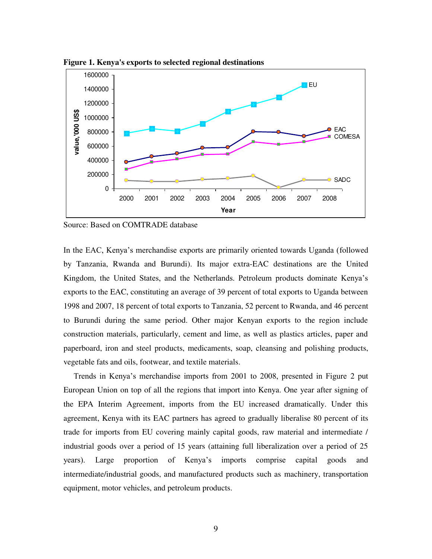

**Figure 1. Kenya's exports to selected regional destinations**

Source: Based on COMTRADE database

In the EAC, Kenya's merchandise exports are primarily oriented towards Uganda (followed by Tanzania, Rwanda and Burundi). Its major extra-EAC destinations are the United Kingdom, the United States, and the Netherlands. Petroleum products dominate Kenya's exports to the EAC, constituting an average of 39 percent of total exports to Uganda between 1998 and 2007, 18 percent of total exports to Tanzania, 52 percent to Rwanda, and 46 percent to Burundi during the same period. Other major Kenyan exports to the region include construction materials, particularly, cement and lime, as well as plastics articles, paper and paperboard, iron and steel products, medicaments, soap, cleansing and polishing products, vegetable fats and oils, footwear, and textile materials.

Trends in Kenya's merchandise imports from 2001 to 2008, presented in Figure 2 put European Union on top of all the regions that import into Kenya. One year after signing of the EPA Interim Agreement, imports from the EU increased dramatically. Under this agreement, Kenya with its EAC partners has agreed to gradually liberalise 80 percent of its trade for imports from EU covering mainly capital goods, raw material and intermediate / industrial goods over a period of 15 years (attaining full liberalization over a period of 25 years). Large proportion of Kenya's imports comprise capital goods and intermediate/industrial goods, and manufactured products such as machinery, transportation equipment, motor vehicles, and petroleum products.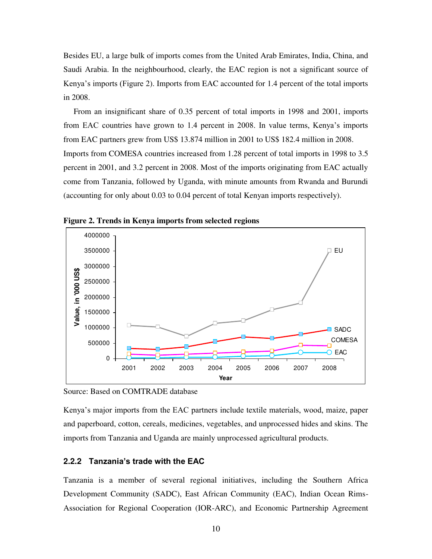Besides EU, a large bulk of imports comes from the United Arab Emirates, India, China, and Saudi Arabia. In the neighbourhood, clearly, the EAC region is not a significant source of Kenya's imports (Figure 2). Imports from EAC accounted for 1.4 percent of the total imports in 2008.

From an insignificant share of 0.35 percent of total imports in 1998 and 2001, imports from EAC countries have grown to 1.4 percent in 2008. In value terms, Kenya's imports from EAC partners grew from US\$ 13.874 million in 2001 to US\$ 182.4 million in 2008. Imports from COMESA countries increased from 1.28 percent of total imports in 1998 to 3.5 percent in 2001, and 3.2 percent in 2008. Most of the imports originating from EAC actually come from Tanzania, followed by Uganda, with minute amounts from Rwanda and Burundi (accounting for only about 0.03 to 0.04 percent of total Kenyan imports respectively).



**Figure 2. Trends in Kenya imports from selected regions**

Source: Based on COMTRADE database

Kenya's major imports from the EAC partners include textile materials, wood, maize, paper and paperboard, cotton, cereals, medicines, vegetables, and unprocessed hides and skins. The imports from Tanzania and Uganda are mainly unprocessed agricultural products.

# **2.2.2 Tanzania's trade with the EAC**

Tanzania is a member of several regional initiatives, including the Southern Africa Development Community (SADC), East African Community (EAC), Indian Ocean Rims-Association for Regional Cooperation (IOR-ARC), and Economic Partnership Agreement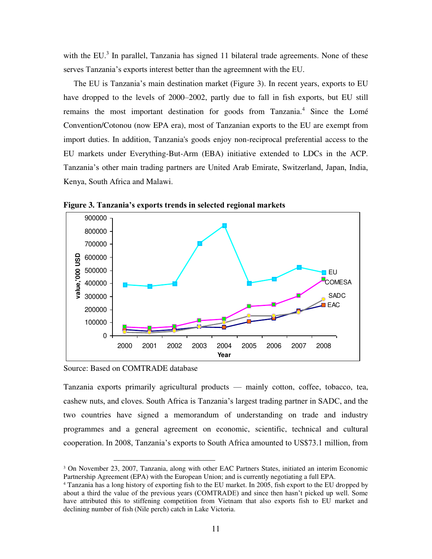with the EU. $<sup>3</sup>$  In parallel, Tanzania has signed 11 bilateral trade agreements. None of these</sup> serves Tanzania's exports interest better than the agreemnent with the EU.

The EU is Tanzania's main destination market (Figure 3). In recent years, exports to EU have dropped to the levels of 2000–2002, partly due to fall in fish exports, but EU still remains the most important destination for goods from Tanzania.<sup>4</sup> Since the Lomé Convention/Cotonou (now EPA era), most of Tanzanian exports to the EU are exempt from import duties. In addition, Tanzania's goods enjoy non-reciprocal preferential access to the EU markets under Everything-But-Arm (EBA) initiative extended to LDCs in the ACP. Tanzania's other main trading partners are United Arab Emirate, Switzerland, Japan, India, Kenya, South Africa and Malawi.



**Figure 3. Tanzania's exports trends in selected regional markets** 

Source: Based on COMTRADE database

 $\overline{a}$ 

Tanzania exports primarily agricultural products — mainly cotton, coffee, tobacco, tea, cashew nuts, and cloves. South Africa is Tanzania's largest trading partner in SADC, and the two countries have signed a memorandum of understanding on trade and industry programmes and a general agreement on economic, scientific, technical and cultural cooperation. In 2008, Tanzania's exports to South Africa amounted to US\$73.1 million, from

<sup>3</sup> On November 23, 2007, Tanzania, along with other EAC Partners States, initiated an interim Economic Partnership Agreement (EPA) with the European Union; and is currently negotiating a full EPA.

<sup>4</sup> Tanzania has a long history of exporting fish to the EU market. In 2005, fish export to the EU dropped by about a third the value of the previous years (COMTRADE) and since then hasn't picked up well. Some have attributed this to stiffening competition from Vietnam that also exports fish to EU market and declining number of fish (Nile perch) catch in Lake Victoria.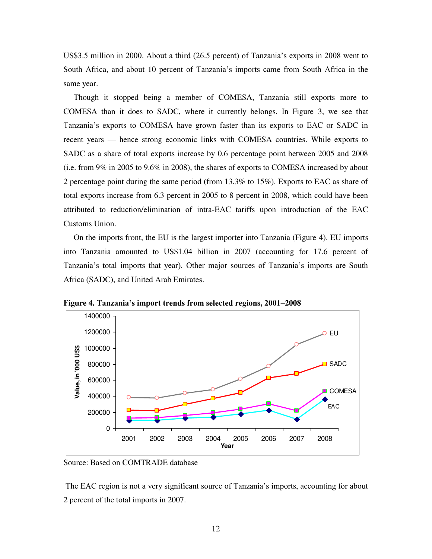US\$3.5 million in 2000. About a third (26.5 percent) of Tanzania's exports in 2008 went to South Africa, and about 10 percent of Tanzania's imports came from South Africa in the same year.

Though it stopped being a member of COMESA, Tanzania still exports more to COMESA than it does to SADC, where it currently belongs. In Figure 3, we see that Tanzania's exports to COMESA have grown faster than its exports to EAC or SADC in recent years — hence strong economic links with COMESA countries. While exports to SADC as a share of total exports increase by 0.6 percentage point between 2005 and 2008 (i.e. from 9% in 2005 to 9.6% in 2008), the shares of exports to COMESA increased by about 2 percentage point during the same period (from 13.3% to 15%). Exports to EAC as share of total exports increase from 6.3 percent in 2005 to 8 percent in 2008, which could have been attributed to reduction/elimination of intra-EAC tariffs upon introduction of the EAC Customs Union.

On the imports front, the EU is the largest importer into Tanzania (Figure 4). EU imports into Tanzania amounted to US\$1.04 billion in 2007 (accounting for 17.6 percent of Tanzania's total imports that year). Other major sources of Tanzania's imports are South Africa (SADC), and United Arab Emirates.



**Figure 4. Tanzania's import trends from selected regions, 2001–2008** 

Source: Based on COMTRADE database

The EAC region is not a very significant source of Tanzania's imports, accounting for about 2 percent of the total imports in 2007.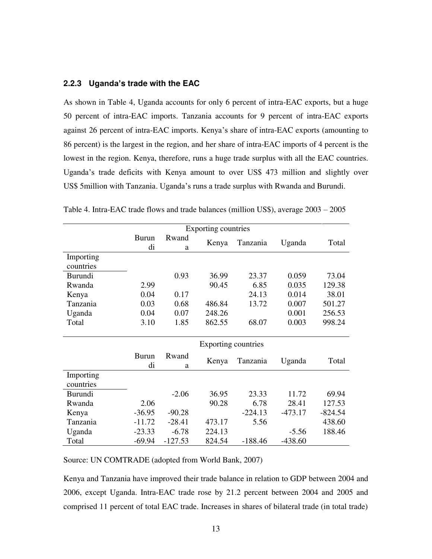# **2.2.3 Uganda's trade with the EAC**

As shown in Table 4, Uganda accounts for only 6 percent of intra-EAC exports, but a huge 50 percent of intra-EAC imports. Tanzania accounts for 9 percent of intra-EAC exports against 26 percent of intra-EAC imports. Kenya's share of intra-EAC exports (amounting to 86 percent) is the largest in the region, and her share of intra-EAC imports of 4 percent is the lowest in the region. Kenya, therefore, runs a huge trade surplus with all the EAC countries. Uganda's trade deficits with Kenya amount to over US\$ 473 million and slightly over US\$ 5million with Tanzania. Uganda's runs a trade surplus with Rwanda and Burundi.

|                        |                    |            | Exporting countries |           |           |           |
|------------------------|--------------------|------------|---------------------|-----------|-----------|-----------|
|                        | <b>Burun</b><br>di | Rwand<br>a | Kenya               | Tanzania  | Uganda    | Total     |
| Importing              |                    |            |                     |           |           |           |
| countries              |                    |            |                     |           |           |           |
| <b>Burundi</b>         |                    | 0.93       | 36.99               | 23.37     | 0.059     | 73.04     |
| Rwanda                 | 2.99               |            | 90.45               | 6.85      | 0.035     | 129.38    |
| Kenya                  | 0.04               | 0.17       |                     | 24.13     | 0.014     | 38.01     |
| Tanzania               | 0.03               | 0.68       | 486.84              | 13.72     | 0.007     | 501.27    |
| Uganda                 | 0.04               | 0.07       | 248.26              |           | 0.001     | 256.53    |
| Total                  | 3.10               | 1.85       | 862.55              | 68.07     | 0.003     | 998.24    |
|                        |                    |            | Exporting countries |           |           |           |
|                        | Burun<br>di        | Rwand<br>a | Kenya               | Tanzania  | Uganda    | Total     |
| Importing<br>countries |                    |            |                     |           |           |           |
| <b>Burundi</b>         |                    | $-2.06$    | 36.95               | 23.33     | 11.72     | 69.94     |
| Rwanda                 | 2.06               |            | 90.28               | 6.78      | 28.41     | 127.53    |
| Kenya                  | $-36.95$           | $-90.28$   |                     | $-224.13$ | $-473.17$ | $-824.54$ |
| Tanzania               | $-11.72$           | $-28.41$   | 473.17              | 5.56      |           | 438.60    |
| Uganda                 | $-23.33$           | $-6.78$    | 224.13              |           | $-5.56$   | 188.46    |
|                        |                    |            |                     |           |           |           |

Table 4. Intra-EAC trade flows and trade balances (million US\$), average 2003 – 2005

Source: UN COMTRADE (adopted from World Bank, 2007)

Kenya and Tanzania have improved their trade balance in relation to GDP between 2004 and 2006, except Uganda. Intra-EAC trade rose by 21.2 percent between 2004 and 2005 and comprised 11 percent of total EAC trade. Increases in shares of bilateral trade (in total trade)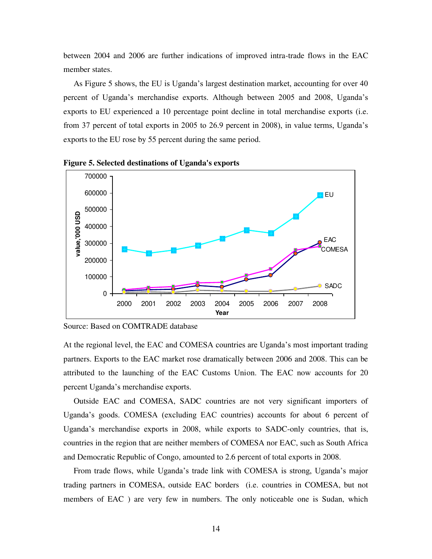between 2004 and 2006 are further indications of improved intra-trade flows in the EAC member states.

As Figure 5 shows, the EU is Uganda's largest destination market, accounting for over 40 percent of Uganda's merchandise exports. Although between 2005 and 2008, Uganda's exports to EU experienced a 10 percentage point decline in total merchandise exports (i.e. from 37 percent of total exports in 2005 to 26.9 percent in 2008), in value terms, Uganda's exports to the EU rose by 55 percent during the same period.



**Figure 5. Selected destinations of Uganda's exports**

At the regional level, the EAC and COMESA countries are Uganda's most important trading partners. Exports to the EAC market rose dramatically between 2006 and 2008. This can be attributed to the launching of the EAC Customs Union. The EAC now accounts for 20 percent Uganda's merchandise exports.

Outside EAC and COMESA, SADC countries are not very significant importers of Uganda's goods. COMESA (excluding EAC countries) accounts for about 6 percent of Uganda's merchandise exports in 2008, while exports to SADC-only countries, that is, countries in the region that are neither members of COMESA nor EAC, such as South Africa and Democratic Republic of Congo, amounted to 2.6 percent of total exports in 2008.

From trade flows, while Uganda's trade link with COMESA is strong, Uganda's major trading partners in COMESA, outside EAC borders (i.e. countries in COMESA, but not members of EAC ) are very few in numbers. The only noticeable one is Sudan, which

Source: Based on COMTRADE database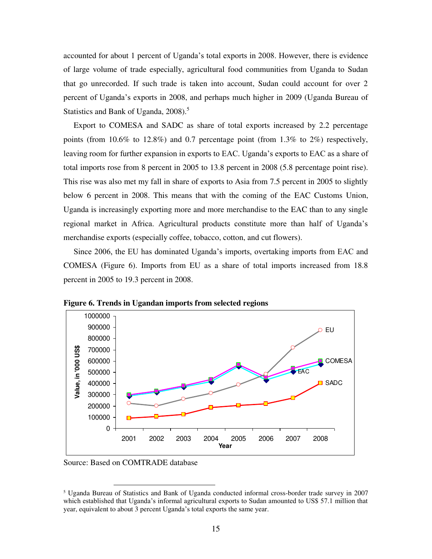accounted for about 1 percent of Uganda's total exports in 2008. However, there is evidence of large volume of trade especially, agricultural food communities from Uganda to Sudan that go unrecorded. If such trade is taken into account, Sudan could account for over 2 percent of Uganda's exports in 2008, and perhaps much higher in 2009 (Uganda Bureau of Statistics and Bank of Uganda, 2008).<sup>5</sup>

Export to COMESA and SADC as share of total exports increased by 2.2 percentage points (from 10.6% to 12.8%) and 0.7 percentage point (from 1.3% to 2%) respectively, leaving room for further expansion in exports to EAC. Uganda's exports to EAC as a share of total imports rose from 8 percent in 2005 to 13.8 percent in 2008 (5.8 percentage point rise). This rise was also met my fall in share of exports to Asia from 7.5 percent in 2005 to slightly below 6 percent in 2008. This means that with the coming of the EAC Customs Union, Uganda is increasingly exporting more and more merchandise to the EAC than to any single regional market in Africa. Agricultural products constitute more than half of Uganda's merchandise exports (especially coffee, tobacco, cotton, and cut flowers).

Since 2006, the EU has dominated Uganda's imports, overtaking imports from EAC and COMESA (Figure 6). Imports from EU as a share of total imports increased from 18.8 percent in 2005 to 19.3 percent in 2008.



**Figure 6. Trends in Ugandan imports from selected regions**

Source: Based on COMTRADE database

 $\overline{a}$ 

<sup>5</sup> Uganda Bureau of Statistics and Bank of Uganda conducted informal cross-border trade survey in 2007 which established that Uganda's informal agricultural exports to Sudan amounted to US\$ 57.1 million that year, equivalent to about 3 percent Uganda's total exports the same year.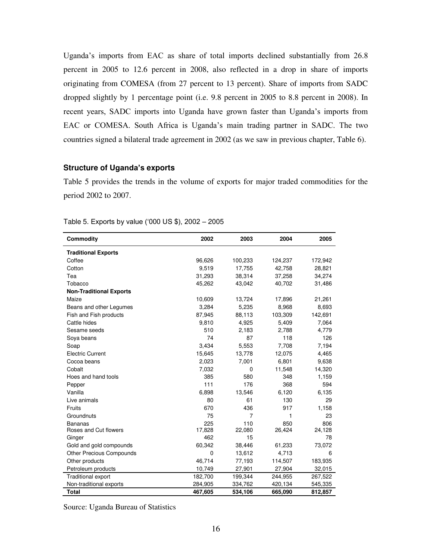Uganda's imports from EAC as share of total imports declined substantially from 26.8 percent in 2005 to 12.6 percent in 2008, also reflected in a drop in share of imports originating from COMESA (from 27 percent to 13 percent). Share of imports from SADC dropped slightly by 1 percentage point (i.e. 9.8 percent in 2005 to 8.8 percent in 2008). In recent years, SADC imports into Uganda have grown faster than Uganda's imports from EAC or COMESA. South Africa is Uganda's main trading partner in SADC. The two countries signed a bilateral trade agreement in 2002 (as we saw in previous chapter, Table 6).

# **Structure of Uganda's exports**

Table 5 provides the trends in the volume of exports for major traded commodities for the period 2002 to 2007.

| <b>Commodity</b>                | 2002    | 2003           | 2004    | 2005    |
|---------------------------------|---------|----------------|---------|---------|
| <b>Traditional Exports</b>      |         |                |         |         |
| Coffee                          | 96,626  | 100,233        | 124,237 | 172,942 |
| Cotton                          | 9,519   | 17,755         | 42,758  | 28,821  |
| Tea                             | 31,293  | 38,314         | 37,258  | 34,274  |
| Tobacco                         | 45,262  | 43,042         | 40,702  | 31,486  |
| <b>Non-Traditional Exports</b>  |         |                |         |         |
| Maize                           | 10,609  | 13,724         | 17,896  | 21,261  |
| Beans and other Legumes         | 3,284   | 5,235          | 8,968   | 8,693   |
| Fish and Fish products          | 87,945  | 88,113         | 103,309 | 142,691 |
| Cattle hides                    | 9,810   | 4,925          | 5,409   | 7,064   |
| Sesame seeds                    | 510     | 2,183          | 2,788   | 4,779   |
| Soya beans                      | 74      | 87             | 118     | 126     |
| Soap                            | 3,434   | 5,553          | 7,708   | 7,194   |
| <b>Electric Current</b>         | 15,645  | 13,778         | 12,075  | 4,465   |
| Cocoa beans                     | 2,023   | 7,001          | 6,801   | 9,638   |
| Cobalt                          | 7,032   | 0              | 11,548  | 14,320  |
| Hoes and hand tools             | 385     | 580            | 348     | 1,159   |
| Pepper                          | 111     | 176            | 368     | 594     |
| Vanilla                         | 6,898   | 13,546         | 6,120   | 6,135   |
| Live animals                    | 80      | 61             | 130     | 29      |
| Fruits                          | 670     | 436            | 917     | 1,158   |
| Groundnuts                      | 75      | $\overline{7}$ | 1       | 23      |
| <b>Bananas</b>                  | 225     | 110            | 850     | 806     |
| Roses and Cut flowers           | 17,828  | 22,080         | 26,424  | 24,128  |
| Ginger                          | 462     | 15             |         | 78      |
| Gold and gold compounds         | 60,342  | 38,446         | 61,233  | 73,072  |
| <b>Other Precious Compounds</b> | 0       | 13,612         | 4,713   | 6       |
| Other products                  | 46,714  | 77,193         | 114,507 | 183,935 |
| Petroleum products              | 10,749  | 27,901         | 27,904  | 32,015  |
| Traditional export              | 182,700 | 199,344        | 244,955 | 267,522 |
| Non-traditional exports         | 284,905 | 334,762        | 420,134 | 545,335 |
| <b>Total</b>                    | 467,605 | 534,106        | 665,090 | 812,857 |

Table 5. Exports by value ('000 US \$), 2002 – 2005

Source: Uganda Bureau of Statistics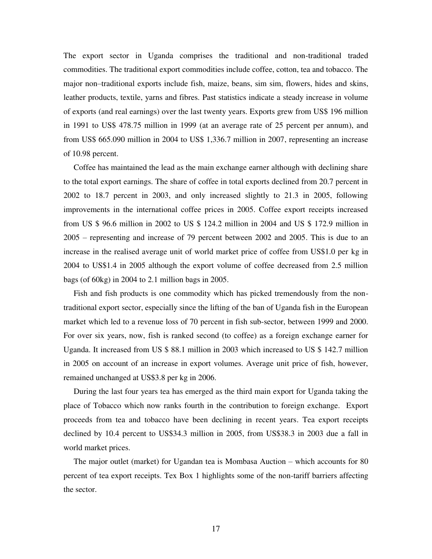The export sector in Uganda comprises the traditional and non-traditional traded commodities. The traditional export commodities include coffee, cotton, tea and tobacco. The major non–traditional exports include fish, maize, beans, sim sim, flowers, hides and skins, leather products, textile, yarns and fibres. Past statistics indicate a steady increase in volume of exports (and real earnings) over the last twenty years. Exports grew from US\$ 196 million in 1991 to US\$ 478.75 million in 1999 (at an average rate of 25 percent per annum), and from US\$ 665.090 million in 2004 to US\$ 1,336.7 million in 2007, representing an increase of 10.98 percent.

Coffee has maintained the lead as the main exchange earner although with declining share to the total export earnings. The share of coffee in total exports declined from 20.7 percent in 2002 to 18.7 percent in 2003, and only increased slightly to 21.3 in 2005, following improvements in the international coffee prices in 2005. Coffee export receipts increased from US \$ 96.6 million in 2002 to US \$ 124.2 million in 2004 and US \$ 172.9 million in 2005 – representing and increase of 79 percent between 2002 and 2005. This is due to an increase in the realised average unit of world market price of coffee from US\$1.0 per kg in 2004 to US\$1.4 in 2005 although the export volume of coffee decreased from 2.5 million bags (of 60kg) in 2004 to 2.1 million bags in 2005.

Fish and fish products is one commodity which has picked tremendously from the nontraditional export sector, especially since the lifting of the ban of Uganda fish in the European market which led to a revenue loss of 70 percent in fish sub-sector, between 1999 and 2000. For over six years, now, fish is ranked second (to coffee) as a foreign exchange earner for Uganda. It increased from US \$ 88.1 million in 2003 which increased to US \$ 142.7 million in 2005 on account of an increase in export volumes. Average unit price of fish, however, remained unchanged at US\$3.8 per kg in 2006.

During the last four years tea has emerged as the third main export for Uganda taking the place of Tobacco which now ranks fourth in the contribution to foreign exchange. Export proceeds from tea and tobacco have been declining in recent years. Tea export receipts declined by 10.4 percent to US\$34.3 million in 2005, from US\$38.3 in 2003 due a fall in world market prices.

The major outlet (market) for Ugandan tea is Mombasa Auction – which accounts for 80 percent of tea export receipts. Tex Box 1 highlights some of the non-tariff barriers affecting the sector.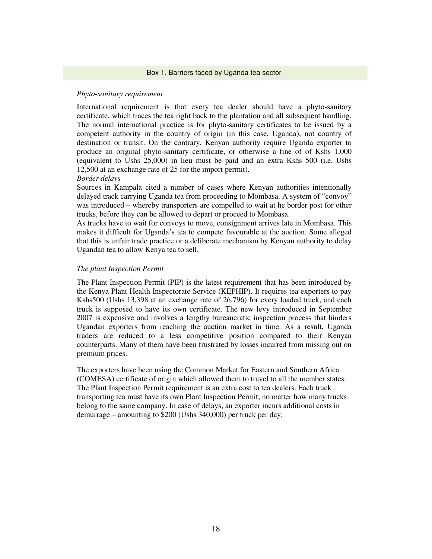#### Box 1. Barriers faced by Uganda tea sector

# *Phyto-sanitary requirement*

International requirement is that every tea dealer should have a phyto-sanitary certificate, which traces the tea right back to the plantation and all subsequent handling. The normal international practice is for phyto-sanitary certificates to be issued by a competent authority in the country of origin (in this case, Uganda), not country of destination or transit. On the contrary, Kenyan authority require Uganda exporter to produce an original phyto-sanitary certificate, or otherwise a fine of of Kshs 1,000 (equivalent to Ushs 25,000) in lieu must be paid and an extra Kshs 500 (i.e. Ushs 12,500 at an exchange rate of 25 for the import permit).

## *Border delays*

Sources in Kampala cited a number of cases where Kenyan authorities intentionally delayed track carrying Uganda tea from proceeding to Mombasa. A system of "convoy" was introduced – whereby transporters are compelled to wait at he border post for other trucks, before they can be allowed to depart or proceed to Mombasa.

As trucks have to wait for convoys to move, consignment arrives late in Mombasa. This makes it difficult for Uganda's tea to compete favourable at the auction. Some alleged that this is unfair trade practice or a deliberate mechanism by Kenyan authority to delay Ugandan tea to allow Kenya tea to sell.

# *The plant Inspection Permit*

The Plant Inspection Permit (PIP) is the latest requirement that has been introduced by the Kenya Plant Health Inspectorate Service (KEPHIP). It requires tea exporters to pay Kshs500 (Ushs 13,398 at an exchange rate of 26.796) for every loaded truck, and each truck is supposed to have its own certificate. The new levy introduced in September 2007 is expensive and involves a lengthy bureaucratic inspection process that hinders Ugandan exporters from reaching the auction market in time. As a result, Uganda traders are reduced to a less competitive position compared to their Kenyan counterparts. Many of them have been frustrated by losses incurred from missing out on premium prices.

The exporters have been using the Common Market for Eastern and Southern Africa (COMESA) certificate of origin which allowed them to travel to all the member states. The Plant Inspection Permit requirement is an extra cost to tea dealers. Each truck transporting tea must have its own Plant Inspection Permit, no matter how many trucks belong to the same company. In case of delays, an exporter incurs additional costs in demurrage – amounting to \$200 (Ushs 340,000) per truck per day.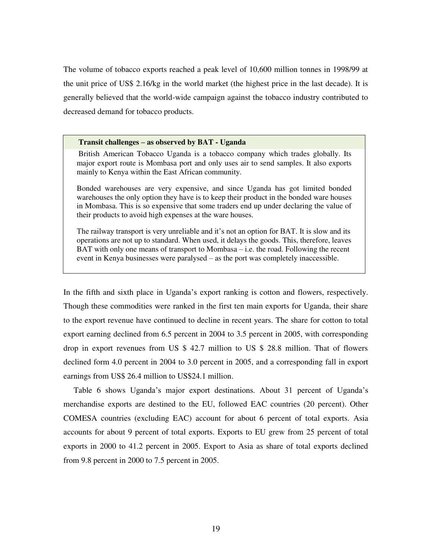The volume of tobacco exports reached a peak level of 10,600 million tonnes in 1998/99 at the unit price of US\$ 2.16/kg in the world market (the highest price in the last decade). It is generally believed that the world-wide campaign against the tobacco industry contributed to decreased demand for tobacco products.

#### **Transit challenges – as observed by BAT - Uganda**

British American Tobacco Uganda is a tobacco company which trades globally. Its major export route is Mombasa port and only uses air to send samples. It also exports mainly to Kenya within the East African community.

Bonded warehouses are very expensive, and since Uganda has got limited bonded warehouses the only option they have is to keep their product in the bonded ware houses in Mombasa. This is so expensive that some traders end up under declaring the value of their products to avoid high expenses at the ware houses.

The railway transport is very unreliable and it's not an option for BAT. It is slow and its operations are not up to standard. When used, it delays the goods. This, therefore, leaves BAT with only one means of transport to Mombasa – i.e. the road. Following the recent event in Kenya businesses were paralysed – as the port was completely inaccessible.

In the fifth and sixth place in Uganda's export ranking is cotton and flowers, respectively. Though these commodities were ranked in the first ten main exports for Uganda, their share to the export revenue have continued to decline in recent years. The share for cotton to total export earning declined from 6.5 percent in 2004 to 3.5 percent in 2005, with corresponding drop in export revenues from US \$ 42.7 million to US \$ 28.8 million. That of flowers declined form 4.0 percent in 2004 to 3.0 percent in 2005, and a corresponding fall in export earnings from US\$ 26.4 million to US\$24.1 million.

Table 6 shows Uganda's major export destinations. About 31 percent of Uganda's merchandise exports are destined to the EU, followed EAC countries (20 percent). Other COMESA countries (excluding EAC) account for about 6 percent of total exports. Asia accounts for about 9 percent of total exports. Exports to EU grew from 25 percent of total exports in 2000 to 41.2 percent in 2005. Export to Asia as share of total exports declined from 9.8 percent in 2000 to 7.5 percent in 2005.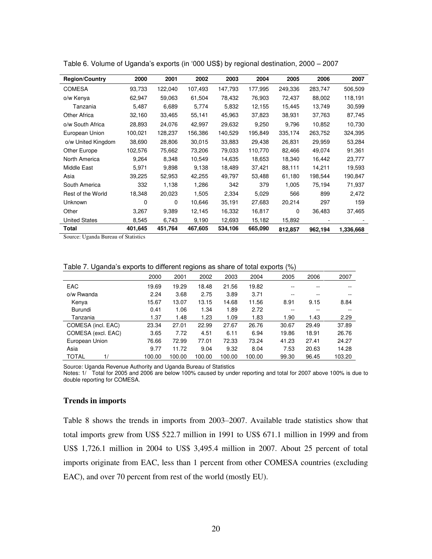| <b>Region/Country</b> | 2000     | 2001    | 2002    | 2003    | 2004    | 2005     | 2006    | 2007      |
|-----------------------|----------|---------|---------|---------|---------|----------|---------|-----------|
| <b>COMESA</b>         | 93,733   | 122,040 | 107,493 | 147,793 | 177,995 | 249,336  | 283,747 | 506,509   |
| o/w Kenya             | 62,947   | 59,063  | 61,504  | 78,432  | 76,903  | 72,437   | 88,002  | 118,191   |
| Tanzania              | 5,487    | 6,689   | 5,774   | 5,832   | 12,155  | 15,445   | 13,749  | 30,599    |
| Other Africa          | 32,160   | 33,465  | 55,141  | 45,963  | 37,823  | 38,931   | 37,763  | 87,745    |
| o/w South Africa      | 28,893   | 24,076  | 42,997  | 29,632  | 9,250   | 9,796    | 10,852  | 10,730    |
| European Union        | 100,021  | 128,237 | 156.386 | 140,529 | 195,849 | 335,174  | 263,752 | 324,395   |
| o/w United Kingdom    | 38,690   | 28,806  | 30,015  | 33,883  | 29,438  | 26,831   | 29,959  | 53,284    |
| Other Europe          | 102,576  | 75,662  | 73,206  | 79,033  | 110,770 | 82,466   | 49,074  | 91,361    |
| North America         | 9,264    | 8,348   | 10,549  | 14,635  | 18,653  | 18,340   | 16,442  | 23,777    |
| Middle East           | 5,971    | 9,898   | 9,138   | 18,489  | 37,421  | 88,111   | 14,211  | 19,593    |
| Asia                  | 39,225   | 52,953  | 42,255  | 49,797  | 53,488  | 61,180   | 198,544 | 190,847   |
| South America         | 332      | 1,138   | 1,286   | 342     | 379     | 1,005    | 75,194  | 71,937    |
| Rest of the World     | 18,348   | 20,023  | 1,505   | 2,334   | 5,029   | 566      | 899     | 2,472     |
| <b>Unknown</b>        | $\Omega$ | 0       | 10,646  | 35,191  | 27,683  | 20,214   | 297     | 159       |
| Other                 | 3,267    | 9,389   | 12,145  | 16,332  | 16,817  | $\Omega$ | 36,483  | 37,465    |
| <b>United States</b>  | 8,545    | 6,743   | 9,190   | 12,693  | 15,182  | 15,892   |         |           |
| Total                 | 401,645  | 451,764 | 467,605 | 534,106 | 665,090 | 812,857  | 962,194 | 1,336,668 |

Table 6. Volume of Uganda's exports (in '000 US\$) by regional destination, 2000 – 2007

Source: Uganda Bureau of Statistics

Table 7. Uganda's exports to different regions as share of total exports (%)

|                    | 2000   | 2001   | 2002   | 2003   | 2004   | 2005  | 2006  | 2007   |
|--------------------|--------|--------|--------|--------|--------|-------|-------|--------|
| <b>EAC</b>         | 19.69  | 19.29  | 18.48  | 21.56  | 19.82  | --    | --    | --     |
| o/w Rwanda         | 2.24   | 3.68   | 2.75   | 3.89   | 3.71   | $- -$ | --    | --     |
| Kenya              | 15.67  | 13.07  | 13.15  | 14.68  | 11.56  | 8.91  | 9.15  | 8.84   |
| Burundi            | 0.41   | 1.06   | 1.34   | 1.89   | 2.72   | --    | --    | --     |
| Tanzania           | 1.37   | 1.48   | 1.23   | 1.09   | 1.83   | 1.90  | 1.43  | 2.29   |
| COMESA (incl. EAC) | 23.34  | 27.01  | 22.99  | 27.67  | 26.76  | 30.67 | 29.49 | 37.89  |
| COMESA (excl. EAC) | 3.65   | 7.72   | 4.51   | 6.11   | 6.94   | 19.86 | 18.91 | 26.76  |
| European Union     | 76.66  | 72.99  | 77.01  | 72.33  | 73.24  | 41.23 | 27.41 | 24.27  |
| Asia               | 9.77   | 11.72  | 9.04   | 9.32   | 8.04   | 7.53  | 20.63 | 14.28  |
| <b>TOTAL</b><br>1/ | 100.00 | 100.00 | 100.00 | 100.00 | 100.00 | 99.30 | 96.45 | 103.20 |

Source: Uganda Revenue Authority and Uganda Bureau of Statistics

Notes: 1/ Total for 2005 and 2006 are below 100% caused by under reporting and total for 2007 above 100% is due to double reporting for COMESA.

#### **Trends in imports**

Table 8 shows the trends in imports from 2003–2007. Available trade statistics show that total imports grew from US\$ 522.7 million in 1991 to US\$ 671.1 million in 1999 and from US\$ 1,726.1 million in 2004 to US\$ 3,495.4 million in 2007. About 25 percent of total imports originate from EAC, less than 1 percent from other COMESA countries (excluding EAC), and over 70 percent from rest of the world (mostly EU).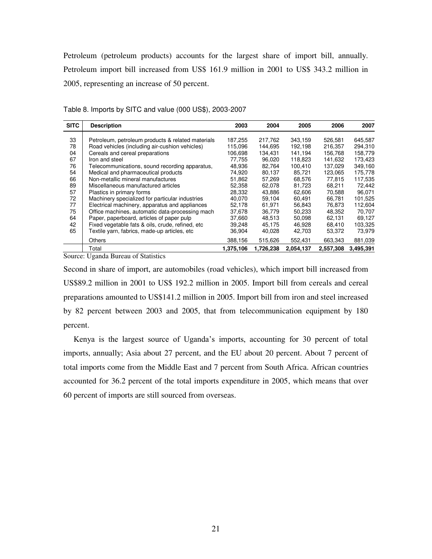Petroleum (petroleum products) accounts for the largest share of import bill, annually. Petroleum import bill increased from US\$ 161.9 million in 2001 to US\$ 343.2 million in 2005, representing an increase of 50 percent.

| <b>SITC</b> | <b>Description</b>                                | 2003      | 2004      | 2005      | 2006      | 2007             |
|-------------|---------------------------------------------------|-----------|-----------|-----------|-----------|------------------|
| 33          | Petroleum, petroleum products & related materials | 187,255   | 217,762   | 343,159   | 526,581   | 645,587          |
| 78          | Road vehicles (including air-cushion vehicles)    | 115,096   | 144.695   | 192.198   | 216.357   | 294,310          |
| 04          | Cereals and cereal preparations                   | 106,698   | 134,431   | 141,194   | 156,768   | 158,779          |
| 67          | Iron and steel                                    | 77.755    | 96.020    | 118.823   | 141.632   | 173.423          |
| 76          | Telecommunications, sound recording apparatus,    | 48.936    | 82,764    | 100.410   | 137.029   | 349,160          |
| 54          | Medical and pharmaceutical products               | 74,920    | 80,137    | 85,721    | 123.065   | 175,778          |
| 66          | Non-metallic mineral manufactures                 | 51.862    | 57.269    | 68.576    | 77.815    | 117.535          |
| 89          | Miscellaneous manufactured articles               | 52,358    | 62,078    | 81,723    | 68,211    | 72.442           |
| 57          | Plastics in primary forms                         | 28,332    | 43,886    | 62,606    | 70,588    | 96,071           |
| 72          | Machinery specialized for particular industries   | 40.070    | 59.104    | 60.491    | 66,781    | 101.525          |
| 77          | Electrical machinery, apparatus and appliances    | 52.178    | 61.971    | 56.843    | 76.873    | 112.604          |
| 75          | Office machines, automatic data-processing mach   | 37,678    | 36,779    | 50,233    | 48,352    | 70,707<br>69.127 |
| 64          | Paper, paperboard, articles of paper pulp         | 37.660    | 48.513    | 50.098    | 62.131    | 103,325          |
| 42          | Fixed vegetable fats & oils, crude, refined, etc. | 39,248    | 45,175    | 46,928    | 68,410    |                  |
| 65          | Textile yarn, fabrics, made-up articles, etc      | 36,904    | 40,028    | 42,703    | 53,372    | 73,979           |
|             | <b>Others</b>                                     | 388,156   | 515,626   | 552.431   | 663,343   | 881,039          |
|             | Total                                             | 1,375,106 | 1,726,238 | 2,054,137 | 2,557,308 | 3,495,391        |

Table 8. Imports by SITC and value (000 US\$), 2003-2007

Source: Uganda Bureau of Statistics

Second in share of import, are automobiles (road vehicles), which import bill increased from US\$89.2 million in 2001 to US\$ 192.2 million in 2005. Import bill from cereals and cereal preparations amounted to US\$141.2 million in 2005. Import bill from iron and steel increased by 82 percent between 2003 and 2005, that from telecommunication equipment by 180 percent.

Kenya is the largest source of Uganda's imports, accounting for 30 percent of total imports, annually; Asia about 27 percent, and the EU about 20 percent. About 7 percent of total imports come from the Middle East and 7 percent from South Africa. African countries accounted for 36.2 percent of the total imports expenditure in 2005, which means that over 60 percent of imports are still sourced from overseas.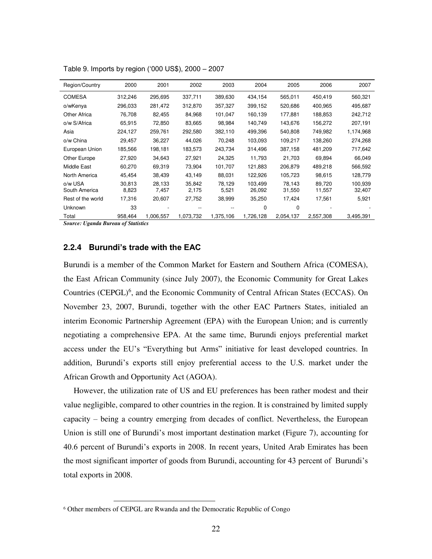| Region/Country           | 2000            | 2001            | 2002            | 2003            | 2004              | 2005             | 2006             | 2007              |
|--------------------------|-----------------|-----------------|-----------------|-----------------|-------------------|------------------|------------------|-------------------|
| <b>COMESA</b>            | 312,246         | 295,695         | 337,711         | 389,630         | 434,154           | 565,011          | 450,419          | 560,321           |
| o/wKenya                 | 296,033         | 281,472         | 312,870         | 357,327         | 399,152           | 520,686          | 400,965          | 495,687           |
| Other Africa             | 76,708          | 82,455          | 84,968          | 101,047         | 160,139           | 177,881          | 188,853          | 242,712           |
| o/w S/Africa             | 65,915          | 72,850          | 83,665          | 98.984          | 140,749           | 143.676          | 156.272          | 207,191           |
| Asia                     | 224,127         | 259,761         | 292,580         | 382,110         | 499,396           | 540,808          | 749,982          | 1,174,968         |
| o/w China                | 29,457          | 36,227          | 44,026          | 70,248          | 103,093           | 109,217          | 138,260          | 274,268           |
| European Union           | 185,566         | 198,181         | 183,573         | 243,734         | 314,496           | 387,158          | 481,209          | 717,642           |
| Other Europe             | 27,920          | 34,643          | 27,921          | 24,325          | 11,793            | 21,703           | 69,894           | 66,049            |
| Middle East              | 60,270          | 69,319          | 73,904          | 101,707         | 121,883           | 206,879          | 489,218          | 566,592           |
| North America            | 45,454          | 38,439          | 43,149          | 88,031          | 122,926           | 105,723          | 98,615           | 128,779           |
| o/w USA<br>South America | 30.813<br>8,823 | 28,133<br>7,457 | 35,842<br>2,175 | 78,129<br>5,521 | 103.499<br>26,092 | 78.143<br>31,550 | 89.720<br>11,557 | 100,939<br>32,407 |
| Rest of the world        | 17,316          | 20,607          | 27,752          | 38,999          | 35,250            | 17,424           | 17,561           | 5,921             |
| <b>Unknown</b>           | 33              |                 |                 |                 | $\Omega$          | 0                |                  |                   |
| Total                    | 958,464         | 1.006,557       | 1,073,732       | 1,375,106       | 1,726,128         | 2,054,137        | 2,557,308        | 3,495,391         |

Table 9. Imports by region ('000 US\$), 2000 – 2007

*Source: Uganda Bureau of Statistics*

 $\overline{a}$ 

#### **2.2.4 Burundi's trade with the EAC**

Burundi is a member of the Common Market for Eastern and Southern Africa (COMESA), the East African Community (since July 2007), the Economic Community for Great Lakes Countries (CEPGL)<sup>6</sup>, and the Economic Community of Central African States (ECCAS). On November 23, 2007, Burundi, together with the other EAC Partners States, initialed an interim Economic Partnership Agreement (EPA) with the European Union; and is currently negotiating a comprehensive EPA. At the same time, Burundi enjoys preferential market access under the EU's "Everything but Arms" initiative for least developed countries. In addition, Burundi's exports still enjoy preferential access to the U.S. market under the African Growth and Opportunity Act (AGOA).

However, the utilization rate of US and EU preferences has been rather modest and their value negligible, compared to other countries in the region. It is constrained by limited supply capacity – being a country emerging from decades of conflict. Nevertheless, the European Union is still one of Burundi's most important destination market (Figure 7), accounting for 40.6 percent of Burundi's exports in 2008. In recent years, United Arab Emirates has been the most significant importer of goods from Burundi, accounting for 43 percent of Burundi's total exports in 2008.

<sup>6</sup> Other members of CEPGL are Rwanda and the Democratic Republic of Congo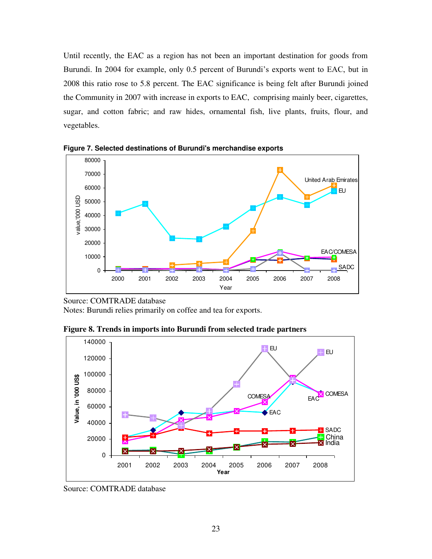Until recently, the EAC as a region has not been an important destination for goods from Burundi. In 2004 for example, only 0.5 percent of Burundi's exports went to EAC, but in 2008 this ratio rose to 5.8 percent. The EAC significance is being felt after Burundi joined the Community in 2007 with increase in exports to EAC, comprising mainly beer, cigarettes, sugar, and cotton fabric; and raw hides, ornamental fish, live plants, fruits, flour, and vegetables.



**Figure 7. Selected destinations of Burundi's merchandise exports**

Source: COMTRADE database

Notes: Burundi relies primarily on coffee and tea for exports.

**Figure 8. Trends in imports into Burundi from selected trade partners**



Source: COMTRADE database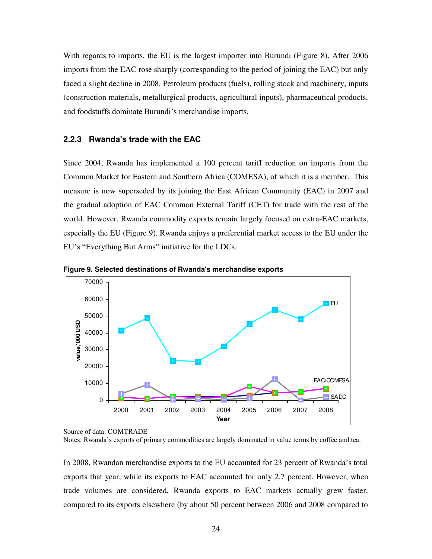With regards to imports, the EU is the largest importer into Burundi (Figure 8). After 2006 imports from the EAC rose sharply (corresponding to the period of joining the EAC) but only faced a slight decline in 2008. Petroleum products (fuels), rolling stock and machinery, inputs (construction materials, metallurgical products, agricultural inputs), pharmaceutical products, and foodstuffs dominate Burundi's merchandise imports.

#### **2.2.3 Rwanda's trade with the EAC**

Since 2004, Rwanda has implemented a 100 percent tariff reduction on imports from the Common Market for Eastern and Southern Africa (COMESA), of which it is a member. This measure is now superseded by its joining the East African Community (EAC) in 2007 and the gradual adoption of EAC Common External Tariff (CET) for trade with the rest of the world. However, Rwanda commodity exports remain largely focused on extra-EAC markets, especially the EU (Figure 9). Rwanda enjoys a preferential market access to the EU under the EU's "Everything But Arms" initiative for the LDCs.



**Figure 9. Selected destinations of Rwanda's merchandise exports**

In 2008, Rwandan merchandise exports to the EU accounted for 23 percent of Rwanda's total exports that year, while its exports to EAC accounted for only 2.7 percent. However, when trade volumes are considered, Rwanda exports to EAC markets actually grew faster, compared to its exports elsewhere (by about 50 percent between 2006 and 2008 compared to

Source of data: COMTRADE

Notes: Rwanda's exports of primary commodities are largely dominated in value terms by coffee and tea.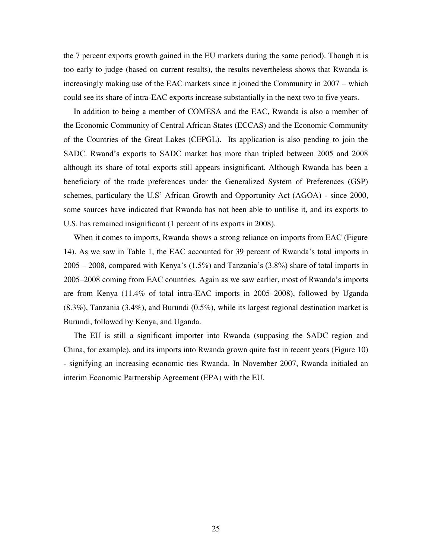the 7 percent exports growth gained in the EU markets during the same period). Though it is too early to judge (based on current results), the results nevertheless shows that Rwanda is increasingly making use of the EAC markets since it joined the Community in 2007 – which could see its share of intra-EAC exports increase substantially in the next two to five years.

In addition to being a member of COMESA and the EAC, Rwanda is also a member of the Economic Community of Central African States (ECCAS) and the Economic Community of the Countries of the Great Lakes (CEPGL). Its application is also pending to join the SADC. Rwand's exports to SADC market has more than tripled between 2005 and 2008 although its share of total exports still appears insignificant. Although Rwanda has been a beneficiary of the trade preferences under the Generalized System of Preferences (GSP) schemes, particulary the U.S' African Growth and Opportunity Act (AGOA) - since 2000, some sources have indicated that Rwanda has not been able to untilise it, and its exports to U.S. has remained insignificant (1 percent of its exports in 2008).

When it comes to imports, Rwanda shows a strong reliance on imports from EAC (Figure 14). As we saw in Table 1, the EAC accounted for 39 percent of Rwanda's total imports in 2005 – 2008, compared with Kenya's (1.5%) and Tanzania's (3.8%) share of total imports in 2005–2008 coming from EAC countries. Again as we saw earlier, most of Rwanda's imports are from Kenya (11.4% of total intra-EAC imports in 2005–2008), followed by Uganda  $(8.3\%)$ , Tanzania  $(3.4\%)$ , and Burundi  $(0.5\%)$ , while its largest regional destination market is Burundi, followed by Kenya, and Uganda.

The EU is still a significant importer into Rwanda (suppasing the SADC region and China, for example), and its imports into Rwanda grown quite fast in recent years (Figure 10) - signifying an increasing economic ties Rwanda. In November 2007, Rwanda initialed an interim Economic Partnership Agreement (EPA) with the EU.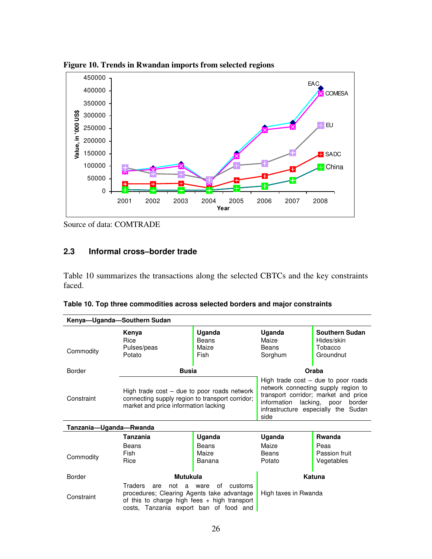

**Figure 10. Trends in Rwandan imports from selected regions**

Source of data: COMTRADE

# **2.3 Informal cross–border trade**

Table 10 summarizes the transactions along the selected CBTCs and the key constraints faced.

|  | Table 10. Top three commodities across selected borders and major constraints |  |  |
|--|-------------------------------------------------------------------------------|--|--|
|--|-------------------------------------------------------------------------------|--|--|

| Kenya-Uganda-Southern Sudan |                                                                                                                                                                      |                                  |                                                                                                                                                                                                               |                                                      |  |
|-----------------------------|----------------------------------------------------------------------------------------------------------------------------------------------------------------------|----------------------------------|---------------------------------------------------------------------------------------------------------------------------------------------------------------------------------------------------------------|------------------------------------------------------|--|
| Commodity                   | Kenya<br>Rice<br>Pulses/peas<br>Potato                                                                                                                               | Uganda<br>Beans<br>Maize<br>Fish | Uganda<br>Maize<br>Beans<br>Sorghum                                                                                                                                                                           | Southern Sudan<br>Hides/skin<br>Tobacco<br>Groundnut |  |
| <b>Border</b>               | <b>Busia</b>                                                                                                                                                         |                                  |                                                                                                                                                                                                               | Oraba                                                |  |
| Constraint                  | High trade cost – due to poor roads network<br>connecting supply region to transport corridor;<br>market and price information lacking                               |                                  | High trade $cost - due to poor roads$<br>network connecting supply region to<br>transport corridor; market and price<br>information<br>lacking, poor<br>border<br>infrastructure especially the Sudan<br>side |                                                      |  |
| Tanzania-Uganda-Rwanda      |                                                                                                                                                                      |                                  |                                                                                                                                                                                                               |                                                      |  |
|                             | <b>Tanzania</b>                                                                                                                                                      | Uganda                           | Uganda                                                                                                                                                                                                        | <b>Rwanda</b>                                        |  |
| Commodity                   | Beans<br>Fish<br>Rice                                                                                                                                                | Beans<br>Maize<br>Banana         | Maize<br>Beans<br>Potato                                                                                                                                                                                      | Peas<br>Passion fruit<br>Vegetables                  |  |
| <b>Border</b>               | <b>Mutukula</b>                                                                                                                                                      |                                  | Katuna                                                                                                                                                                                                        |                                                      |  |
| Constraint                  | Traders<br>are<br>not<br>a<br>procedures; Clearing Agents take advantage<br>of this to charge high fees $+$ high transport<br>costs, Tanzania export ban of food and | οf<br>customs<br>ware            | High taxes in Rwanda                                                                                                                                                                                          |                                                      |  |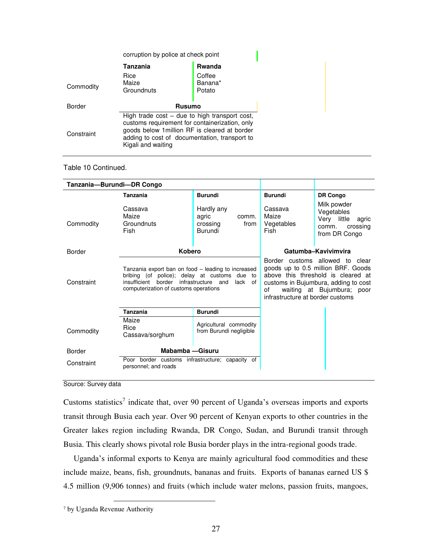|            | corruption by police at check point                                                                                                                                                                                        |                             |  |
|------------|----------------------------------------------------------------------------------------------------------------------------------------------------------------------------------------------------------------------------|-----------------------------|--|
|            | Tanzania                                                                                                                                                                                                                   | <b>Rwanda</b>               |  |
| Commodity  | Rice<br>Maize<br>Groundnuts                                                                                                                                                                                                | Coffee<br>Banana*<br>Potato |  |
| Border     | <b>Rusumo</b>                                                                                                                                                                                                              |                             |  |
| Constraint | High trade $cost - due to high transport cost$ ,<br>customs requirement for containerization, only<br>goods below 1 million RF is cleared at border<br>adding to cost of documentation, transport to<br>Kigali and waiting |                             |  |

# Table 10 Continued.

| Tanzania-Burundi-DR Congo |                                                                                                                                                                                                           |                                                             |                                        |                                                                                                                                                                                   |
|---------------------------|-----------------------------------------------------------------------------------------------------------------------------------------------------------------------------------------------------------|-------------------------------------------------------------|----------------------------------------|-----------------------------------------------------------------------------------------------------------------------------------------------------------------------------------|
|                           | <b>Tanzania</b>                                                                                                                                                                                           | <b>Burundi</b>                                              | <b>Burundi</b>                         | DR Congo                                                                                                                                                                          |
| Commodity                 | Cassava<br>Maize<br>Groundnuts<br>Fish                                                                                                                                                                    | Hardly any<br>agric<br>comm.<br>crossing<br>from<br>Burundi | Cassava<br>Maize<br>Vegetables<br>Fish | Milk powder<br>Vegetables<br>Very little agric<br>crossing<br>comm.<br>from DR Congo                                                                                              |
| <b>Border</b>             | <b>Kobero</b>                                                                                                                                                                                             |                                                             |                                        | Gatumba-Kavivimvira                                                                                                                                                               |
| Constraint                | Tanzania export ban on food – leading to increased<br>bribing (of police); delay at customs due<br>to<br>border<br>infrastructure and<br>insufficient<br>lack of<br>computerization of customs operations |                                                             | of<br>infrastructure at border customs | Border customs allowed to clear<br>goods up to 0.5 million BRF. Goods<br>above this threshold is cleared at<br>customs in Bujumbura, adding to cost<br>waiting at Bujumbura; poor |
|                           | <b>Tanzania</b>                                                                                                                                                                                           | <b>Burundi</b>                                              |                                        |                                                                                                                                                                                   |
| Commodity                 | Maize<br>Rice<br>Cassava/sorghum                                                                                                                                                                          | Agricultural commodity<br>from Burundi negligible           |                                        |                                                                                                                                                                                   |
| <b>Border</b>             | Mabamba - Gisuru                                                                                                                                                                                          |                                                             |                                        |                                                                                                                                                                                   |
| Constraint                | Poor border customs infrastructure; capacity of<br>personnel; and roads                                                                                                                                   |                                                             |                                        |                                                                                                                                                                                   |

Source: Survey data

Customs statistics<sup>7</sup> indicate that, over 90 percent of Uganda's overseas imports and exports transit through Busia each year. Over 90 percent of Kenyan exports to other countries in the Greater lakes region including Rwanda, DR Congo, Sudan, and Burundi transit through Busia. This clearly shows pivotal role Busia border plays in the intra-regional goods trade.

Uganda's informal exports to Kenya are mainly agricultural food commodities and these include maize, beans, fish, groundnuts, bananas and fruits. Exports of bananas earned US \$ 4.5 million (9,906 tonnes) and fruits (which include water melons, passion fruits, mangoes,

 $\overline{a}$ 

<sup>7</sup> by Uganda Revenue Authority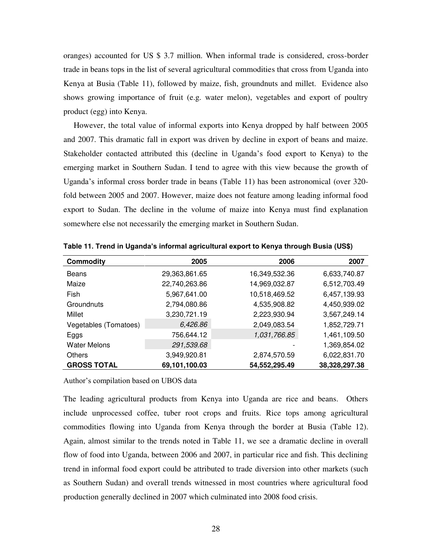oranges) accounted for US \$ 3.7 million. When informal trade is considered, cross-border trade in beans tops in the list of several agricultural commodities that cross from Uganda into Kenya at Busia (Table 11), followed by maize, fish, groundnuts and millet. Evidence also shows growing importance of fruit (e.g. water melon), vegetables and export of poultry product (egg) into Kenya.

However, the total value of informal exports into Kenya dropped by half between 2005 and 2007. This dramatic fall in export was driven by decline in export of beans and maize. Stakeholder contacted attributed this (decline in Uganda's food export to Kenya) to the emerging market in Southern Sudan. I tend to agree with this view because the growth of Uganda's informal cross border trade in beans (Table 11) has been astronomical (over 320 fold between 2005 and 2007. However, maize does not feature among leading informal food export to Sudan. The decline in the volume of maize into Kenya must find explanation somewhere else not necessarily the emerging market in Southern Sudan.

| <b>Commodity</b>      | 2005          | 2006          | 2007          |
|-----------------------|---------------|---------------|---------------|
| Beans                 | 29,363,861.65 | 16,349,532.36 | 6,633,740.87  |
| Maize                 | 22,740,263.86 | 14,969,032.87 | 6,512,703.49  |
| Fish                  | 5,967,641.00  | 10,518,469.52 | 6,457,139.93  |
| Groundnuts            | 2,794,080.86  | 4,535,908.82  | 4,450,939.02  |
| Millet                | 3,230,721.19  | 2,223,930.94  | 3,567,249.14  |
| Vegetables (Tomatoes) | 6,426.86      | 2,049,083.54  | 1,852,729.71  |
| Eggs                  | 756,644.12    | 1,031,766.85  | 1,461,109.50  |
| <b>Water Melons</b>   | 291,539.68    |               | 1,369,854.02  |
| <b>Others</b>         | 3,949,920.81  | 2,874,570.59  | 6,022,831.70  |
| <b>GROSS TOTAL</b>    | 69,101,100.03 | 54,552,295.49 | 38,328,297.38 |

**Table 11. Trend in Uganda's informal agricultural export to Kenya through Busia (US\$)** 

Author's compilation based on UBOS data

The leading agricultural products from Kenya into Uganda are rice and beans. Others include unprocessed coffee, tuber root crops and fruits. Rice tops among agricultural commodities flowing into Uganda from Kenya through the border at Busia (Table 12). Again, almost similar to the trends noted in Table 11, we see a dramatic decline in overall flow of food into Uganda, between 2006 and 2007, in particular rice and fish. This declining trend in informal food export could be attributed to trade diversion into other markets (such as Southern Sudan) and overall trends witnessed in most countries where agricultural food production generally declined in 2007 which culminated into 2008 food crisis.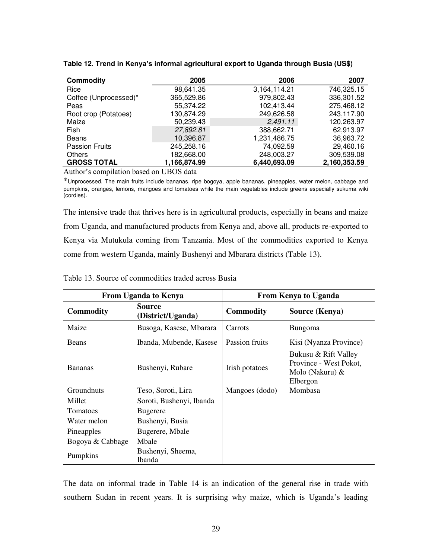| <b>Commodity</b>      | 2005         | 2006         | 2007         |
|-----------------------|--------------|--------------|--------------|
| Rice                  | 98,641.35    | 3,164,114.21 | 746,325.15   |
| Coffee (Unprocessed)* | 365,529.86   | 979,802.43   | 336,301.52   |
| Peas                  | 55,374.22    | 102,413.44   | 275,468.12   |
| Root crop (Potatoes)  | 130,874.29   | 249,626.58   | 243,117.90   |
| Maize                 | 50,239.43    | 2,491.11     | 120,263.97   |
| Fish                  | 27,892.81    | 388,662.71   | 62,913.97    |
| <b>Beans</b>          | 10,396.87    | 1,231,486.75 | 36,963.72    |
| <b>Passion Fruits</b> | 245,258.16   | 74,092.59    | 29,460.16    |
| <b>Others</b>         | 182,668.00   | 248,003.27   | 309,539.08   |
| <b>GROSS TOTAL</b>    | 1,166,874.99 | 6,440,693.09 | 2,160,353.59 |

**Table 12. Trend in Kenya's informal agricultural export to Uganda through Busia (US\$)** 

Author's compilation based on UBOS data

\*Unprocessed. The main fruits include bananas, ripe bogoya, apple bananas, pineapples, water melon, cabbage and pumpkins, oranges, lemons, mangoes and tomatoes while the main vegetables include greens especially sukuma wiki (cordies).

The intensive trade that thrives here is in agricultural products, especially in beans and maize from Uganda, and manufactured products from Kenya and, above all, products re-exported to Kenya via Mutukula coming from Tanzania. Most of the commodities exported to Kenya come from western Uganda, mainly Bushenyi and Mbarara districts (Table 13).

| <b>From Uganda to Kenya</b> |                                    | <b>From Kenya to Uganda</b> |                                                                               |  |
|-----------------------------|------------------------------------|-----------------------------|-------------------------------------------------------------------------------|--|
| <b>Commodity</b>            | <b>Source</b><br>(District/Uganda) | <b>Commodity</b>            | Source (Kenya)                                                                |  |
| Maize                       | Busoga, Kasese, Mbarara            | Carrots                     | <b>Bungoma</b>                                                                |  |
| <b>Beans</b>                | Ibanda, Mubende, Kasese            | Passion fruits              | Kisi (Nyanza Province)                                                        |  |
| <b>Bananas</b>              | Bushenyi, Rubare                   | Irish potatoes              | Bukusu & Rift Valley<br>Province - West Pokot,<br>Molo (Nakuru) &<br>Elbergon |  |
| <b>Groundnuts</b>           | Teso, Soroti, Lira                 | Mangoes (dodo)              | Mombasa                                                                       |  |
| Millet                      | Soroti, Bushenyi, Ibanda           |                             |                                                                               |  |
| <b>Tomatoes</b>             | <b>Bugerere</b>                    |                             |                                                                               |  |
| Water melon                 | Bushenyi, Busia                    |                             |                                                                               |  |
| Pineapples                  | Bugerere, Mbale                    |                             |                                                                               |  |
| Bogoya & Cabbage            | Mbale                              |                             |                                                                               |  |
| Pumpkins                    | Bushenyi, Sheema,<br><b>Ibanda</b> |                             |                                                                               |  |

Table 13. Source of commodities traded across Busia

The data on informal trade in Table 14 is an indication of the general rise in trade with southern Sudan in recent years. It is surprising why maize, which is Uganda's leading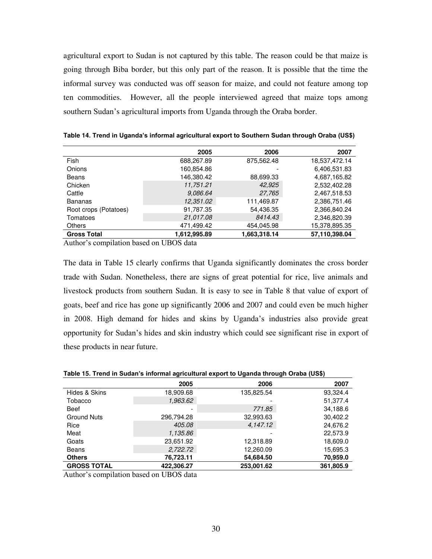agricultural export to Sudan is not captured by this table. The reason could be that maize is going through Biba border, but this only part of the reason. It is possible that the time the informal survey was conducted was off season for maize, and could not feature among top ten commodities. However, all the people interviewed agreed that maize tops among southern Sudan's agricultural imports from Uganda through the Oraba border.

|                       | 2005         | 2006         | 2007          |
|-----------------------|--------------|--------------|---------------|
| <b>Fish</b>           | 688,267.89   | 875,562.48   | 18,537,472.14 |
| Onions                | 160,854.86   |              | 6,406,531.83  |
| Beans                 | 146,380.42   | 88,699.33    | 4,687,165.82  |
| Chicken               | 11,751.21    | 42,925       | 2,532,402.28  |
| Cattle                | 9.086.64     | 27,765       | 2,467,518.53  |
| <b>Bananas</b>        | 12,351.02    | 111,469.87   | 2,386,751.46  |
| Root crops (Potatoes) | 91,787.35    | 54,436.35    | 2,366,840.24  |
| Tomatoes              | 21,017.08    | 8414.43      | 2,346,820.39  |
| <b>Others</b>         | 471.499.42   | 454.045.98   | 15,378,895.35 |
| <b>Gross Total</b>    | 1,612,995.89 | 1,663,318.14 | 57,110,398.04 |

**Table 14. Trend in Uganda's informal agricultural export to Southern Sudan through Oraba (US\$)**

Author's compilation based on UBOS data

The data in Table 15 clearly confirms that Uganda significantly dominates the cross border trade with Sudan. Nonetheless, there are signs of great potential for rice, live animals and livestock products from southern Sudan. It is easy to see in Table 8 that value of export of goats, beef and rice has gone up significantly 2006 and 2007 and could even be much higher in 2008. High demand for hides and skins by Uganda's industries also provide great opportunity for Sudan's hides and skin industry which could see significant rise in export of these products in near future.

|  | Table 15. Trend in Sudan's informal agricultural export to Uganda through Oraba (US\$) |  |
|--|----------------------------------------------------------------------------------------|--|
|--|----------------------------------------------------------------------------------------|--|

|                    | 2005       | 2006       | 2007      |
|--------------------|------------|------------|-----------|
| Hides & Skins      | 18,909.68  | 135,825.54 | 93,324.4  |
| Tobacco            | 1,963.62   |            | 51,377.4  |
| <b>Beef</b>        |            | 771.85     | 34,188.6  |
| <b>Ground Nuts</b> | 296,794.28 | 32,993.63  | 30,402.2  |
| Rice               | 405.08     | 4,147.12   | 24,676.2  |
| Meat               | 1,135.86   |            | 22.573.9  |
| Goats              | 23,651.92  | 12,318.89  | 18,609.0  |
| Beans              | 2,722.72   | 12,260.09  | 15,695.3  |
| <b>Others</b>      | 76,723.11  | 54,684.50  | 70,959.0  |
| <b>GROSS TOTAL</b> | 422.306.27 | 253,001.62 | 361.805.9 |

Author's compilation based on UBOS data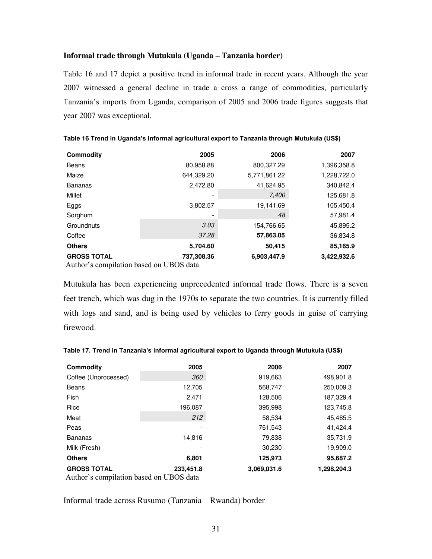# **Informal trade through Mutukula (Uganda – Tanzania border)**

Table 16 and 17 depict a positive trend in informal trade in recent years. Although the year 2007 witnessed a general decline in trade a cross a range of commodities, particularly Tanzania's imports from Uganda, comparison of 2005 and 2006 trade figures suggests that year 2007 was exceptional.

| <b>Commodity</b>   | 2005       | 2006         | 2007        |
|--------------------|------------|--------------|-------------|
| Beans              | 80,958.88  | 800,327.29   | 1,396,358.8 |
| Maize              | 644,329.20 | 5,771,861.22 | 1,228,722.0 |
| <b>Bananas</b>     | 2,472.80   | 41,624.95    | 340,842.4   |
| Millet             | -          | 7,400        | 125,681.8   |
| Eggs               | 3,802.57   | 19,141.69    | 105,450.4   |
| Sorghum            | -          | 48           | 57,981.4    |
| Groundnuts         | 3.03       | 154,766.65   | 45,895.2    |
| Coffee             | 37.28      | 57,863.05    | 36,834.8    |
| <b>Others</b>      | 5,704.60   | 50,415       | 85,165.9    |
| <b>GROSS TOTAL</b> | 737,308.36 | 6,903,447.9  | 3,422,932.6 |
|                    |            |              |             |

|  |  |  | Table 16 Trend in Uganda's informal agricultural export to Tanzania through Mutukula (US\$) |  |
|--|--|--|---------------------------------------------------------------------------------------------|--|
|--|--|--|---------------------------------------------------------------------------------------------|--|

Author's compilation based on UBOS data

Mutukula has been experiencing unprecedented informal trade flows. There is a seven feet trench, which was dug in the 1970s to separate the two countries. It is currently filled with logs and sand, and is being used by vehicles to ferry goods in guise of carrying firewood.

| Commodity                                                     | 2005      | 2006        | 2007        |
|---------------------------------------------------------------|-----------|-------------|-------------|
| Coffee (Unprocessed)                                          | 360       | 919,663     | 498,901.8   |
| Beans                                                         | 12,705    | 568,747     | 250,009.3   |
| <b>Fish</b>                                                   | 2,471     | 128,506     | 187,329.4   |
| Rice                                                          | 196,087   | 395,998     | 123,745.8   |
| Meat                                                          | 212       | 58,534      | 45,465.5    |
| Peas                                                          |           | 761,543     | 41,424.4    |
| <b>Bananas</b>                                                | 14,816    | 79,838      | 35,731.9    |
| Milk (Fresh)                                                  |           | 30,230      | 19,909.0    |
| <b>Others</b>                                                 | 6,801     | 125,973     | 95.687.2    |
| <b>GROSS TOTAL</b><br>Author's compilation based on UBOS data | 233,451.8 | 3.069.031.6 | 1,298,204.3 |

**Table 17. Trend in Tanzania's informal agricultural export to Uganda through Mutukula (US\$)**

Informal trade across Rusumo (Tanzania—Rwanda) border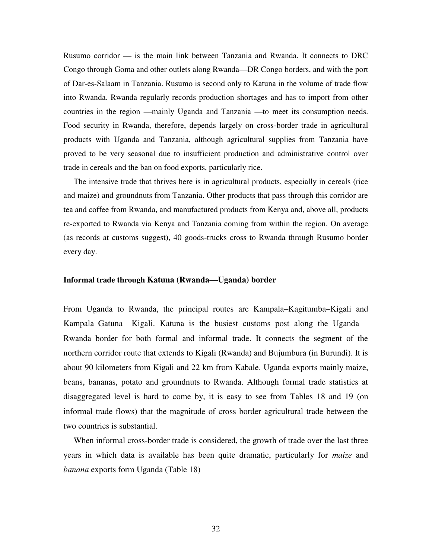Rusumo corridor **—** is the main link between Tanzania and Rwanda. It connects to DRC Congo through Goma and other outlets along Rwanda**—**DR Congo borders, and with the port of Dar-es-Salaam in Tanzania. Rusumo is second only to Katuna in the volume of trade flow into Rwanda. Rwanda regularly records production shortages and has to import from other countries in the region **—**mainly Uganda and Tanzania **—**to meet its consumption needs. Food security in Rwanda, therefore, depends largely on cross-border trade in agricultural products with Uganda and Tanzania, although agricultural supplies from Tanzania have proved to be very seasonal due to insufficient production and administrative control over trade in cereals and the ban on food exports, particularly rice.

The intensive trade that thrives here is in agricultural products, especially in cereals (rice and maize) and groundnuts from Tanzania. Other products that pass through this corridor are tea and coffee from Rwanda, and manufactured products from Kenya and, above all, products re-exported to Rwanda via Kenya and Tanzania coming from within the region. On average (as records at customs suggest), 40 goods-trucks cross to Rwanda through Rusumo border every day.

## **Informal trade through Katuna (Rwanda—Uganda) border**

From Uganda to Rwanda, the principal routes are Kampala–Kagitumba–Kigali and Kampala–Gatuna– Kigali. Katuna is the busiest customs post along the Uganda – Rwanda border for both formal and informal trade. It connects the segment of the northern corridor route that extends to Kigali (Rwanda) and Bujumbura (in Burundi). It is about 90 kilometers from Kigali and 22 km from Kabale. Uganda exports mainly maize, beans, bananas, potato and groundnuts to Rwanda. Although formal trade statistics at disaggregated level is hard to come by, it is easy to see from Tables 18 and 19 (on informal trade flows) that the magnitude of cross border agricultural trade between the two countries is substantial.

When informal cross-border trade is considered, the growth of trade over the last three years in which data is available has been quite dramatic, particularly for *maize* and *banana* exports form Uganda (Table 18)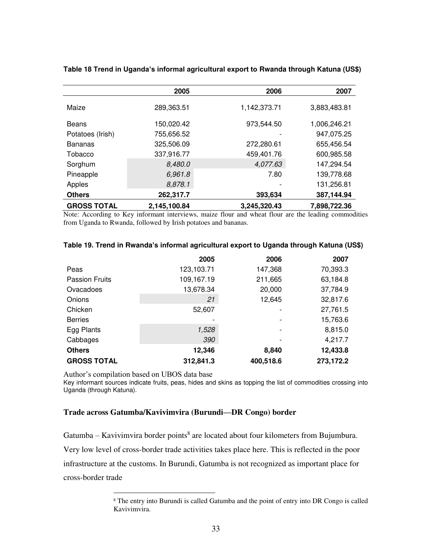|                    | 2005         | 2006         | 2007         |
|--------------------|--------------|--------------|--------------|
| Maize              | 289,363.51   | 1,142,373.71 | 3,883,483.81 |
| Beans              | 150,020.42   | 973,544.50   | 1,006,246.21 |
| Potatoes (Irish)   | 755,656.52   |              | 947,075.25   |
| <b>Bananas</b>     | 325,506.09   | 272,280.61   | 655,456.54   |
| Tobacco            | 337,916.77   | 459,401.76   | 600,985.58   |
| Sorghum            | 8,480.0      | 4,077.63     | 147,294.54   |
| Pineapple          | 6,961.8      | 7.80         | 139,778.68   |
| Apples             | 8,878.1      |              | 131,256.81   |
| <b>Others</b>      | 262,317.7    | 393,634      | 387,144.94   |
| <b>GROSS TOTAL</b> | 2,145,100.84 | 3,245,320.43 | 7,898,722.36 |

**Table 18 Trend in Uganda's informal agricultural export to Rwanda through Katuna (US\$)** 

Note: According to Key informant interviews, maize flour and wheat flour are the leading commodities from Uganda to Rwanda, followed by Irish potatoes and bananas.

|                       | 2005       | 2006      | 2007      |
|-----------------------|------------|-----------|-----------|
| Peas                  | 123,103.71 | 147,368   | 70,393.3  |
| <b>Passion Fruits</b> | 109,167.19 | 211,665   | 63,184.8  |
| Ovacadoes             | 13,678.34  | 20,000    | 37,784.9  |
| Onions                | 21         | 12,645    | 32,817.6  |
| Chicken               | 52,607     |           | 27,761.5  |
| <b>Berries</b>        |            |           | 15,763.6  |
| Egg Plants            | 1,528      |           | 8,815.0   |
| Cabbages              | 390        |           | 4,217.7   |
| <b>Others</b>         | 12,346     | 8,840     | 12,433.8  |
| <b>GROSS TOTAL</b>    | 312,841.3  | 400,518.6 | 273,172.2 |

## **Table 19. Trend in Rwanda's informal agricultural export to Uganda through Katuna (US\$)**

Author's compilation based on UBOS data base

 $\overline{a}$ 

Key informant sources indicate fruits, peas, hides and skins as topping the list of commodities crossing into Uganda (through Katuna).

## **Trade across Gatumba/Kavivimvira (Burundi—DR Congo) border**

Gatumba – Kavivimvira border points $^8$  are located about four kilometers from Bujumbura. Very low level of cross-border trade activities takes place here. This is reflected in the poor infrastructure at the customs. In Burundi, Gatumba is not recognized as important place for cross-border trade

<sup>&</sup>lt;sup>8</sup> The entry into Burundi is called Gatumba and the point of entry into DR Congo is called Kavivimvira.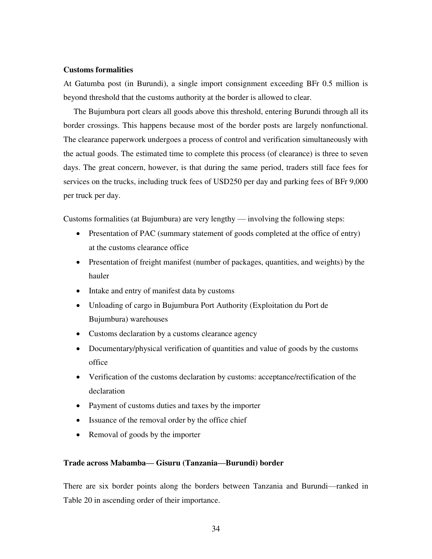## **Customs formalities**

At Gatumba post (in Burundi), a single import consignment exceeding BFr 0.5 million is beyond threshold that the customs authority at the border is allowed to clear.

The Bujumbura port clears all goods above this threshold, entering Burundi through all its border crossings. This happens because most of the border posts are largely nonfunctional. The clearance paperwork undergoes a process of control and verification simultaneously with the actual goods. The estimated time to complete this process (of clearance) is three to seven days. The great concern, however, is that during the same period, traders still face fees for services on the trucks, including truck fees of USD250 per day and parking fees of BFr 9,000 per truck per day.

Customs formalities (at Bujumbura) are very lengthy — involving the following steps:

- Presentation of PAC (summary statement of goods completed at the office of entry) at the customs clearance office
- Presentation of freight manifest (number of packages, quantities, and weights) by the hauler
- Intake and entry of manifest data by customs
- Unloading of cargo in Bujumbura Port Authority (Exploitation du Port de Bujumbura) warehouses
- Customs declaration by a customs clearance agency
- Documentary/physical verification of quantities and value of goods by the customs office
- Verification of the customs declaration by customs: acceptance/rectification of the declaration
- Payment of customs duties and taxes by the importer
- Issuance of the removal order by the office chief
- Removal of goods by the importer

## **Trade across Mabamba— Gisuru (Tanzania—Burundi) border**

There are six border points along the borders between Tanzania and Burundi—ranked in Table 20 in ascending order of their importance.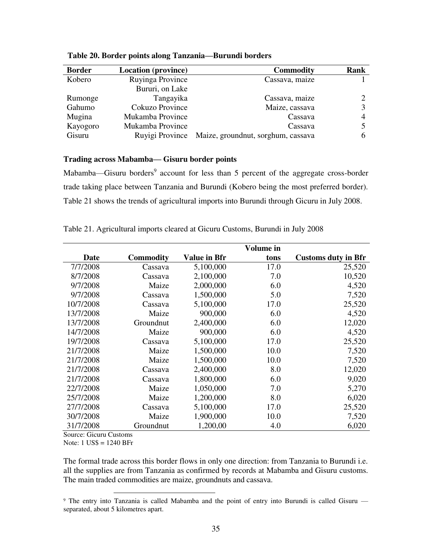| <b>Border</b> | <b>Location</b> (province) | <b>Commodity</b>                   | Rank |
|---------------|----------------------------|------------------------------------|------|
| Kobero        | Ruyinga Province           | Cassava, maize                     |      |
|               | Bururi, on Lake            |                                    |      |
| Rumonge       | Tangayika                  | Cassava, maize                     |      |
| Gahumo        | Cokuzo Province            | Maize, cassava                     |      |
| Mugina        | Mukamba Province           | Cassava                            |      |
| Kayogoro      | Mukamba Province           | Cassava                            |      |
| Gisuru        | Ruyigi Province            | Maize, groundnut, sorghum, cassava | 6    |

**Table 20. Border points along Tanzania—Burundi borders** 

# **Trading across Mabamba— Gisuru border points**

Mabamba—Gisuru borders<sup>9</sup> account for less than 5 percent of the aggregate cross-border trade taking place between Tanzania and Burundi (Kobero being the most preferred border). Table 21 shows the trends of agricultural imports into Burundi through Gicuru in July 2008.

|             |                  |              | Volume in |                            |
|-------------|------------------|--------------|-----------|----------------------------|
| <b>Date</b> | <b>Commodity</b> | Value in Bfr | tons      | <b>Customs duty in Bfr</b> |
| 7/7/2008    | Cassava          | 5,100,000    | 17.0      | 25,520                     |
| 8/7/2008    | Cassava          | 2,100,000    | 7.0       | 10,520                     |
| 9/7/2008    | Maize            | 2,000,000    | 6.0       | 4,520                      |
| 9/7/2008    | Cassava          | 1,500,000    | 5.0       | 7,520                      |
| 10/7/2008   | Cassava          | 5,100,000    | 17.0      | 25,520                     |
| 13/7/2008   | Maize            | 900,000      | 6.0       | 4,520                      |
| 13/7/2008   | Groundnut        | 2,400,000    | 6.0       | 12,020                     |
| 14/7/2008   | Maize            | 900,000      | 6.0       | 4,520                      |
| 19/7/2008   | Cassava          | 5,100,000    | 17.0      | 25,520                     |
| 21/7/2008   | Maize            | 1,500,000    | 10.0      | 7,520                      |
| 21/7/2008   | Maize            | 1,500,000    | 10.0      | 7,520                      |
| 21/7/2008   | Cassava          | 2,400,000    | 8.0       | 12,020                     |
| 21/7/2008   | Cassava          | 1,800,000    | 6.0       | 9,020                      |
| 22/7/2008   | Maize            | 1,050,000    | 7.0       | 5,270                      |
| 25/7/2008   | Maize            | 1,200,000    | 8.0       | 6,020                      |
| 27/7/2008   | Cassava          | 5,100,000    | 17.0      | 25,520                     |
| 30/7/2008   | Maize            | 1,900,000    | 10.0      | 7,520                      |
| 31/7/2008   | Groundnut        | 1,200,00     | 4.0       | 6,020                      |

Table 21. Agricultural imports cleared at Gicuru Customs, Burundi in July 2008

Source: Gicuru Customs

Note: 1 US\$ = 1240 BFr

 $\overline{a}$ 

The formal trade across this border flows in only one direction: from Tanzania to Burundi i.e. all the supplies are from Tanzania as confirmed by records at Mabamba and Gisuru customs. The main traded commodities are maize, groundnuts and cassava.

<sup>&</sup>lt;sup>9</sup> The entry into Tanzania is called Mabamba and the point of entry into Burundi is called Gisuru separated, about 5 kilometres apart.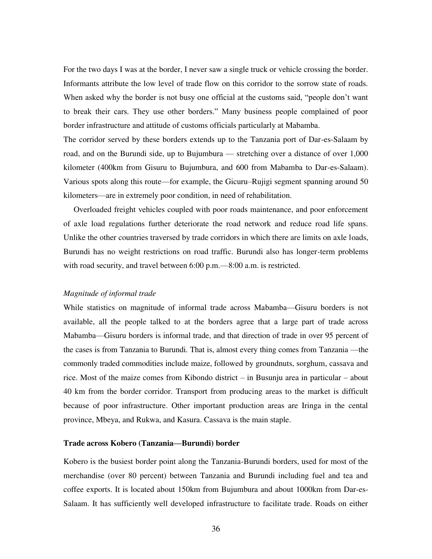For the two days I was at the border, I never saw a single truck or vehicle crossing the border. Informants attribute the low level of trade flow on this corridor to the sorrow state of roads. When asked why the border is not busy one official at the customs said, "people don't want to break their cars. They use other borders." Many business people complained of poor border infrastructure and attitude of customs officials particularly at Mabamba.

The corridor served by these borders extends up to the Tanzania port of Dar-es-Salaam by road, and on the Burundi side, up to Bujumbura — stretching over a distance of over 1,000 kilometer (400km from Gisuru to Bujumbura, and 600 from Mabamba to Dar-es-Salaam). Various spots along this route—for example, the Gicuru–Rujigi segment spanning around 50 kilometers—are in extremely poor condition, in need of rehabilitation.

Overloaded freight vehicles coupled with poor roads maintenance, and poor enforcement of axle load regulations further deteriorate the road network and reduce road life spans. Unlike the other countries traversed by trade corridors in which there are limits on axle loads, Burundi has no weight restrictions on road traffic. Burundi also has longer-term problems with road security, and travel between 6:00 p.m.—8:00 a.m. is restricted.

#### *Magnitude of informal trade*

While statistics on magnitude of informal trade across Mabamba—Gisuru borders is not available, all the people talked to at the borders agree that a large part of trade across Mabamba—Gisuru borders is informal trade, and that direction of trade in over 95 percent of the cases is from Tanzania to Burundi. That is, almost every thing comes from Tanzania —the commonly traded commodities include maize, followed by groundnuts, sorghum, cassava and rice. Most of the maize comes from Kibondo district – in Busunju area in particular – about 40 km from the border corridor. Transport from producing areas to the market is difficult because of poor infrastructure. Other important production areas are Iringa in the cental province, Mbeya, and Rukwa, and Kasura. Cassava is the main staple.

### **Trade across Kobero (Tanzania—Burundi) border**

Kobero is the busiest border point along the Tanzania-Burundi borders, used for most of the merchandise (over 80 percent) between Tanzania and Burundi including fuel and tea and coffee exports. It is located about 150km from Bujumbura and about 1000km from Dar-es-Salaam. It has sufficiently well developed infrastructure to facilitate trade. Roads on either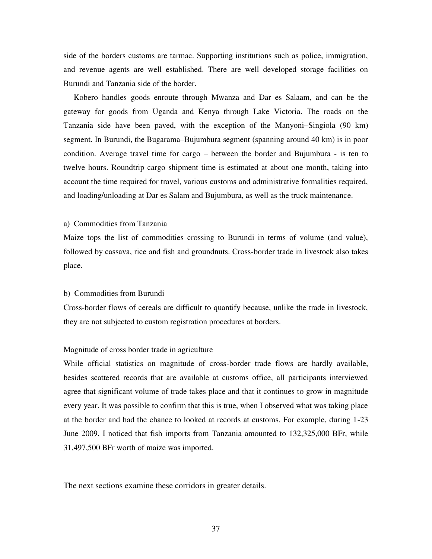side of the borders customs are tarmac. Supporting institutions such as police, immigration, and revenue agents are well established. There are well developed storage facilities on Burundi and Tanzania side of the border.

Kobero handles goods enroute through Mwanza and Dar es Salaam, and can be the gateway for goods from Uganda and Kenya through Lake Victoria. The roads on the Tanzania side have been paved, with the exception of the Manyoni–Singiola (90 km) segment. In Burundi, the Bugarama–Bujumbura segment (spanning around 40 km) is in poor condition. Average travel time for cargo – between the border and Bujumbura - is ten to twelve hours. Roundtrip cargo shipment time is estimated at about one month, taking into account the time required for travel, various customs and administrative formalities required, and loading/unloading at Dar es Salam and Bujumbura, as well as the truck maintenance.

### a) Commodities from Tanzania

Maize tops the list of commodities crossing to Burundi in terms of volume (and value), followed by cassava, rice and fish and groundnuts. Cross-border trade in livestock also takes place.

#### b) Commodities from Burundi

Cross-border flows of cereals are difficult to quantify because, unlike the trade in livestock, they are not subjected to custom registration procedures at borders.

### Magnitude of cross border trade in agriculture

While official statistics on magnitude of cross-border trade flows are hardly available, besides scattered records that are available at customs office, all participants interviewed agree that significant volume of trade takes place and that it continues to grow in magnitude every year. It was possible to confirm that this is true, when I observed what was taking place at the border and had the chance to looked at records at customs. For example, during 1-23 June 2009, I noticed that fish imports from Tanzania amounted to 132,325,000 BFr, while 31,497,500 BFr worth of maize was imported.

The next sections examine these corridors in greater details.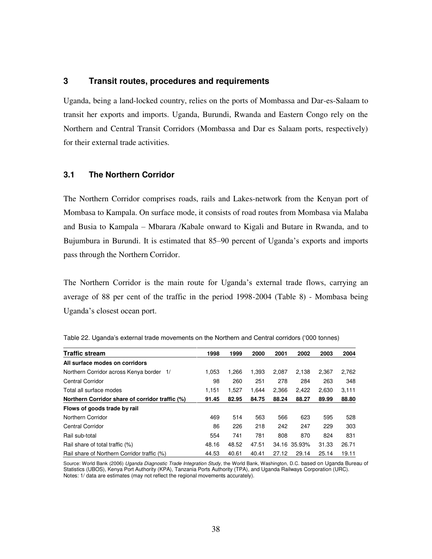# **3 Transit routes, procedures and requirements**

Uganda, being a land-locked country, relies on the ports of Mombassa and Dar-es-Salaam to transit her exports and imports. Uganda, Burundi, Rwanda and Eastern Congo rely on the Northern and Central Transit Corridors (Mombassa and Dar es Salaam ports, respectively) for their external trade activities.

# **3.1 The Northern Corridor**

The Northern Corridor comprises roads, rails and Lakes-network from the Kenyan port of Mombasa to Kampala. On surface mode, it consists of road routes from Mombasa via Malaba and Busia to Kampala – Mbarara /Kabale onward to Kigali and Butare in Rwanda, and to Bujumbura in Burundi. It is estimated that 85–90 percent of Uganda's exports and imports pass through the Northern Corridor.

The Northern Corridor is the main route for Uganda's external trade flows, carrying an average of 88 per cent of the traffic in the period 1998-2004 (Table 8) - Mombasa being Uganda's closest ocean port.

| <b>Traffic stream</b>                           | 1998  | 1999  | 2000  | 2001  | 2002         | 2003  | 2004  |
|-------------------------------------------------|-------|-------|-------|-------|--------------|-------|-------|
| All surface modes on corridors                  |       |       |       |       |              |       |       |
| Northern Corridor across Kenya border 1/        | 1,053 | 1.266 | 1.393 | 2,087 | 2,138        | 2.367 | 2,762 |
| <b>Central Corridor</b>                         | 98    | 260   | 251   | 278   | 284          | 263   | 348   |
| Total all surface modes                         | 1.151 | 1.527 | 1.644 | 2,366 | 2.422        | 2.630 | 3,111 |
| Northern Corridor share of corridor traffic (%) | 91.45 | 82.95 | 84.75 | 88.24 | 88.27        | 89.99 | 88.80 |
| Flows of goods trade by rail                    |       |       |       |       |              |       |       |
| Northern Corridor                               | 469   | 514   | 563   | 566   | 623          | 595   | 528   |
| Central Corridor                                | 86    | 226   | 218   | 242   | 247          | 229   | 303   |
| Rail sub-total                                  | 554   | 741   | 781   | 808   | 870          | 824   | 831   |
| Rail share of total traffic (%)                 | 48.16 | 48.52 | 47.51 |       | 34.16 35.93% | 31.33 | 26.71 |
| Rail share of Northern Corridor traffic (%)     | 44.53 | 40.61 | 40.41 | 27.12 | 29.14        | 25.14 | 19.11 |

| Table 22. Uganda's external trade movements on the Northern and Central corridors ('000 tonnes) |
|-------------------------------------------------------------------------------------------------|
|-------------------------------------------------------------------------------------------------|

Source: World Bank (2006) Uganda Diagnostic Trade Integration Study, the World Bank, Washington, D.C. based on Uganda Bureau of Statistics (UBOS), Kenya Port Authority (KPA), Tanzania Ports Authority (TPA), and Uganda Railways Corporation (URC). Notes: 1/ data are estimates (may not reflect the regional movements accurately).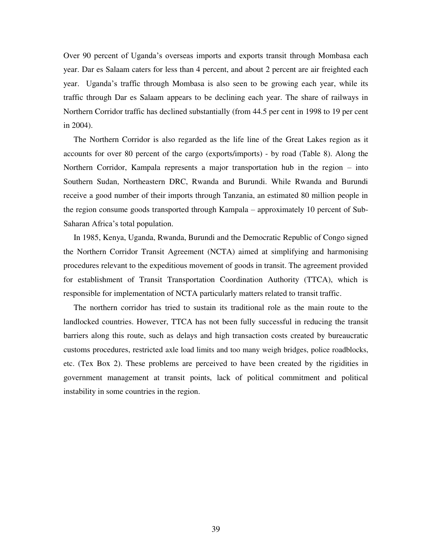Over 90 percent of Uganda's overseas imports and exports transit through Mombasa each year. Dar es Salaam caters for less than 4 percent, and about 2 percent are air freighted each year. Uganda's traffic through Mombasa is also seen to be growing each year, while its traffic through Dar es Salaam appears to be declining each year. The share of railways in Northern Corridor traffic has declined substantially (from 44.5 per cent in 1998 to 19 per cent in 2004).

The Northern Corridor is also regarded as the life line of the Great Lakes region as it accounts for over 80 percent of the cargo (exports/imports) - by road (Table 8). Along the Northern Corridor, Kampala represents a major transportation hub in the region – into Southern Sudan, Northeastern DRC, Rwanda and Burundi. While Rwanda and Burundi receive a good number of their imports through Tanzania, an estimated 80 million people in the region consume goods transported through Kampala – approximately 10 percent of Sub-Saharan Africa's total population.

In 1985, Kenya, Uganda, Rwanda, Burundi and the Democratic Republic of Congo signed the Northern Corridor Transit Agreement (NCTA) aimed at simplifying and harmonising procedures relevant to the expeditious movement of goods in transit. The agreement provided for establishment of Transit Transportation Coordination Authority (TTCA), which is responsible for implementation of NCTA particularly matters related to transit traffic.

The northern corridor has tried to sustain its traditional role as the main route to the landlocked countries. However, TTCA has not been fully successful in reducing the transit barriers along this route, such as delays and high transaction costs created by bureaucratic customs procedures, restricted axle load limits and too many weigh bridges, police roadblocks, etc. (Tex Box 2). These problems are perceived to have been created by the rigidities in government management at transit points, lack of political commitment and political instability in some countries in the region.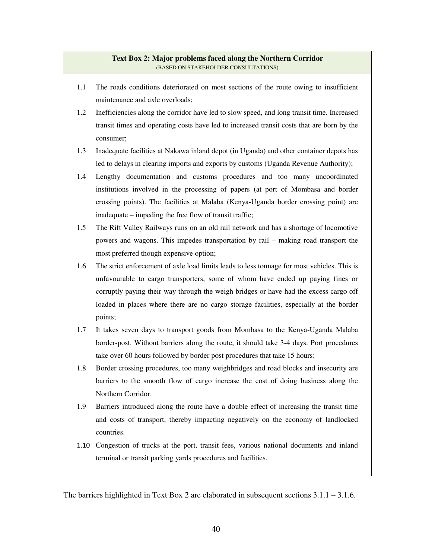## **Text Box 2: Major problems faced along the Northern Corridor**  (BASED ON STAKEHOLDER CONSULTATIONS)

- 1.1 The roads conditions deteriorated on most sections of the route owing to insufficient maintenance and axle overloads;
- 1.2 Inefficiencies along the corridor have led to slow speed, and long transit time. Increased transit times and operating costs have led to increased transit costs that are born by the consumer;
- 1.3 Inadequate facilities at Nakawa inland depot (in Uganda) and other container depots has led to delays in clearing imports and exports by customs (Uganda Revenue Authority);
- 1.4 Lengthy documentation and customs procedures and too many uncoordinated institutions involved in the processing of papers (at port of Mombasa and border crossing points). The facilities at Malaba (Kenya-Uganda border crossing point) are inadequate – impeding the free flow of transit traffic;
- 1.5 The Rift Valley Railways runs on an old rail network and has a shortage of locomotive powers and wagons. This impedes transportation by rail – making road transport the most preferred though expensive option;
- 1.6 The strict enforcement of axle load limits leads to less tonnage for most vehicles. This is unfavourable to cargo transporters, some of whom have ended up paying fines or corruptly paying their way through the weigh bridges or have had the excess cargo off loaded in places where there are no cargo storage facilities, especially at the border points;
- 1.7 It takes seven days to transport goods from Mombasa to the Kenya-Uganda Malaba border-post. Without barriers along the route, it should take 3-4 days. Port procedures take over 60 hours followed by border post procedures that take 15 hours;
- 1.8 Border crossing procedures, too many weighbridges and road blocks and insecurity are barriers to the smooth flow of cargo increase the cost of doing business along the Northern Corridor.
- 1.9 Barriers introduced along the route have a double effect of increasing the transit time and costs of transport, thereby impacting negatively on the economy of landlocked countries.
- 1.10 Congestion of trucks at the port, transit fees, various national documents and inland terminal or transit parking yards procedures and facilities.

The barriers highlighted in Text Box 2 are elaborated in subsequent sections 3.1.1 – 3.1.6.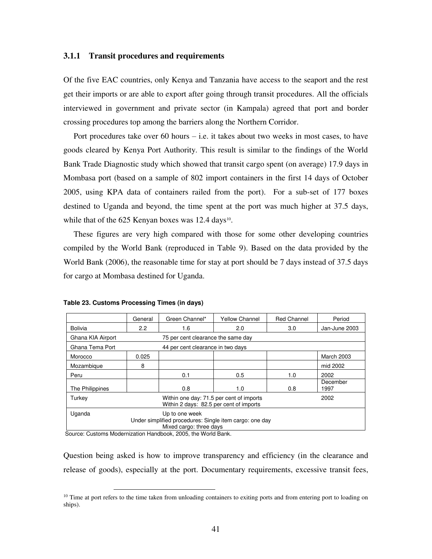### **3.1.1 Transit procedures and requirements**

Of the five EAC countries, only Kenya and Tanzania have access to the seaport and the rest get their imports or are able to export after going through transit procedures. All the officials interviewed in government and private sector (in Kampala) agreed that port and border crossing procedures top among the barriers along the Northern Corridor.

Port procedures take over 60 hours  $-$  i.e. it takes about two weeks in most cases, to have goods cleared by Kenya Port Authority. This result is similar to the findings of the World Bank Trade Diagnostic study which showed that transit cargo spent (on average) 17.9 days in Mombasa port (based on a sample of 802 import containers in the first 14 days of October 2005, using KPA data of containers railed from the port). For a sub-set of 177 boxes destined to Uganda and beyond, the time spent at the port was much higher at 37.5 days, while that of the  $625$  Kenyan boxes was 12.4 days<sup>10</sup>.

These figures are very high compared with those for some other developing countries compiled by the World Bank (reproduced in Table 9). Based on the data provided by the World Bank (2006), the reasonable time for stay at port should be 7 days instead of 37.5 days for cargo at Mombasa destined for Uganda.

|                                                                                                                | General                               | Green Channel*                    | <b>Yellow Channel</b> | <b>Red Channel</b> | Period            |  |  |
|----------------------------------------------------------------------------------------------------------------|---------------------------------------|-----------------------------------|-----------------------|--------------------|-------------------|--|--|
| Bolivia                                                                                                        | $2.2^{\circ}$                         | 1.6                               | 2.0                   | 3.0                | Jan-June 2003     |  |  |
| Ghana KIA Airport                                                                                              | 75 per cent clearance the same day    |                                   |                       |                    |                   |  |  |
| Ghana Tema Port                                                                                                |                                       | 44 per cent clearance in two days |                       |                    |                   |  |  |
| Morocco                                                                                                        | 0.025                                 |                                   |                       |                    | <b>March 2003</b> |  |  |
| Mozambique                                                                                                     | 8                                     |                                   |                       |                    | mid 2002          |  |  |
| Peru                                                                                                           |                                       | 0.1                               | 0.5                   | 1.0                | 2002              |  |  |
| The Philippines                                                                                                | December<br>0.8<br>0.8<br>1.0<br>1997 |                                   |                       |                    |                   |  |  |
| Within one day: 71.5 per cent of imports<br>2002<br>Turkey<br>Within 2 days: 82.5 per cent of imports          |                                       |                                   |                       |                    |                   |  |  |
| Uganda<br>Up to one week<br>Under simplified procedures: Single item cargo: one day<br>Mixed cargo: three days |                                       |                                   |                       |                    |                   |  |  |

**Table 23. Customs Processing Times (in days)** 

Source: Customs Modernization Handbook, 2005, the World Bank.

 $\overline{a}$ 

Question being asked is how to improve transparency and efficiency (in the clearance and release of goods), especially at the port. Documentary requirements, excessive transit fees,

 $10$  Time at port refers to the time taken from unloading containers to exiting ports and from entering port to loading on ships).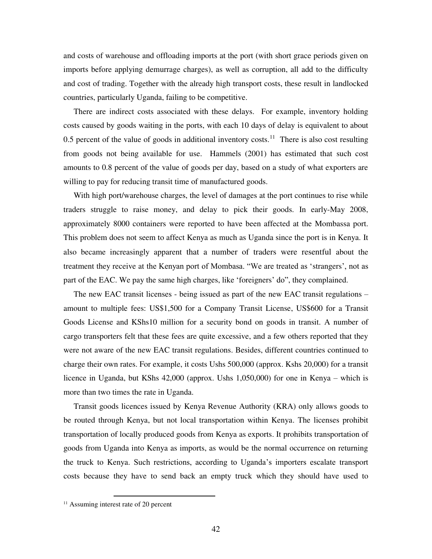and costs of warehouse and offloading imports at the port (with short grace periods given on imports before applying demurrage charges), as well as corruption, all add to the difficulty and cost of trading. Together with the already high transport costs, these result in landlocked countries, particularly Uganda, failing to be competitive.

There are indirect costs associated with these delays. For example, inventory holding costs caused by goods waiting in the ports, with each 10 days of delay is equivalent to about 0.5 percent of the value of goods in additional inventory costs.<sup>11</sup> There is also cost resulting from goods not being available for use. Hammels (2001) has estimated that such cost amounts to 0.8 percent of the value of goods per day, based on a study of what exporters are willing to pay for reducing transit time of manufactured goods.

With high port/warehouse charges, the level of damages at the port continues to rise while traders struggle to raise money, and delay to pick their goods. In early-May 2008, approximately 8000 containers were reported to have been affected at the Mombassa port. This problem does not seem to affect Kenya as much as Uganda since the port is in Kenya. It also became increasingly apparent that a number of traders were resentful about the treatment they receive at the Kenyan port of Mombasa. "We are treated as 'strangers', not as part of the EAC. We pay the same high charges, like 'foreigners' do", they complained.

The new EAC transit licenses - being issued as part of the new EAC transit regulations – amount to multiple fees: US\$1,500 for a Company Transit License, US\$600 for a Transit Goods License and KShs10 million for a security bond on goods in transit. A number of cargo transporters felt that these fees are quite excessive, and a few others reported that they were not aware of the new EAC transit regulations. Besides, different countries continued to charge their own rates. For example, it costs Ushs 500,000 (approx. Kshs 20,000) for a transit licence in Uganda, but KShs 42,000 (approx. Ushs 1,050,000) for one in Kenya – which is more than two times the rate in Uganda.

Transit goods licences issued by Kenya Revenue Authority (KRA) only allows goods to be routed through Kenya, but not local transportation within Kenya. The licenses prohibit transportation of locally produced goods from Kenya as exports. It prohibits transportation of goods from Uganda into Kenya as imports, as would be the normal occurrence on returning the truck to Kenya. Such restrictions, according to Uganda's importers escalate transport costs because they have to send back an empty truck which they should have used to

 $\overline{a}$ <sup>11</sup> Assuming interest rate of 20 percent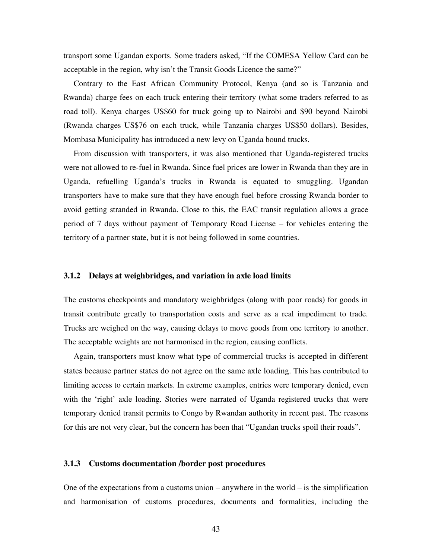transport some Ugandan exports. Some traders asked, "If the COMESA Yellow Card can be acceptable in the region, why isn't the Transit Goods Licence the same?"

Contrary to the East African Community Protocol, Kenya (and so is Tanzania and Rwanda) charge fees on each truck entering their territory (what some traders referred to as road toll). Kenya charges US\$60 for truck going up to Nairobi and \$90 beyond Nairobi (Rwanda charges US\$76 on each truck, while Tanzania charges US\$50 dollars). Besides, Mombasa Municipality has introduced a new levy on Uganda bound trucks.

From discussion with transporters, it was also mentioned that Uganda-registered trucks were not allowed to re-fuel in Rwanda. Since fuel prices are lower in Rwanda than they are in Uganda, refuelling Uganda's trucks in Rwanda is equated to smuggling. Ugandan transporters have to make sure that they have enough fuel before crossing Rwanda border to avoid getting stranded in Rwanda. Close to this, the EAC transit regulation allows a grace period of 7 days without payment of Temporary Road License – for vehicles entering the territory of a partner state, but it is not being followed in some countries.

### **3.1.2 Delays at weighbridges, and variation in axle load limits**

The customs checkpoints and mandatory weighbridges (along with poor roads) for goods in transit contribute greatly to transportation costs and serve as a real impediment to trade. Trucks are weighed on the way, causing delays to move goods from one territory to another. The acceptable weights are not harmonised in the region, causing conflicts.

Again, transporters must know what type of commercial trucks is accepted in different states because partner states do not agree on the same axle loading. This has contributed to limiting access to certain markets. In extreme examples, entries were temporary denied, even with the 'right' axle loading. Stories were narrated of Uganda registered trucks that were temporary denied transit permits to Congo by Rwandan authority in recent past. The reasons for this are not very clear, but the concern has been that "Ugandan trucks spoil their roads".

#### **3.1.3 Customs documentation /border post procedures**

One of the expectations from a customs union – anywhere in the world – is the simplification and harmonisation of customs procedures, documents and formalities, including the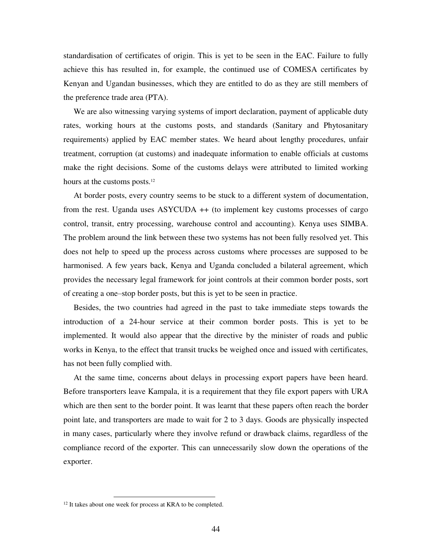standardisation of certificates of origin. This is yet to be seen in the EAC. Failure to fully achieve this has resulted in, for example, the continued use of COMESA certificates by Kenyan and Ugandan businesses, which they are entitled to do as they are still members of the preference trade area (PTA).

We are also witnessing varying systems of import declaration, payment of applicable duty rates, working hours at the customs posts, and standards (Sanitary and Phytosanitary requirements) applied by EAC member states. We heard about lengthy procedures, unfair treatment, corruption (at customs) and inadequate information to enable officials at customs make the right decisions. Some of the customs delays were attributed to limited working hours at the customs posts.<sup>12</sup>

At border posts, every country seems to be stuck to a different system of documentation, from the rest. Uganda uses ASYCUDA ++ (to implement key customs processes of cargo control, transit, entry processing, warehouse control and accounting). Kenya uses SIMBA. The problem around the link between these two systems has not been fully resolved yet. This does not help to speed up the process across customs where processes are supposed to be harmonised. A few years back, Kenya and Uganda concluded a bilateral agreement, which provides the necessary legal framework for joint controls at their common border posts, sort of creating a one–stop border posts, but this is yet to be seen in practice.

Besides, the two countries had agreed in the past to take immediate steps towards the introduction of a 24-hour service at their common border posts. This is yet to be implemented. It would also appear that the directive by the minister of roads and public works in Kenya, to the effect that transit trucks be weighed once and issued with certificates, has not been fully complied with.

At the same time, concerns about delays in processing export papers have been heard. Before transporters leave Kampala, it is a requirement that they file export papers with URA which are then sent to the border point. It was learnt that these papers often reach the border point late, and transporters are made to wait for 2 to 3 days. Goods are physically inspected in many cases, particularly where they involve refund or drawback claims, regardless of the compliance record of the exporter. This can unnecessarily slow down the operations of the exporter.

 $\overline{a}$ 

<sup>&</sup>lt;sup>12</sup> It takes about one week for process at KRA to be completed.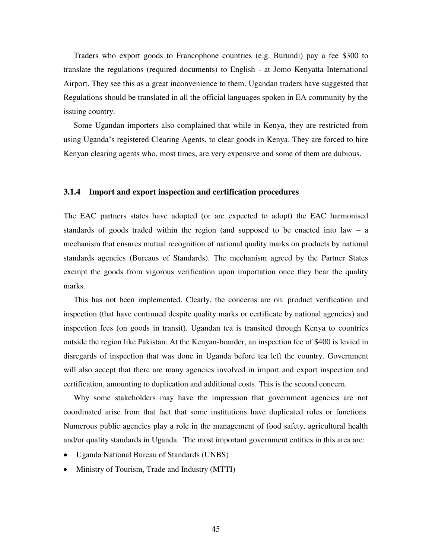Traders who export goods to Francophone countries (e.g. Burundi) pay a fee \$300 to translate the regulations (required documents) to English - at Jomo Kenyatta International Airport. They see this as a great inconvenience to them. Ugandan traders have suggested that Regulations should be translated in all the official languages spoken in EA community by the issuing country.

Some Ugandan importers also complained that while in Kenya, they are restricted from using Uganda's registered Clearing Agents, to clear goods in Kenya. They are forced to hire Kenyan clearing agents who, most times, are very expensive and some of them are dubious.

#### **3.1.4 Import and export inspection and certification procedures**

The EAC partners states have adopted (or are expected to adopt) the EAC harmonised standards of goods traded within the region (and supposed to be enacted into law – a mechanism that ensures mutual recognition of national quality marks on products by national standards agencies (Bureaus of Standards). The mechanism agreed by the Partner States exempt the goods from vigorous verification upon importation once they bear the quality marks.

This has not been implemented. Clearly, the concerns are on: product verification and inspection (that have continued despite quality marks or certificate by national agencies) and inspection fees (on goods in transit). Ugandan tea is transited through Kenya to countries outside the region like Pakistan. At the Kenyan-boarder, an inspection fee of \$400 is levied in disregards of inspection that was done in Uganda before tea left the country. Government will also accept that there are many agencies involved in import and export inspection and certification, amounting to duplication and additional costs. This is the second concern.

Why some stakeholders may have the impression that government agencies are not coordinated arise from that fact that some institutions have duplicated roles or functions. Numerous public agencies play a role in the management of food safety, agricultural health and/or quality standards in Uganda. The most important government entities in this area are:

- Uganda National Bureau of Standards (UNBS)
- Ministry of Tourism, Trade and Industry (MTTI)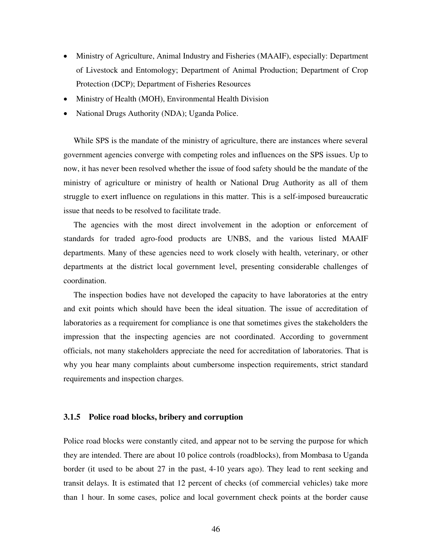- Ministry of Agriculture, Animal Industry and Fisheries (MAAIF), especially: Department of Livestock and Entomology; Department of Animal Production; Department of Crop Protection (DCP); Department of Fisheries Resources
- Ministry of Health (MOH), Environmental Health Division
- National Drugs Authority (NDA); Uganda Police.

While SPS is the mandate of the ministry of agriculture, there are instances where several government agencies converge with competing roles and influences on the SPS issues. Up to now, it has never been resolved whether the issue of food safety should be the mandate of the ministry of agriculture or ministry of health or National Drug Authority as all of them struggle to exert influence on regulations in this matter. This is a self-imposed bureaucratic issue that needs to be resolved to facilitate trade.

The agencies with the most direct involvement in the adoption or enforcement of standards for traded agro-food products are UNBS, and the various listed MAAIF departments. Many of these agencies need to work closely with health, veterinary, or other departments at the district local government level, presenting considerable challenges of coordination.

The inspection bodies have not developed the capacity to have laboratories at the entry and exit points which should have been the ideal situation. The issue of accreditation of laboratories as a requirement for compliance is one that sometimes gives the stakeholders the impression that the inspecting agencies are not coordinated. According to government officials, not many stakeholders appreciate the need for accreditation of laboratories. That is why you hear many complaints about cumbersome inspection requirements, strict standard requirements and inspection charges.

### **3.1.5 Police road blocks, bribery and corruption**

Police road blocks were constantly cited, and appear not to be serving the purpose for which they are intended. There are about 10 police controls (roadblocks), from Mombasa to Uganda border (it used to be about 27 in the past, 4-10 years ago). They lead to rent seeking and transit delays. It is estimated that 12 percent of checks (of commercial vehicles) take more than 1 hour. In some cases, police and local government check points at the border cause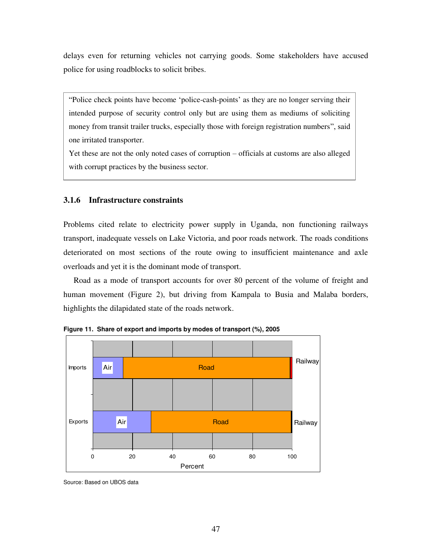delays even for returning vehicles not carrying goods. Some stakeholders have accused police for using roadblocks to solicit bribes.

"Police check points have become 'police-cash-points' as they are no longer serving their intended purpose of security control only but are using them as mediums of soliciting money from transit trailer trucks, especially those with foreign registration numbers", said one irritated transporter.

Yet these are not the only noted cases of corruption – officials at customs are also alleged with corrupt practices by the business sector.

## **3.1.6 Infrastructure constraints**

Problems cited relate to electricity power supply in Uganda, non functioning railways transport, inadequate vessels on Lake Victoria, and poor roads network. The roads conditions deteriorated on most sections of the route owing to insufficient maintenance and axle overloads and yet it is the dominant mode of transport.

Road as a mode of transport accounts for over 80 percent of the volume of freight and human movement (Figure 2), but driving from Kampala to Busia and Malaba borders, highlights the dilapidated state of the roads network.



**Figure 11. Share of export and imports by modes of transport (%), 2005** 

Source: Based on UBOS data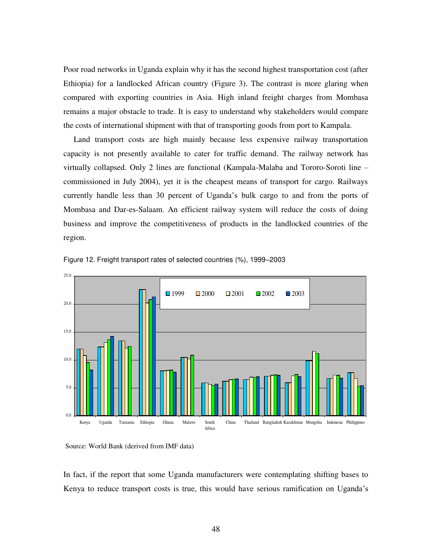Poor road networks in Uganda explain why it has the second highest transportation cost (after Ethiopia) for a landlocked African country (Figure 3). The contrast is more glaring when compared with exporting countries in Asia. High inland freight charges from Mombasa remains a major obstacle to trade. It is easy to understand why stakeholders would compare the costs of international shipment with that of transporting goods from port to Kampala.

Land transport costs are high mainly because less expensive railway transportation capacity is not presently available to cater for traffic demand. The railway network has virtually collapsed. Only 2 lines are functional (Kampala-Malaba and Tororo-Soroti line – commissioned in July 2004), yet it is the cheapest means of transport for cargo. Railways currently handle less than 30 percent of Uganda's bulk cargo to and from the ports of Mombasa and Dar-es-Salaam. An efficient railway system will reduce the costs of doing business and improve the competitiveness of products in the landlocked countries of the region.





In fact, if the report that some Uganda manufacturers were contemplating shifting bases to Kenya to reduce transport costs is true, this would have serious ramification on Uganda's

Source: World Bank (derived from IMF data)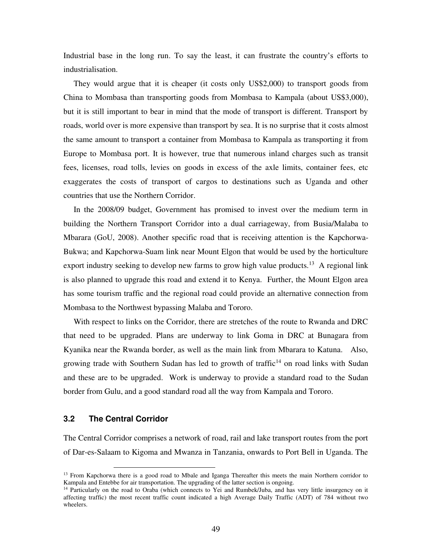Industrial base in the long run. To say the least, it can frustrate the country's efforts to industrialisation.

They would argue that it is cheaper (it costs only US\$2,000) to transport goods from China to Mombasa than transporting goods from Mombasa to Kampala (about US\$3,000), but it is still important to bear in mind that the mode of transport is different. Transport by roads, world over is more expensive than transport by sea. It is no surprise that it costs almost the same amount to transport a container from Mombasa to Kampala as transporting it from Europe to Mombasa port. It is however, true that numerous inland charges such as transit fees, licenses, road tolls, levies on goods in excess of the axle limits, container fees, etc exaggerates the costs of transport of cargos to destinations such as Uganda and other countries that use the Northern Corridor.

In the 2008/09 budget, Government has promised to invest over the medium term in building the Northern Transport Corridor into a dual carriageway, from Busia/Malaba to Mbarara (GoU, 2008). Another specific road that is receiving attention is the Kapchorwa-Bukwa; and Kapchorwa-Suam link near Mount Elgon that would be used by the horticulture export industry seeking to develop new farms to grow high value products.<sup>13</sup> A regional link is also planned to upgrade this road and extend it to Kenya. Further, the Mount Elgon area has some tourism traffic and the regional road could provide an alternative connection from Mombasa to the Northwest bypassing Malaba and Tororo.

With respect to links on the Corridor, there are stretches of the route to Rwanda and DRC that need to be upgraded. Plans are underway to link Goma in DRC at Bunagara from Kyanika near the Rwanda border, as well as the main link from Mbarara to Katuna. Also, growing trade with Southern Sudan has led to growth of traffic<sup>14</sup> on road links with Sudan and these are to be upgraded. Work is underway to provide a standard road to the Sudan border from Gulu, and a good standard road all the way from Kampala and Tororo.

### **3.2 The Central Corridor**

 $\overline{a}$ 

The Central Corridor comprises a network of road, rail and lake transport routes from the port of Dar-es-Salaam to Kigoma and Mwanza in Tanzania, onwards to Port Bell in Uganda. The

<sup>&</sup>lt;sup>13</sup> From Kapchorwa there is a good road to Mbale and Iganga Thereafter this meets the main Northern corridor to Kampala and Entebbe for air transportation. The upgrading of the latter section is ongoing.

<sup>&</sup>lt;sup>14</sup> Particularly on the road to Oraba (which connects to Yei and Rumbek/Juba, and has very little insurgency on it affecting traffic) the most recent traffic count indicated a high Average Daily Traffic (ADT) of 784 without two wheelers.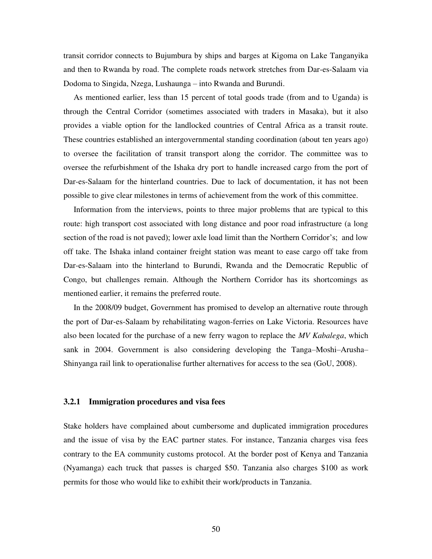transit corridor connects to Bujumbura by ships and barges at Kigoma on Lake Tanganyika and then to Rwanda by road. The complete roads network stretches from Dar-es-Salaam via Dodoma to Singida, Nzega, Lushaunga – into Rwanda and Burundi.

As mentioned earlier, less than 15 percent of total goods trade (from and to Uganda) is through the Central Corridor (sometimes associated with traders in Masaka), but it also provides a viable option for the landlocked countries of Central Africa as a transit route. These countries established an intergovernmental standing coordination (about ten years ago) to oversee the facilitation of transit transport along the corridor. The committee was to oversee the refurbishment of the Ishaka dry port to handle increased cargo from the port of Dar-es-Salaam for the hinterland countries. Due to lack of documentation, it has not been possible to give clear milestones in terms of achievement from the work of this committee.

Information from the interviews, points to three major problems that are typical to this route: high transport cost associated with long distance and poor road infrastructure (a long section of the road is not paved); lower axle load limit than the Northern Corridor's; and low off take. The Ishaka inland container freight station was meant to ease cargo off take from Dar-es-Salaam into the hinterland to Burundi, Rwanda and the Democratic Republic of Congo, but challenges remain. Although the Northern Corridor has its shortcomings as mentioned earlier, it remains the preferred route.

In the 2008/09 budget, Government has promised to develop an alternative route through the port of Dar-es-Salaam by rehabilitating wagon-ferries on Lake Victoria. Resources have also been located for the purchase of a new ferry wagon to replace the *MV Kabalega*, which sank in 2004. Government is also considering developing the Tanga–Moshi–Arusha– Shinyanga rail link to operationalise further alternatives for access to the sea (GoU, 2008).

### **3.2.1 Immigration procedures and visa fees**

Stake holders have complained about cumbersome and duplicated immigration procedures and the issue of visa by the EAC partner states. For instance, Tanzania charges visa fees contrary to the EA community customs protocol. At the border post of Kenya and Tanzania (Nyamanga) each truck that passes is charged \$50. Tanzania also charges \$100 as work permits for those who would like to exhibit their work/products in Tanzania.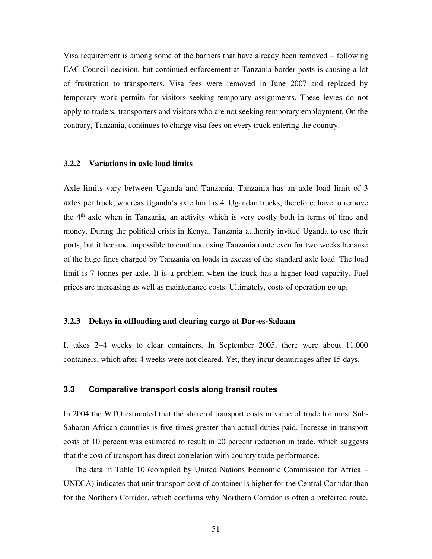Visa requirement is among some of the barriers that have already been removed – following EAC Council decision, but continued enforcement at Tanzania border posts is causing a lot of frustration to transporters. Visa fees were removed in June 2007 and replaced by temporary work permits for visitors seeking temporary assignments. These levies do not apply to traders, transporters and visitors who are not seeking temporary employment. On the contrary, Tanzania, continues to charge visa fees on every truck entering the country.

## **3.2.2 Variations in axle load limits**

Axle limits vary between Uganda and Tanzania. Tanzania has an axle load limit of 3 axles per truck, whereas Uganda's axle limit is 4. Ugandan trucks, therefore, have to remove the  $4<sup>th</sup>$  axle when in Tanzania, an activity which is very costly both in terms of time and money. During the political crisis in Kenya, Tanzania authority invited Uganda to use their ports, but it became impossible to continue using Tanzania route even for two weeks because of the huge fines charged by Tanzania on loads in excess of the standard axle load. The load limit is 7 tonnes per axle. It is a problem when the truck has a higher load capacity. Fuel prices are increasing as well as maintenance costs. Ultimately, costs of operation go up.

#### **3.2.3 Delays in offloading and clearing cargo at Dar-es-Salaam**

It takes 2–4 weeks to clear containers. In September 2005, there were about 11,000 containers, which after 4 weeks were not cleared. Yet, they incur demurrages after 15 days.

## **3.3 Comparative transport costs along transit routes**

In 2004 the WTO estimated that the share of transport costs in value of trade for most Sub-Saharan African countries is five times greater than actual duties paid. Increase in transport costs of 10 percent was estimated to result in 20 percent reduction in trade, which suggests that the cost of transport has direct correlation with country trade performance.

The data in Table 10 (compiled by United Nations Economic Commission for Africa – UNECA) indicates that unit transport cost of container is higher for the Central Corridor than for the Northern Corridor, which confirms why Northern Corridor is often a preferred route.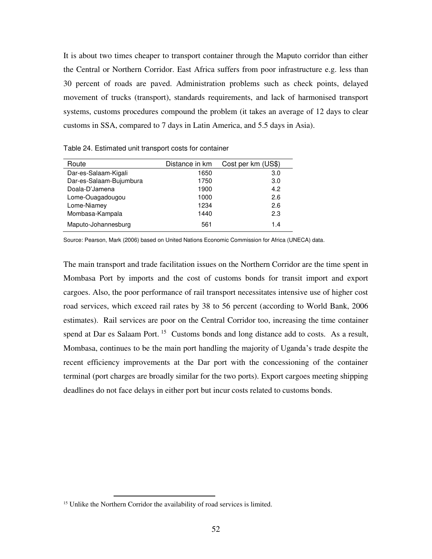It is about two times cheaper to transport container through the Maputo corridor than either the Central or Northern Corridor. East Africa suffers from poor infrastructure e.g. less than 30 percent of roads are paved. Administration problems such as check points, delayed movement of trucks (transport), standards requirements, and lack of harmonised transport systems, customs procedures compound the problem (it takes an average of 12 days to clear customs in SSA, compared to 7 days in Latin America, and 5.5 days in Asia).

| Route                   | Distance in km | Cost per km (US\$) |
|-------------------------|----------------|--------------------|
| Dar-es-Salaam-Kigali    | 1650           | 3.0                |
| Dar-es-Salaam-Bujumbura | 1750           | 3.0                |
| Doala-D'Jamena          | 1900           | 4.2                |
| Lome-Ouagadougou        | 1000           | 2.6                |
| Lome-Niamey             | 1234           | 2.6                |
| Mombasa-Kampala         | 1440           | 2.3                |
| Maputo-Johannesburg     | 561            | 1.4                |

Table 24. Estimated unit transport costs for container

Source: Pearson, Mark (2006) based on United Nations Economic Commission for Africa (UNECA) data.

The main transport and trade facilitation issues on the Northern Corridor are the time spent in Mombasa Port by imports and the cost of customs bonds for transit import and export cargoes. Also, the poor performance of rail transport necessitates intensive use of higher cost road services, which exceed rail rates by 38 to 56 percent (according to World Bank, 2006 estimates). Rail services are poor on the Central Corridor too, increasing the time container spend at Dar es Salaam Port.  $15$  Customs bonds and long distance add to costs. As a result, Mombasa, continues to be the main port handling the majority of Uganda's trade despite the recent efficiency improvements at the Dar port with the concessioning of the container terminal (port charges are broadly similar for the two ports). Export cargoes meeting shipping deadlines do not face delays in either port but incur costs related to customs bonds.

 $\overline{a}$ 

<sup>&</sup>lt;sup>15</sup> Unlike the Northern Corridor the availability of road services is limited.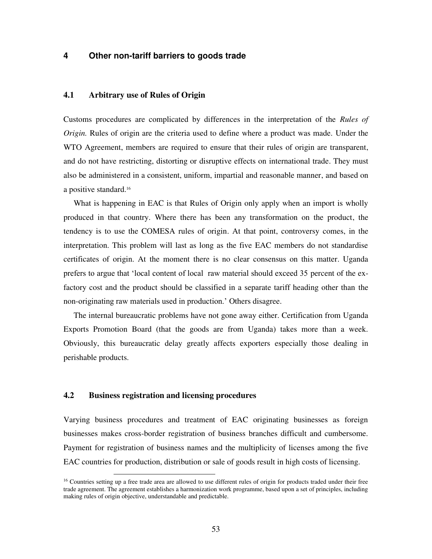# **4 Other non-tariff barriers to goods trade**

## **4.1 Arbitrary use of Rules of Origin**

Customs procedures are complicated by differences in the interpretation of the *Rules of Origin.* Rules of origin are the criteria used to define where a product was made. Under the WTO Agreement, members are required to ensure that their rules of origin are transparent, and do not have restricting, distorting or disruptive effects on international trade. They must also be administered in a consistent, uniform, impartial and reasonable manner, and based on a positive standard.<sup>16</sup>

What is happening in EAC is that Rules of Origin only apply when an import is wholly produced in that country. Where there has been any transformation on the product, the tendency is to use the COMESA rules of origin. At that point, controversy comes, in the interpretation. This problem will last as long as the five EAC members do not standardise certificates of origin. At the moment there is no clear consensus on this matter. Uganda prefers to argue that 'local content of local raw material should exceed 35 percent of the exfactory cost and the product should be classified in a separate tariff heading other than the non-originating raw materials used in production.' Others disagree.

The internal bureaucratic problems have not gone away either. Certification from Uganda Exports Promotion Board (that the goods are from Uganda) takes more than a week. Obviously, this bureaucratic delay greatly affects exporters especially those dealing in perishable products.

## **4.2 Business registration and licensing procedures**

 $\overline{a}$ 

Varying business procedures and treatment of EAC originating businesses as foreign businesses makes cross-border registration of business branches difficult and cumbersome. Payment for registration of business names and the multiplicity of licenses among the five EAC countries for production, distribution or sale of goods result in high costs of licensing.

<sup>&</sup>lt;sup>16</sup> Countries setting up a free trade area are allowed to use different rules of origin for products traded under their free trade agreement. The agreement establishes a harmonization work programme, based upon a set of principles, including making rules of origin objective, understandable and predictable.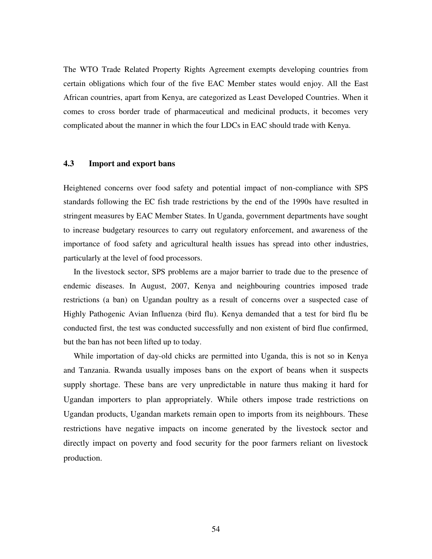The WTO Trade Related Property Rights Agreement exempts developing countries from certain obligations which four of the five EAC Member states would enjoy. All the East African countries, apart from Kenya, are categorized as Least Developed Countries. When it comes to cross border trade of pharmaceutical and medicinal products, it becomes very complicated about the manner in which the four LDCs in EAC should trade with Kenya.

# **4.3 Import and export bans**

Heightened concerns over food safety and potential impact of non-compliance with SPS standards following the EC fish trade restrictions by the end of the 1990s have resulted in stringent measures by EAC Member States. In Uganda, government departments have sought to increase budgetary resources to carry out regulatory enforcement, and awareness of the importance of food safety and agricultural health issues has spread into other industries, particularly at the level of food processors.

In the livestock sector, SPS problems are a major barrier to trade due to the presence of endemic diseases. In August, 2007, Kenya and neighbouring countries imposed trade restrictions (a ban) on Ugandan poultry as a result of concerns over a suspected case of Highly Pathogenic Avian Influenza (bird flu). Kenya demanded that a test for bird flu be conducted first, the test was conducted successfully and non existent of bird flue confirmed, but the ban has not been lifted up to today.

While importation of day-old chicks are permitted into Uganda, this is not so in Kenya and Tanzania. Rwanda usually imposes bans on the export of beans when it suspects supply shortage. These bans are very unpredictable in nature thus making it hard for Ugandan importers to plan appropriately. While others impose trade restrictions on Ugandan products, Ugandan markets remain open to imports from its neighbours. These restrictions have negative impacts on income generated by the livestock sector and directly impact on poverty and food security for the poor farmers reliant on livestock production.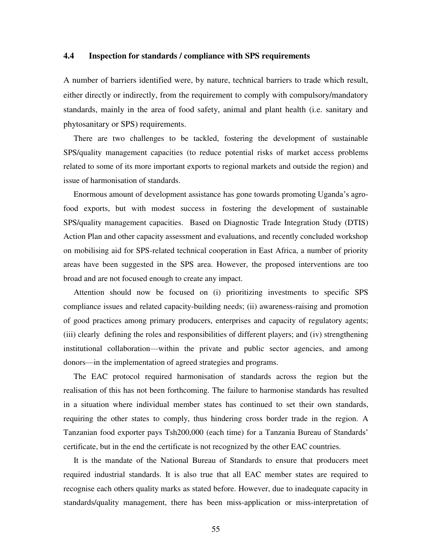## **4.4 Inspection for standards / compliance with SPS requirements**

A number of barriers identified were, by nature, technical barriers to trade which result, either directly or indirectly, from the requirement to comply with compulsory/mandatory standards, mainly in the area of food safety, animal and plant health (i.e. sanitary and phytosanitary or SPS) requirements.

There are two challenges to be tackled, fostering the development of sustainable SPS/quality management capacities (to reduce potential risks of market access problems related to some of its more important exports to regional markets and outside the region) and issue of harmonisation of standards.

Enormous amount of development assistance has gone towards promoting Uganda's agrofood exports, but with modest success in fostering the development of sustainable SPS/quality management capacities. Based on Diagnostic Trade Integration Study (DTIS) Action Plan and other capacity assessment and evaluations, and recently concluded workshop on mobilising aid for SPS-related technical cooperation in East Africa, a number of priority areas have been suggested in the SPS area. However, the proposed interventions are too broad and are not focused enough to create any impact.

Attention should now be focused on (i) prioritizing investments to specific SPS compliance issues and related capacity-building needs; (ii) awareness-raising and promotion of good practices among primary producers, enterprises and capacity of regulatory agents; (iii) clearly defining the roles and responsibilities of different players; and (iv) strengthening institutional collaboration—within the private and public sector agencies, and among donors—in the implementation of agreed strategies and programs.

The EAC protocol required harmonisation of standards across the region but the realisation of this has not been forthcoming. The failure to harmonise standards has resulted in a situation where individual member states has continued to set their own standards, requiring the other states to comply, thus hindering cross border trade in the region. A Tanzanian food exporter pays Tsh200,000 (each time) for a Tanzania Bureau of Standards' certificate, but in the end the certificate is not recognized by the other EAC countries.

It is the mandate of the National Bureau of Standards to ensure that producers meet required industrial standards. It is also true that all EAC member states are required to recognise each others quality marks as stated before. However, due to inadequate capacity in standards/quality management, there has been miss-application or miss-interpretation of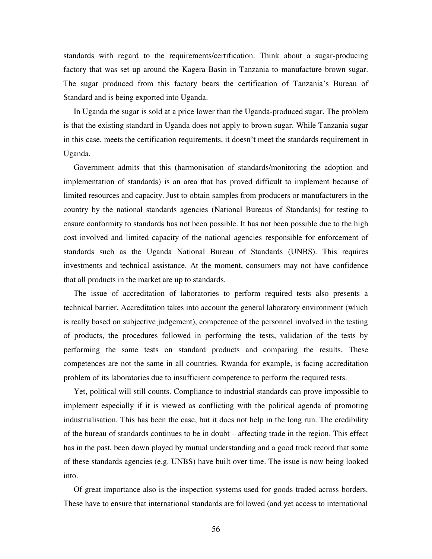standards with regard to the requirements/certification. Think about a sugar-producing factory that was set up around the Kagera Basin in Tanzania to manufacture brown sugar. The sugar produced from this factory bears the certification of Tanzania's Bureau of Standard and is being exported into Uganda.

In Uganda the sugar is sold at a price lower than the Uganda-produced sugar. The problem is that the existing standard in Uganda does not apply to brown sugar. While Tanzania sugar in this case, meets the certification requirements, it doesn't meet the standards requirement in Uganda.

Government admits that this (harmonisation of standards/monitoring the adoption and implementation of standards) is an area that has proved difficult to implement because of limited resources and capacity. Just to obtain samples from producers or manufacturers in the country by the national standards agencies (National Bureaus of Standards) for testing to ensure conformity to standards has not been possible. It has not been possible due to the high cost involved and limited capacity of the national agencies responsible for enforcement of standards such as the Uganda National Bureau of Standards (UNBS). This requires investments and technical assistance. At the moment, consumers may not have confidence that all products in the market are up to standards.

The issue of accreditation of laboratories to perform required tests also presents a technical barrier. Accreditation takes into account the general laboratory environment (which is really based on subjective judgement), competence of the personnel involved in the testing of products, the procedures followed in performing the tests, validation of the tests by performing the same tests on standard products and comparing the results. These competences are not the same in all countries. Rwanda for example, is facing accreditation problem of its laboratories due to insufficient competence to perform the required tests.

Yet, political will still counts. Compliance to industrial standards can prove impossible to implement especially if it is viewed as conflicting with the political agenda of promoting industrialisation. This has been the case, but it does not help in the long run. The credibility of the bureau of standards continues to be in doubt – affecting trade in the region. This effect has in the past, been down played by mutual understanding and a good track record that some of these standards agencies (e.g. UNBS) have built over time. The issue is now being looked into.

Of great importance also is the inspection systems used for goods traded across borders. These have to ensure that international standards are followed (and yet access to international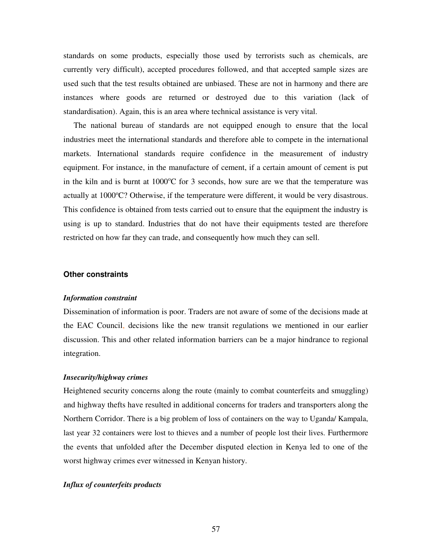standards on some products, especially those used by terrorists such as chemicals, are currently very difficult), accepted procedures followed, and that accepted sample sizes are used such that the test results obtained are unbiased. These are not in harmony and there are instances where goods are returned or destroyed due to this variation (lack of standardisation). Again, this is an area where technical assistance is very vital.

The national bureau of standards are not equipped enough to ensure that the local industries meet the international standards and therefore able to compete in the international markets. International standards require confidence in the measurement of industry equipment. For instance, in the manufacture of cement, if a certain amount of cement is put in the kiln and is burnt at  $1000^{\circ}$ C for 3 seconds, how sure are we that the temperature was actually at  $1000^{\circ}$ C? Otherwise, if the temperature were different, it would be very disastrous. This confidence is obtained from tests carried out to ensure that the equipment the industry is using is up to standard. Industries that do not have their equipments tested are therefore restricted on how far they can trade, and consequently how much they can sell.

#### **Other constraints**

#### *Information constraint*

Dissemination of information is poor. Traders are not aware of some of the decisions made at the EAC Council, decisions like the new transit regulations we mentioned in our earlier discussion. This and other related information barriers can be a major hindrance to regional integration.

#### *Insecurity/highway crimes*

Heightened security concerns along the route (mainly to combat counterfeits and smuggling) and highway thefts have resulted in additional concerns for traders and transporters along the Northern Corridor. There is a big problem of loss of containers on the way to Uganda/ Kampala, last year 32 containers were lost to thieves and a number of people lost their lives. Furthermore the events that unfolded after the December disputed election in Kenya led to one of the worst highway crimes ever witnessed in Kenyan history.

### *Influx of counterfeits products*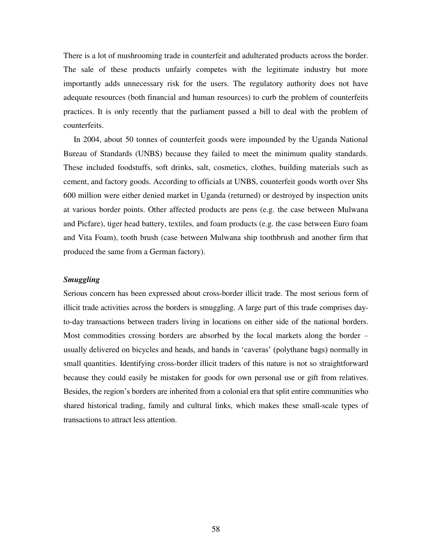There is a lot of mushrooming trade in counterfeit and adulterated products across the border. The sale of these products unfairly competes with the legitimate industry but more importantly adds unnecessary risk for the users. The regulatory authority does not have adequate resources (both financial and human resources) to curb the problem of counterfeits practices. It is only recently that the parliament passed a bill to deal with the problem of counterfeits.

In 2004, about 50 tonnes of counterfeit goods were impounded by the Uganda National Bureau of Standards (UNBS) because they failed to meet the minimum quality standards. These included foodstuffs, soft drinks, salt, cosmetics, clothes, building materials such as cement, and factory goods. According to officials at UNBS, counterfeit goods worth over Shs 600 million were either denied market in Uganda (returned) or destroyed by inspection units at various border points. Other affected products are pens (e.g. the case between Mulwana and Picfare), tiger head battery, textiles, and foam products (e.g. the case between Euro foam and Vita Foam), tooth brush (case between Mulwana ship toothbrush and another firm that produced the same from a German factory).

# *Smuggling*

Serious concern has been expressed about cross-border illicit trade. The most serious form of illicit trade activities across the borders is smuggling. A large part of this trade comprises dayto-day transactions between traders living in locations on either side of the national borders. Most commodities crossing borders are absorbed by the local markets along the border – usually delivered on bicycles and heads, and hands in 'caveras' (polythane bags) normally in small quantities. Identifying cross-border illicit traders of this nature is not so straightforward because they could easily be mistaken for goods for own personal use or gift from relatives. Besides, the region's borders are inherited from a colonial era that split entire communities who shared historical trading, family and cultural links, which makes these small-scale types of transactions to attract less attention.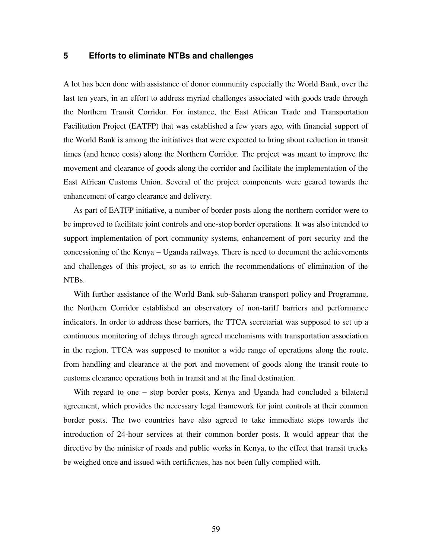# **5 Efforts to eliminate NTBs and challenges**

A lot has been done with assistance of donor community especially the World Bank, over the last ten years, in an effort to address myriad challenges associated with goods trade through the Northern Transit Corridor. For instance, the East African Trade and Transportation Facilitation Project (EATFP) that was established a few years ago, with financial support of the World Bank is among the initiatives that were expected to bring about reduction in transit times (and hence costs) along the Northern Corridor. The project was meant to improve the movement and clearance of goods along the corridor and facilitate the implementation of the East African Customs Union. Several of the project components were geared towards the enhancement of cargo clearance and delivery.

As part of EATFP initiative, a number of border posts along the northern corridor were to be improved to facilitate joint controls and one-stop border operations. It was also intended to support implementation of port community systems, enhancement of port security and the concessioning of the Kenya – Uganda railways. There is need to document the achievements and challenges of this project, so as to enrich the recommendations of elimination of the NTBs.

With further assistance of the World Bank sub-Saharan transport policy and Programme, the Northern Corridor established an observatory of non-tariff barriers and performance indicators. In order to address these barriers, the TTCA secretariat was supposed to set up a continuous monitoring of delays through agreed mechanisms with transportation association in the region. TTCA was supposed to monitor a wide range of operations along the route, from handling and clearance at the port and movement of goods along the transit route to customs clearance operations both in transit and at the final destination.

With regard to one – stop border posts, Kenya and Uganda had concluded a bilateral agreement, which provides the necessary legal framework for joint controls at their common border posts. The two countries have also agreed to take immediate steps towards the introduction of 24-hour services at their common border posts. It would appear that the directive by the minister of roads and public works in Kenya, to the effect that transit trucks be weighed once and issued with certificates, has not been fully complied with.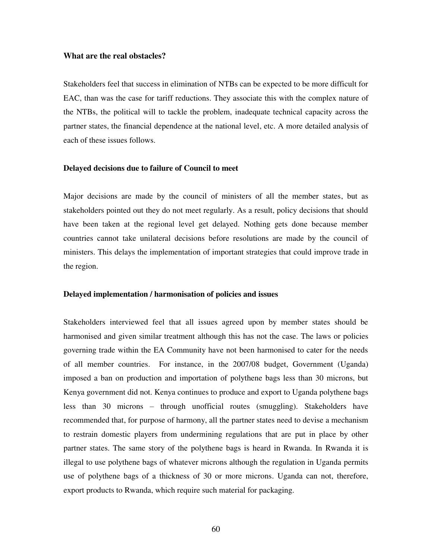### **What are the real obstacles?**

Stakeholders feel that success in elimination of NTBs can be expected to be more difficult for EAC, than was the case for tariff reductions. They associate this with the complex nature of the NTBs, the political will to tackle the problem, inadequate technical capacity across the partner states, the financial dependence at the national level, etc. A more detailed analysis of each of these issues follows.

## **Delayed decisions due to failure of Council to meet**

Major decisions are made by the council of ministers of all the member states, but as stakeholders pointed out they do not meet regularly. As a result, policy decisions that should have been taken at the regional level get delayed. Nothing gets done because member countries cannot take unilateral decisions before resolutions are made by the council of ministers. This delays the implementation of important strategies that could improve trade in the region.

### **Delayed implementation / harmonisation of policies and issues**

Stakeholders interviewed feel that all issues agreed upon by member states should be harmonised and given similar treatment although this has not the case. The laws or policies governing trade within the EA Community have not been harmonised to cater for the needs of all member countries. For instance, in the 2007/08 budget, Government (Uganda) imposed a ban on production and importation of polythene bags less than 30 microns, but Kenya government did not. Kenya continues to produce and export to Uganda polythene bags less than 30 microns – through unofficial routes (smuggling). Stakeholders have recommended that, for purpose of harmony, all the partner states need to devise a mechanism to restrain domestic players from undermining regulations that are put in place by other partner states. The same story of the polythene bags is heard in Rwanda. In Rwanda it is illegal to use polythene bags of whatever microns although the regulation in Uganda permits use of polythene bags of a thickness of 30 or more microns. Uganda can not, therefore, export products to Rwanda, which require such material for packaging.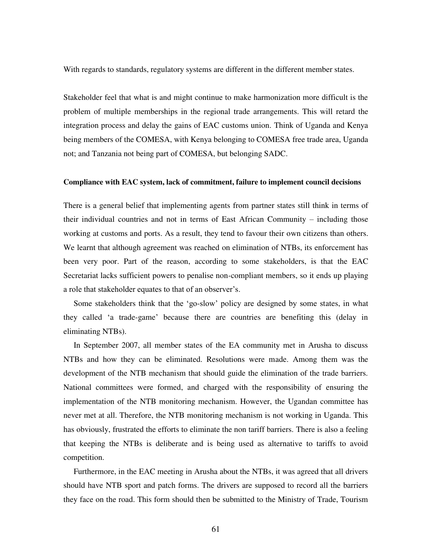With regards to standards, regulatory systems are different in the different member states.

Stakeholder feel that what is and might continue to make harmonization more difficult is the problem of multiple memberships in the regional trade arrangements. This will retard the integration process and delay the gains of EAC customs union. Think of Uganda and Kenya being members of the COMESA, with Kenya belonging to COMESA free trade area, Uganda not; and Tanzania not being part of COMESA, but belonging SADC.

### **Compliance with EAC system, lack of commitment, failure to implement council decisions**

There is a general belief that implementing agents from partner states still think in terms of their individual countries and not in terms of East African Community – including those working at customs and ports. As a result, they tend to favour their own citizens than others. We learnt that although agreement was reached on elimination of NTBs, its enforcement has been very poor. Part of the reason, according to some stakeholders, is that the EAC Secretariat lacks sufficient powers to penalise non-compliant members, so it ends up playing a role that stakeholder equates to that of an observer's.

Some stakeholders think that the 'go-slow' policy are designed by some states, in what they called 'a trade-game' because there are countries are benefiting this (delay in eliminating NTBs).

In September 2007, all member states of the EA community met in Arusha to discuss NTBs and how they can be eliminated. Resolutions were made. Among them was the development of the NTB mechanism that should guide the elimination of the trade barriers. National committees were formed, and charged with the responsibility of ensuring the implementation of the NTB monitoring mechanism. However, the Ugandan committee has never met at all. Therefore, the NTB monitoring mechanism is not working in Uganda. This has obviously, frustrated the efforts to eliminate the non tariff barriers. There is also a feeling that keeping the NTBs is deliberate and is being used as alternative to tariffs to avoid competition.

Furthermore, in the EAC meeting in Arusha about the NTBs, it was agreed that all drivers should have NTB sport and patch forms. The drivers are supposed to record all the barriers they face on the road. This form should then be submitted to the Ministry of Trade, Tourism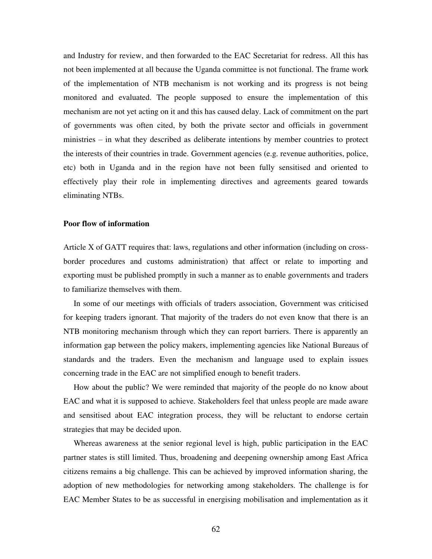and Industry for review, and then forwarded to the EAC Secretariat for redress. All this has not been implemented at all because the Uganda committee is not functional. The frame work of the implementation of NTB mechanism is not working and its progress is not being monitored and evaluated. The people supposed to ensure the implementation of this mechanism are not yet acting on it and this has caused delay. Lack of commitment on the part of governments was often cited, by both the private sector and officials in government ministries – in what they described as deliberate intentions by member countries to protect the interests of their countries in trade. Government agencies (e.g. revenue authorities, police, etc) both in Uganda and in the region have not been fully sensitised and oriented to effectively play their role in implementing directives and agreements geared towards eliminating NTBs.

### **Poor flow of information**

Article X of GATT requires that: laws, regulations and other information (including on crossborder procedures and customs administration) that affect or relate to importing and exporting must be published promptly in such a manner as to enable governments and traders to familiarize themselves with them.

In some of our meetings with officials of traders association, Government was criticised for keeping traders ignorant. That majority of the traders do not even know that there is an NTB monitoring mechanism through which they can report barriers. There is apparently an information gap between the policy makers, implementing agencies like National Bureaus of standards and the traders. Even the mechanism and language used to explain issues concerning trade in the EAC are not simplified enough to benefit traders.

How about the public? We were reminded that majority of the people do no know about EAC and what it is supposed to achieve. Stakeholders feel that unless people are made aware and sensitised about EAC integration process, they will be reluctant to endorse certain strategies that may be decided upon.

Whereas awareness at the senior regional level is high, public participation in the EAC partner states is still limited. Thus, broadening and deepening ownership among East Africa citizens remains a big challenge. This can be achieved by improved information sharing, the adoption of new methodologies for networking among stakeholders. The challenge is for EAC Member States to be as successful in energising mobilisation and implementation as it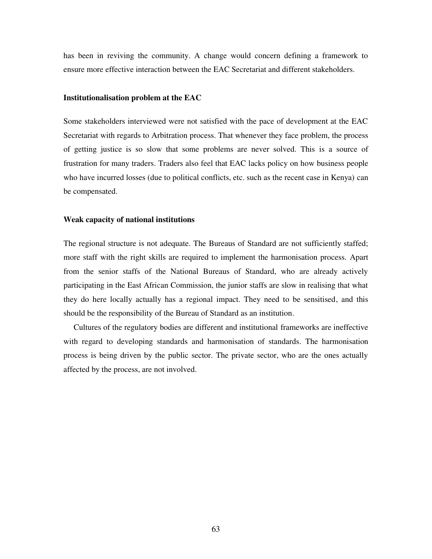has been in reviving the community. A change would concern defining a framework to ensure more effective interaction between the EAC Secretariat and different stakeholders.

## **Institutionalisation problem at the EAC**

Some stakeholders interviewed were not satisfied with the pace of development at the EAC Secretariat with regards to Arbitration process. That whenever they face problem, the process of getting justice is so slow that some problems are never solved. This is a source of frustration for many traders. Traders also feel that EAC lacks policy on how business people who have incurred losses (due to political conflicts, etc. such as the recent case in Kenya) can be compensated.

#### **Weak capacity of national institutions**

The regional structure is not adequate. The Bureaus of Standard are not sufficiently staffed; more staff with the right skills are required to implement the harmonisation process. Apart from the senior staffs of the National Bureaus of Standard, who are already actively participating in the East African Commission, the junior staffs are slow in realising that what they do here locally actually has a regional impact. They need to be sensitised, and this should be the responsibility of the Bureau of Standard as an institution.

Cultures of the regulatory bodies are different and institutional frameworks are ineffective with regard to developing standards and harmonisation of standards. The harmonisation process is being driven by the public sector. The private sector, who are the ones actually affected by the process, are not involved.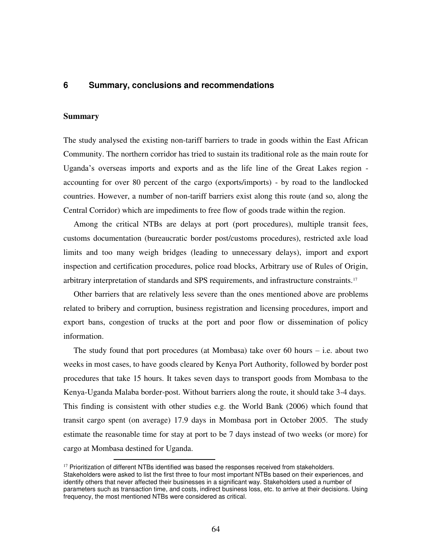# **6 Summary, conclusions and recommendations**

### **Summary**

 $\overline{a}$ 

The study analysed the existing non-tariff barriers to trade in goods within the East African Community. The northern corridor has tried to sustain its traditional role as the main route for Uganda's overseas imports and exports and as the life line of the Great Lakes region accounting for over 80 percent of the cargo (exports/imports) - by road to the landlocked countries. However, a number of non-tariff barriers exist along this route (and so, along the Central Corridor) which are impediments to free flow of goods trade within the region.

Among the critical NTBs are delays at port (port procedures), multiple transit fees, customs documentation (bureaucratic border post/customs procedures), restricted axle load limits and too many weigh bridges (leading to unnecessary delays), import and export inspection and certification procedures, police road blocks, Arbitrary use of Rules of Origin, arbitrary interpretation of standards and SPS requirements, and infrastructure constraints.<sup>17</sup>

Other barriers that are relatively less severe than the ones mentioned above are problems related to bribery and corruption, business registration and licensing procedures, import and export bans, congestion of trucks at the port and poor flow or dissemination of policy information.

The study found that port procedures (at Mombasa) take over 60 hours  $-$  i.e. about two weeks in most cases, to have goods cleared by Kenya Port Authority, followed by border post procedures that take 15 hours. It takes seven days to transport goods from Mombasa to the Kenya-Uganda Malaba border-post. Without barriers along the route, it should take 3-4 days. This finding is consistent with other studies e.g. the World Bank (2006) which found that transit cargo spent (on average) 17.9 days in Mombasa port in October 2005. The study estimate the reasonable time for stay at port to be 7 days instead of two weeks (or more) for cargo at Mombasa destined for Uganda.

 $17$  Prioritization of different NTBs identified was based the responses received from stakeholders. Stakeholders were asked to list the first three to four most important NTBs based on their experiences, and identify others that never affected their businesses in a significant way. Stakeholders used a number of parameters such as transaction time, and costs, indirect business loss, etc. to arrive at their decisions. Using frequency, the most mentioned NTBs were considered as critical.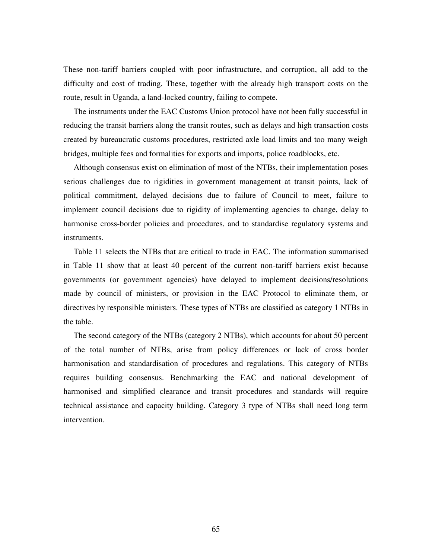These non-tariff barriers coupled with poor infrastructure, and corruption, all add to the difficulty and cost of trading. These, together with the already high transport costs on the route, result in Uganda, a land-locked country, failing to compete.

The instruments under the EAC Customs Union protocol have not been fully successful in reducing the transit barriers along the transit routes, such as delays and high transaction costs created by bureaucratic customs procedures, restricted axle load limits and too many weigh bridges, multiple fees and formalities for exports and imports, police roadblocks, etc.

Although consensus exist on elimination of most of the NTBs, their implementation poses serious challenges due to rigidities in government management at transit points, lack of political commitment, delayed decisions due to failure of Council to meet, failure to implement council decisions due to rigidity of implementing agencies to change, delay to harmonise cross-border policies and procedures, and to standardise regulatory systems and instruments.

Table 11 selects the NTBs that are critical to trade in EAC. The information summarised in Table 11 show that at least 40 percent of the current non-tariff barriers exist because governments (or government agencies) have delayed to implement decisions/resolutions made by council of ministers, or provision in the EAC Protocol to eliminate them, or directives by responsible ministers. These types of NTBs are classified as category 1 NTBs in the table.

The second category of the NTBs (category 2 NTBs), which accounts for about 50 percent of the total number of NTBs, arise from policy differences or lack of cross border harmonisation and standardisation of procedures and regulations. This category of NTBs requires building consensus. Benchmarking the EAC and national development of harmonised and simplified clearance and transit procedures and standards will require technical assistance and capacity building. Category 3 type of NTBs shall need long term intervention.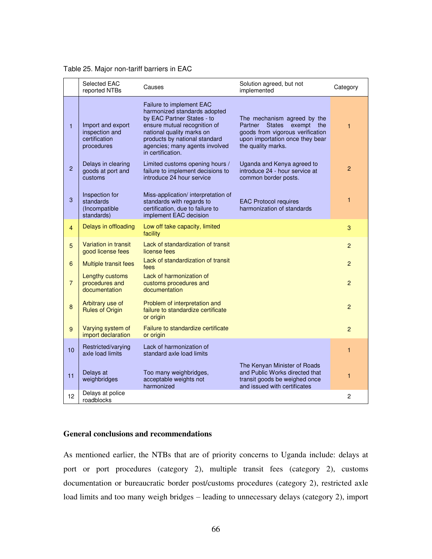|                | Selected EAC<br>reported NTBs                                      | Causes                                                                                                                                                                                                                                      | Solution agreed, but not<br>implemented                                                                                                                            | Category       |
|----------------|--------------------------------------------------------------------|---------------------------------------------------------------------------------------------------------------------------------------------------------------------------------------------------------------------------------------------|--------------------------------------------------------------------------------------------------------------------------------------------------------------------|----------------|
| 1              | Import and export<br>inspection and<br>certification<br>procedures | Failure to implement EAC<br>harmonized standards adopted<br>by EAC Partner States - to<br>ensure mutual recognition of<br>national quality marks on<br>products by national standard<br>agencies; many agents involved<br>in certification. | The mechanism agreed by the<br>Partner<br><b>States</b><br>exempt the<br>goods from vigorous verification<br>upon importation once they bear<br>the quality marks. | $\mathbf{1}$   |
| $\overline{2}$ | Delays in clearing<br>goods at port and<br>customs                 | Limited customs opening hours /<br>failure to implement decisions to<br>introduce 24 hour service                                                                                                                                           | Uganda and Kenya agreed to<br>introduce 24 - hour service at<br>common border posts.                                                                               | $\overline{2}$ |
| 3              | Inspection for<br>standards<br>(Incompatible<br>standards)         | Miss-application/ interpretation of<br>standards with regards to<br>certification, due to failure to<br>implement EAC decision                                                                                                              | <b>EAC Protocol requires</b><br>harmonization of standards                                                                                                         | 1              |
| 4              | Delays in offloading                                               | Low off take capacity, limited<br>facility                                                                                                                                                                                                  |                                                                                                                                                                    | 3              |
| 5              | Variation in transit<br>good license fees                          | Lack of standardization of transit<br>license fees                                                                                                                                                                                          |                                                                                                                                                                    | $\overline{2}$ |
| 6              | <b>Multiple transit fees</b>                                       | Lack of standardization of transit<br>fees                                                                                                                                                                                                  |                                                                                                                                                                    | $\overline{2}$ |
| $\overline{7}$ | Lengthy customs<br>procedures and<br>documentation                 | Lack of harmonization of<br>customs procedures and<br>documentation                                                                                                                                                                         |                                                                                                                                                                    | 2              |
| 8              | Arbitrary use of<br><b>Rules of Origin</b>                         | Problem of interpretation and<br>failure to standardize certificate<br>or origin                                                                                                                                                            |                                                                                                                                                                    | $\overline{2}$ |
| 9              | Varying system of<br>import declaration                            | <b>Failure to standardize certificate</b><br>or origin                                                                                                                                                                                      |                                                                                                                                                                    | $\mathcal{P}$  |
| 10             | Restricted/varying<br>axle load limits                             | Lack of harmonization of<br>standard axle load limits                                                                                                                                                                                       |                                                                                                                                                                    | 1              |
| 11             | Delays at<br>weighbridges                                          | Too many weighbridges,<br>acceptable weights not<br>harmonized                                                                                                                                                                              | The Kenyan Minister of Roads<br>and Public Works directed that<br>transit goods be weighed once<br>and issued with certificates                                    | 1              |
| 12             | Delays at police<br>roadblocks                                     |                                                                                                                                                                                                                                             |                                                                                                                                                                    | $\overline{c}$ |

## Table 25. Major non-tariff barriers in EAC

# **General conclusions and recommendations**

As mentioned earlier, the NTBs that are of priority concerns to Uganda include: delays at port or port procedures (category 2), multiple transit fees (category 2), customs documentation or bureaucratic border post/customs procedures (category 2), restricted axle load limits and too many weigh bridges – leading to unnecessary delays (category 2), import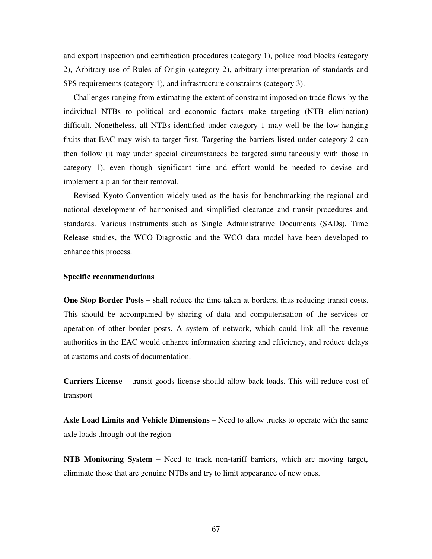and export inspection and certification procedures (category 1), police road blocks (category 2), Arbitrary use of Rules of Origin (category 2), arbitrary interpretation of standards and SPS requirements (category 1), and infrastructure constraints (category 3).

Challenges ranging from estimating the extent of constraint imposed on trade flows by the individual NTBs to political and economic factors make targeting (NTB elimination) difficult. Nonetheless, all NTBs identified under category 1 may well be the low hanging fruits that EAC may wish to target first. Targeting the barriers listed under category 2 can then follow (it may under special circumstances be targeted simultaneously with those in category 1), even though significant time and effort would be needed to devise and implement a plan for their removal.

Revised Kyoto Convention widely used as the basis for benchmarking the regional and national development of harmonised and simplified clearance and transit procedures and standards. Various instruments such as Single Administrative Documents (SADs), Time Release studies, the WCO Diagnostic and the WCO data model have been developed to enhance this process.

#### **Specific recommendations**

**One Stop Border Posts –** shall reduce the time taken at borders, thus reducing transit costs. This should be accompanied by sharing of data and computerisation of the services or operation of other border posts. A system of network, which could link all the revenue authorities in the EAC would enhance information sharing and efficiency, and reduce delays at customs and costs of documentation.

**Carriers License** – transit goods license should allow back-loads. This will reduce cost of transport

**Axle Load Limits and Vehicle Dimensions** – Need to allow trucks to operate with the same axle loads through-out the region

**NTB Monitoring System** – Need to track non-tariff barriers, which are moving target, eliminate those that are genuine NTBs and try to limit appearance of new ones.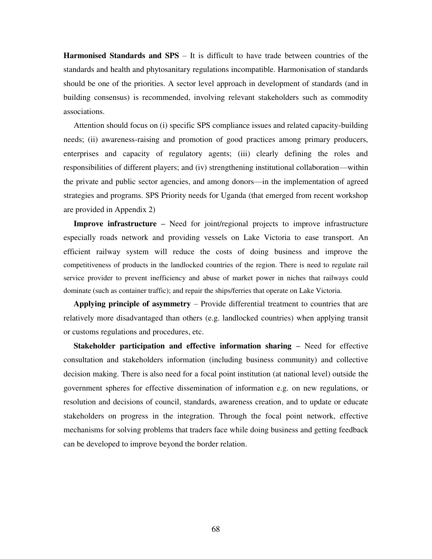**Harmonised Standards and SPS** – It is difficult to have trade between countries of the standards and health and phytosanitary regulations incompatible. Harmonisation of standards should be one of the priorities. A sector level approach in development of standards (and in building consensus) is recommended, involving relevant stakeholders such as commodity associations.

Attention should focus on (i) specific SPS compliance issues and related capacity-building needs; (ii) awareness-raising and promotion of good practices among primary producers, enterprises and capacity of regulatory agents; (iii) clearly defining the roles and responsibilities of different players; and (iv) strengthening institutional collaboration—within the private and public sector agencies, and among donors—in the implementation of agreed strategies and programs. SPS Priority needs for Uganda (that emerged from recent workshop are provided in Appendix 2)

**Improve infrastructure –** Need for joint/regional projects to improve infrastructure especially roads network and providing vessels on Lake Victoria to ease transport. An efficient railway system will reduce the costs of doing business and improve the competitiveness of products in the landlocked countries of the region. There is need to regulate rail service provider to prevent inefficiency and abuse of market power in niches that railways could dominate (such as container traffic); and repair the ships/ferries that operate on Lake Victoria.

**Applying principle of asymmetry** – Provide differential treatment to countries that are relatively more disadvantaged than others (e.g. landlocked countries) when applying transit or customs regulations and procedures, etc.

**Stakeholder participation and effective information sharing – Need for effective** consultation and stakeholders information (including business community) and collective decision making. There is also need for a focal point institution (at national level) outside the government spheres for effective dissemination of information e.g. on new regulations, or resolution and decisions of council, standards, awareness creation, and to update or educate stakeholders on progress in the integration. Through the focal point network, effective mechanisms for solving problems that traders face while doing business and getting feedback can be developed to improve beyond the border relation.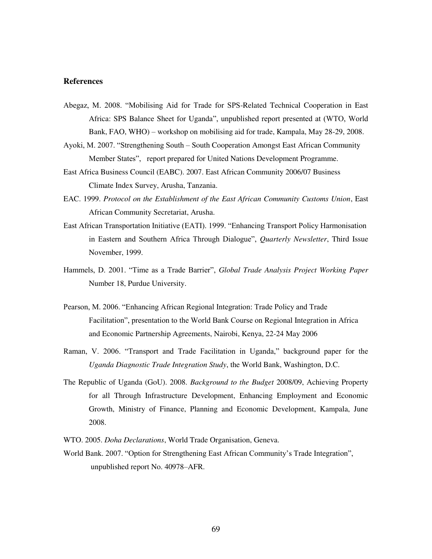## **References**

- Abegaz, M. 2008. "Mobilising Aid for Trade for SPS-Related Technical Cooperation in East Africa: SPS Balance Sheet for Uganda", unpublished report presented at (WTO, World Bank, FAO, WHO) – workshop on mobilising aid for trade, Kampala, May 28-29, 2008.
- Ayoki, M. 2007. "Strengthening South South Cooperation Amongst East African Community Member States", report prepared for United Nations Development Programme.
- East Africa Business Council (EABC). 2007. East African Community 2006/07 Business Climate Index Survey, Arusha, Tanzania.
- EAC. 1999. *Protocol on the Establishment of the East African Community Customs Union*, East African Community Secretariat, Arusha.
- East African Transportation Initiative (EATI). 1999. "Enhancing Transport Policy Harmonisation in Eastern and Southern Africa Through Dialogue", *Quarterly Newsletter*, Third Issue November, 1999.
- Hammels, D. 2001. "Time as a Trade Barrier", *Global Trade Analysis Project Working Paper* Number 18, Purdue University.
- Pearson, M. 2006. "Enhancing African Regional Integration: Trade Policy and Trade Facilitation", presentation to the World Bank Course on Regional Integration in Africa and Economic Partnership Agreements, Nairobi, Kenya, 22-24 May 2006
- Raman, V. 2006. "Transport and Trade Facilitation in Uganda," background paper for the *Uganda Diagnostic Trade Integration Study*, the World Bank, Washington, D.C.
- The Republic of Uganda (GoU). 2008. *Background to the Budget* 2008/09, Achieving Property for all Through Infrastructure Development, Enhancing Employment and Economic Growth, Ministry of Finance, Planning and Economic Development, Kampala, June 2008.
- WTO. 2005. *Doha Declarations*, World Trade Organisation, Geneva.
- World Bank. 2007. "Option for Strengthening East African Community's Trade Integration", unpublished report No. 40978–AFR.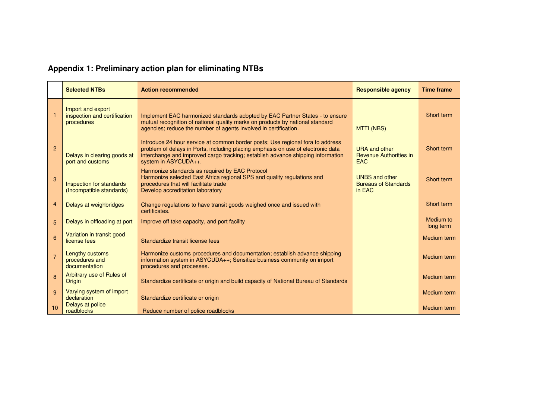## **Appendix 1: Preliminary action plan for eliminating NTBs**

|                | <b>Selected NTBs</b>                                            | <b>Action recommended</b>                                                                                                                                                                                                                                                     | <b>Responsible agency</b>                                           | <b>Time frame</b>      |
|----------------|-----------------------------------------------------------------|-------------------------------------------------------------------------------------------------------------------------------------------------------------------------------------------------------------------------------------------------------------------------------|---------------------------------------------------------------------|------------------------|
| $\mathbf{1}$   | Import and export<br>inspection and certification<br>procedures | Implement EAC harmonized standards adopted by EAC Partner States - to ensure<br>mutual recognition of national quality marks on products by national standard<br>agencies; reduce the number of agents involved in certification.                                             | <b>MTTI (NBS)</b>                                                   | Short term             |
| $\overline{2}$ | Delays in clearing goods at<br>port and customs                 | Introduce 24 hour service at common border posts; Use regional fora to address<br>problem of delays in Ports, including placing emphasis on use of electronic data<br>interchange and improved cargo tracking; establish advance shipping information<br>system in ASYCUDA++. | <b>URA</b> and other<br><b>Revenue Authorities in</b><br><b>EAC</b> | Short term             |
| 3              | Inspection for standards<br>(Incompatible standards)            | Harmonize standards as required by EAC Protocol<br>Harmonize selected East Africa regional SPS and quality regulations and<br>procedures that will facilitate trade<br>Develop accreditation laboratory                                                                       | <b>UNBS and other</b><br><b>Bureaus of Standards</b><br>in EAC      | Short term             |
| 4              | Delays at weighbridges                                          | Change regulations to have transit goods weighed once and issued with<br>certificates.                                                                                                                                                                                        |                                                                     | Short term             |
| 5              | Delays in offloading at port                                    | Improve off take capacity, and port facility                                                                                                                                                                                                                                  |                                                                     | Medium to<br>long term |
| 6              | Variation in transit good<br>license fees                       | Standardize transit license fees                                                                                                                                                                                                                                              |                                                                     | Medium term            |
| $\overline{7}$ | Lengthy customs<br>procedures and<br>documentation              | Harmonize customs procedures and documentation; establish advance shipping<br>information system in ASYCUDA++; Sensitize business community on import<br>procedures and processes.                                                                                            |                                                                     | Medium term            |
| 8              | Arbitrary use of Rules of<br>Origin                             | Standardize certificate or origin and build capacity of National Bureau of Standards                                                                                                                                                                                          |                                                                     | Medium term            |
| 9              | Varying system of import<br>declaration                         | Standardize certificate or origin                                                                                                                                                                                                                                             |                                                                     | Medium term            |
| 10             | Delays at police<br>roadblocks                                  | Reduce number of police roadblocks                                                                                                                                                                                                                                            |                                                                     | Medium term            |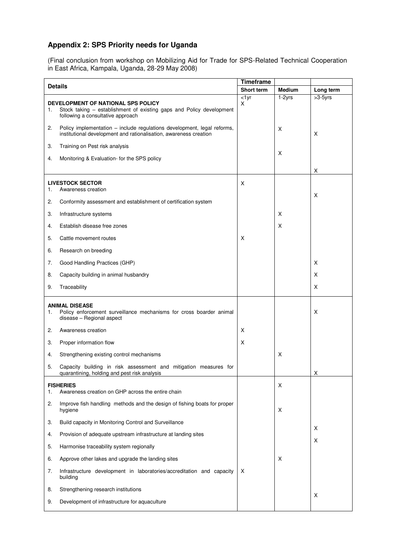## **Appendix 2: SPS Priority needs for Uganda**

(Final conclusion from workshop on Mobilizing Aid for Trade for SPS-Related Technical Cooperation in East Africa, Kampala, Uganda, 28-29 May 2008)

| <b>Details</b>                                                                                                                                        |                                                                                                                                              | <b>Timeframe</b> |        |           |
|-------------------------------------------------------------------------------------------------------------------------------------------------------|----------------------------------------------------------------------------------------------------------------------------------------------|------------------|--------|-----------|
|                                                                                                                                                       |                                                                                                                                              | Short term       | Medium | Long term |
| DEVELOPMENT OF NATIONAL SPS POLICY<br>Stock taking – establishment of existing gaps and Policy development<br>1.<br>following a consultative approach |                                                                                                                                              | $<$ 1yr<br>X     | 1-2yrs | $>3-5yrs$ |
| 2.                                                                                                                                                    | Policy implementation - include regulations development, legal reforms,<br>institutional development and rationalisation, awareness creation |                  | X      | X         |
| 3.                                                                                                                                                    | Training on Pest risk analysis                                                                                                               |                  |        |           |
| 4.                                                                                                                                                    | Monitoring & Evaluation- for the SPS policy                                                                                                  |                  | Χ      |           |
|                                                                                                                                                       |                                                                                                                                              |                  |        | х         |
| 1.                                                                                                                                                    | <b>LIVESTOCK SECTOR</b><br>Awareness creation                                                                                                | X                |        | X         |
| 2.                                                                                                                                                    | Conformity assessment and establishment of certification system                                                                              |                  |        |           |
| 3.                                                                                                                                                    | Infrastructure systems                                                                                                                       |                  | Χ      |           |
| 4.                                                                                                                                                    | Establish disease free zones                                                                                                                 |                  | х      |           |
| 5.                                                                                                                                                    | Cattle movement routes                                                                                                                       | X                |        |           |
| 6.                                                                                                                                                    | Research on breeding                                                                                                                         |                  |        |           |
| 7.                                                                                                                                                    | Good Handling Practices (GHP)                                                                                                                |                  |        | X         |
| 8.                                                                                                                                                    | Capacity building in animal husbandry                                                                                                        |                  |        | X         |
| 9.                                                                                                                                                    | Traceability                                                                                                                                 |                  |        | X         |
|                                                                                                                                                       |                                                                                                                                              |                  |        |           |
| 1.                                                                                                                                                    | <b>ANIMAL DISEASE</b><br>Policy enforcement surveillance mechanisms for cross boarder animal<br>disease - Regional aspect                    |                  |        | х         |
| 2.                                                                                                                                                    | Awareness creation                                                                                                                           | X                |        |           |
| 3.                                                                                                                                                    | Proper information flow                                                                                                                      | Х                |        |           |
| 4.                                                                                                                                                    | Strengthening existing control mechanisms                                                                                                    |                  | X      |           |
| 5.                                                                                                                                                    | Capacity building in risk assessment and mitigation measures for<br>quarantining, holding and pest risk analysis                             |                  |        | х         |
|                                                                                                                                                       | <b>FISHERIES</b>                                                                                                                             |                  | X      |           |
| 1.                                                                                                                                                    | Awareness creation on GHP across the entire chain                                                                                            |                  |        |           |
| 2.                                                                                                                                                    | Improve fish handling methods and the design of fishing boats for proper<br>hygiene                                                          |                  | X      |           |
| 3.                                                                                                                                                    | Build capacity in Monitoring Control and Surveillance                                                                                        |                  |        |           |
| 4.                                                                                                                                                    | Provision of adequate upstream infrastructure at landing sites                                                                               |                  |        | X<br>X    |
| 5.                                                                                                                                                    | Harmonise traceability system regionally                                                                                                     |                  |        |           |
| 6.                                                                                                                                                    | Approve other lakes and upgrade the landing sites                                                                                            |                  | Χ      |           |
| 7.                                                                                                                                                    | Infrastructure development in laboratories/accreditation and capacity<br>building                                                            | Χ                |        |           |
| 8.                                                                                                                                                    | Strengthening research institutions                                                                                                          |                  |        | X         |
| 9.                                                                                                                                                    | Development of infrastructure for aquaculture                                                                                                |                  |        |           |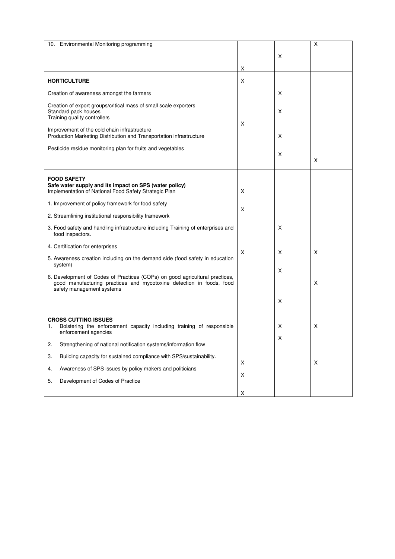| 10. Environmental Monitoring programming                                                                                                                                                                                                                                                                       |         |             | Χ |
|----------------------------------------------------------------------------------------------------------------------------------------------------------------------------------------------------------------------------------------------------------------------------------------------------------------|---------|-------------|---|
|                                                                                                                                                                                                                                                                                                                |         | X           |   |
|                                                                                                                                                                                                                                                                                                                |         |             |   |
|                                                                                                                                                                                                                                                                                                                | X       |             |   |
| <b>HORTICULTURE</b>                                                                                                                                                                                                                                                                                            | X       |             |   |
| Creation of awareness amongst the farmers                                                                                                                                                                                                                                                                      |         | х           |   |
| Creation of export groups/critical mass of small scale exporters<br>Standard pack houses<br>Training quality controllers<br>Improvement of the cold chain infrastructure<br>Production Marketing Distribution and Transportation infrastructure<br>Pesticide residue monitoring plan for fruits and vegetables | X       | X<br>х<br>X | X |
| <b>FOOD SAFETY</b><br>Safe water supply and its impact on SPS (water policy)<br>Implementation of National Food Safety Strategic Plan                                                                                                                                                                          | X       |             |   |
| 1. Improvement of policy framework for food safety                                                                                                                                                                                                                                                             | X       |             |   |
| 2. Streamlining institutional responsibility framework                                                                                                                                                                                                                                                         |         |             |   |
| 3. Food safety and handling infrastructure including Training of enterprises and<br>food inspectors.                                                                                                                                                                                                           |         | X           |   |
| 4. Certification for enterprises                                                                                                                                                                                                                                                                               |         |             |   |
| 5. Awareness creation including on the demand side (food safety in education<br>system)                                                                                                                                                                                                                        | X       | х           | X |
| 6. Development of Codes of Practices (COPs) on good agricultural practices,                                                                                                                                                                                                                                    |         | X           |   |
| good manufacturing practices and mycotoxine detection in foods, food<br>safety management systems                                                                                                                                                                                                              |         |             | X |
|                                                                                                                                                                                                                                                                                                                |         | X           |   |
| <b>CROSS CUTTING ISSUES</b>                                                                                                                                                                                                                                                                                    |         |             |   |
| Bolstering the enforcement capacity including training of responsible<br>1.<br>enforcement agencies                                                                                                                                                                                                            |         | х           | Х |
| Strengthening of national notification systems/information flow<br>2.                                                                                                                                                                                                                                          |         | х           |   |
| Building capacity for sustained compliance with SPS/sustainability.<br>3.                                                                                                                                                                                                                                      |         |             |   |
| Awareness of SPS issues by policy makers and politicians<br>4.                                                                                                                                                                                                                                                 | X       |             | X |
| 5.<br>Development of Codes of Practice                                                                                                                                                                                                                                                                         | $\sf X$ |             |   |
|                                                                                                                                                                                                                                                                                                                | X       |             |   |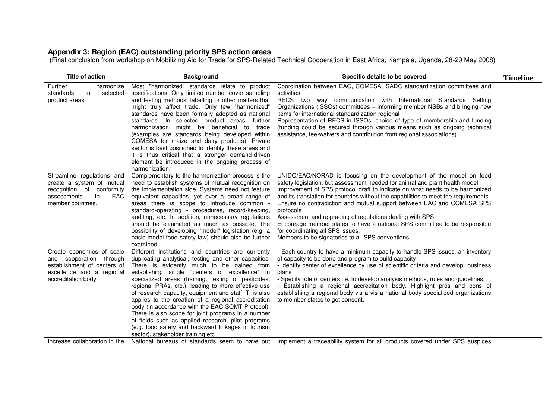## **Appendix 3: Region (EAC) outstanding priority SPS action areas**

(Final conclusion from workshop on Mobilizing Aid for Trade for SPS-Related Technical Cooperation in East Africa, Kampala, Uganda, 28-29 May 2008)

| <b>Title of action</b>                                                                                                                                                  | <b>Background</b>                                                                                                                                                                                                                                                                                                                                                                                                                                                                                                                                                                                                                                                                                  | Specific details to be covered                                                                                                                                                                                                                                                                                                                                                                                                                                                                                                                                                                                                                               | <b>Timeline</b> |
|-------------------------------------------------------------------------------------------------------------------------------------------------------------------------|----------------------------------------------------------------------------------------------------------------------------------------------------------------------------------------------------------------------------------------------------------------------------------------------------------------------------------------------------------------------------------------------------------------------------------------------------------------------------------------------------------------------------------------------------------------------------------------------------------------------------------------------------------------------------------------------------|--------------------------------------------------------------------------------------------------------------------------------------------------------------------------------------------------------------------------------------------------------------------------------------------------------------------------------------------------------------------------------------------------------------------------------------------------------------------------------------------------------------------------------------------------------------------------------------------------------------------------------------------------------------|-----------------|
| Further<br>harmonize<br>in<br>standards<br>selected<br>product areas                                                                                                    | Most "harmonized" standards relate to product<br>specifications. Only limited number cover sampling<br>and testing methods, labelling or other matters that<br>might truly affect trade. Only few "harmonized"<br>standards have been formally adopted as national<br>standards. In selected product areas, further<br>harmonization might be beneficial to trade<br>(examples are standards being developed within<br>COMESA for maize and dairy products). Private<br>sector is best positioned to identify these areas and<br>it is thus critical that a stronger demand-driven<br>element be introduced in the ongoing process of<br>harmonization.                                            | Coordination between EAC, COMESA, SADC standardization committees and<br>activities<br>RECS two way communication with International Standards Setting<br>Organizations (ISSOs) committees - informing member NSBs and bringing new<br>items for international standardization regional<br>Representation of RECS in ISSOs, choice of type of membership and funding<br>(funding could be secured through various means such as ongoing technical<br>assistance, fee-waivers and contribution from regional associations)                                                                                                                                    |                 |
| Streamline regulations and<br>create a system of mutual<br>recognition of conformity<br>EAC<br>assessments<br>in<br>member countries.                                   | Complementary to the harmonization process is the<br>need to establish systems of mutual recognition on<br>the implementation side. Systems need not feature<br>equivalent capacities, yet over a broad range of<br>areas there is scope to introduce common -<br>standard-operating - procedures, record-keeping,<br>auditing, etc. In addition, unnecessary regulations<br>should be eliminated as much as possible. The<br>possibility of developing "model" legislation (e.g. a<br>basic model food safety law) should also be further<br>examined.                                                                                                                                            | UNIDO/EAC/NORAD is focusing on the development of the model on food<br>safety legislation, but assessment needed for animal and plant health model.<br>Improvement of SPS protocol draft to indicate on what needs to be harmonized<br>and its translation for countries without the capabilities to meet the requirements.<br>Ensure no contradiction and mutual support between EAC and COMESA SPS<br>protocols<br>Assessment and upgrading of regulations dealing with SPS<br>Encourage member states to have a national SPS committee to be responsible<br>for coordinating all SPS issues.<br>Members to be signatories to all SPS conventions.         |                 |
| Create economies of scale<br>and cooperation through<br>establishment of centers of<br>excellence and a regional<br>accreditation body<br>Increase collaboration in the | Different institutions and countries are currently<br>duplicating analytical, testing and other capacities.<br>There is evidently much to be gained from<br>establishing single "centers of excellence" in<br>specialized areas (training, testing of pesticides,<br>regional PRAs, etc.), leading to more effective use<br>of research capacity, equipment and staff. This also<br>applies to the creation of a regional accreditation<br>body (in accordance with the EAC SQMT Protocol).<br>There is also scope for joint programs in a number<br>of fields such as applied research, pilot programs<br>(e.g. food safety and backward linkages in tourism<br>sector), stakeholder training etc | - Each country to have a minimum capacity to handle SPS issues, an inventory<br>of capacity to be done and program to build capacity<br>- identify center of excellence by use of scientific criteria and develop business<br>plans<br>- Specify role of centers i.e. to develop analysis methods, rules and guidelines,<br>- Establishing a regional accreditation body. Highlight pros and cons of<br>establishing a regional body vis a vis a national body specialized organizations<br>to member states to get consent.<br>National bureaus of standards seem to have put   Implement a traceability system for all products covered under SPS auspices |                 |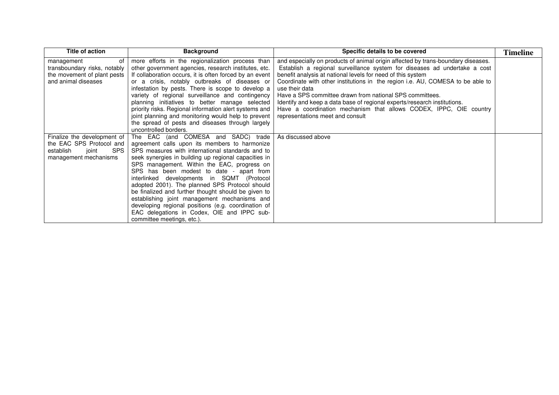| Title of action                                                                                                      | <b>Background</b>                                                                                                                                                                                                                                                                                                                                                                                                                                                                                                                                                                                                                      | Specific details to be covered                                                                                                                                                                                                                                                                                                                                                                                                                                                                                                                                                     | <b>Timeline</b> |
|----------------------------------------------------------------------------------------------------------------------|----------------------------------------------------------------------------------------------------------------------------------------------------------------------------------------------------------------------------------------------------------------------------------------------------------------------------------------------------------------------------------------------------------------------------------------------------------------------------------------------------------------------------------------------------------------------------------------------------------------------------------------|------------------------------------------------------------------------------------------------------------------------------------------------------------------------------------------------------------------------------------------------------------------------------------------------------------------------------------------------------------------------------------------------------------------------------------------------------------------------------------------------------------------------------------------------------------------------------------|-----------------|
| management<br>0f<br>transboundary risks, notably<br>the movement of plant pests<br>and animal diseases               | more efforts in the regionalization process than<br>other government agencies, research institutes, etc.<br>If collaboration occurs, it is often forced by an event<br>or a crisis, notably outbreaks of diseases or<br>infestation by pests. There is scope to develop a<br>variety of regional surveillance and contingency<br>planning initiatives to better manage selected<br>priority risks. Regional information alert systems and<br>joint planning and monitoring would help to prevent<br>the spread of pests and diseases through largely<br>uncontrolled borders.                                                          | and especially on products of animal origin affected by trans-boundary diseases.<br>Establish a regional surveillance system for diseases ad undertake a cost<br>benefit analysis at national levels for need of this system<br>Coordinate with other institutions in the region i.e. AU, COMESA to be able to<br>use their data<br>Have a SPS committee drawn from national SPS committees.<br>Identify and keep a data base of regional experts/research institutions.<br>Have a coordination mechanism that allows CODEX, IPPC, OIE country<br>representations meet and consult |                 |
| Finalize the development of<br>the EAC SPS Protocol and<br><b>SPS</b><br>establish<br>joint<br>management mechanisms | The EAC (and COMESA and SADC) trade<br>agreement calls upon its members to harmonize<br>SPS measures with international standards and to<br>seek synergies in building up regional capacities in<br>SPS management. Within the EAC, progress on<br>SPS has been modest to date - apart from<br>interlinked developments in SQMT (Protocol<br>adopted 2001). The planned SPS Protocol should<br>be finalized and further thought should be given to<br>establishing joint management mechanisms and<br>developing regional positions (e.g. coordination of<br>EAC delegations in Codex, OIE and IPPC sub-<br>committee meetings, etc.). | As discussed above                                                                                                                                                                                                                                                                                                                                                                                                                                                                                                                                                                 |                 |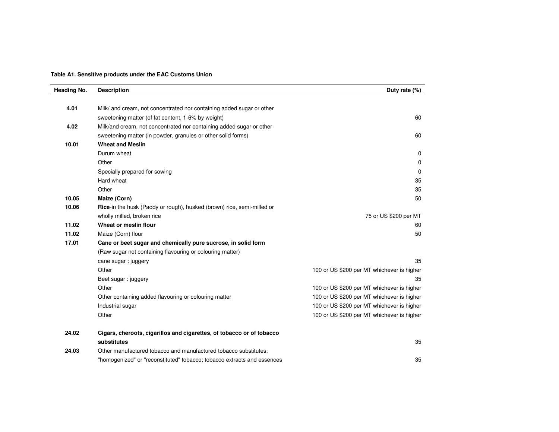**Table A1. Sensitive products under the EAC Customs Union**

| Heading No. | <b>Description</b>                                                      | Duty rate (%)                              |
|-------------|-------------------------------------------------------------------------|--------------------------------------------|
|             |                                                                         |                                            |
| 4.01        | Milk/ and cream, not concentrated nor containing added sugar or other   |                                            |
|             | sweetening matter (of fat content, 1-6% by weight)                      | 60                                         |
| 4.02        | Milk/and cream, not concentrated nor containing added sugar or other    |                                            |
|             | sweetening matter (in powder, granules or other solid forms)            | 60                                         |
| 10.01       | <b>Wheat and Meslin</b>                                                 |                                            |
|             | Durum wheat                                                             | 0                                          |
|             | Other                                                                   | 0                                          |
|             | Specially prepared for sowing                                           | 0                                          |
|             | Hard wheat                                                              | 35                                         |
|             | Other                                                                   | 35                                         |
| 10.05       | Maize (Corn)                                                            | 50                                         |
| 10.06       | Rice-in the husk (Paddy or rough), husked (brown) rice, semi-milled or  |                                            |
|             | wholly milled, broken rice                                              | 75 or US \$200 per MT                      |
| 11.02       | Wheat or meslin flour                                                   | 60                                         |
| 11.02       | Maize (Corn) flour                                                      | 50                                         |
| 17.01       | Cane or beet sugar and chemically pure sucrose, in solid form           |                                            |
|             | (Raw sugar not containing flavouring or colouring matter)               |                                            |
|             | cane sugar : juggery                                                    | 35                                         |
|             | Other                                                                   | 100 or US \$200 per MT whichever is higher |
|             | Beet sugar: juggery                                                     | 35                                         |
|             | Other                                                                   | 100 or US \$200 per MT whichever is higher |
|             | Other containing added flavouring or colouring matter                   | 100 or US \$200 per MT whichever is higher |
|             | Industrial sugar                                                        | 100 or US \$200 per MT whichever is higher |
|             | Other                                                                   | 100 or US \$200 per MT whichever is higher |
| 24.02       | Cigars, cheroots, cigarillos and cigarettes, of tobacco or of tobacco   |                                            |
|             | substitutes                                                             | 35                                         |
| 24.03       | Other manufactured tobacco and manufactured tobacco substitutes;        |                                            |
|             | "homogenized" or "reconstituted" tobacco; tobacco extracts and essences | 35                                         |